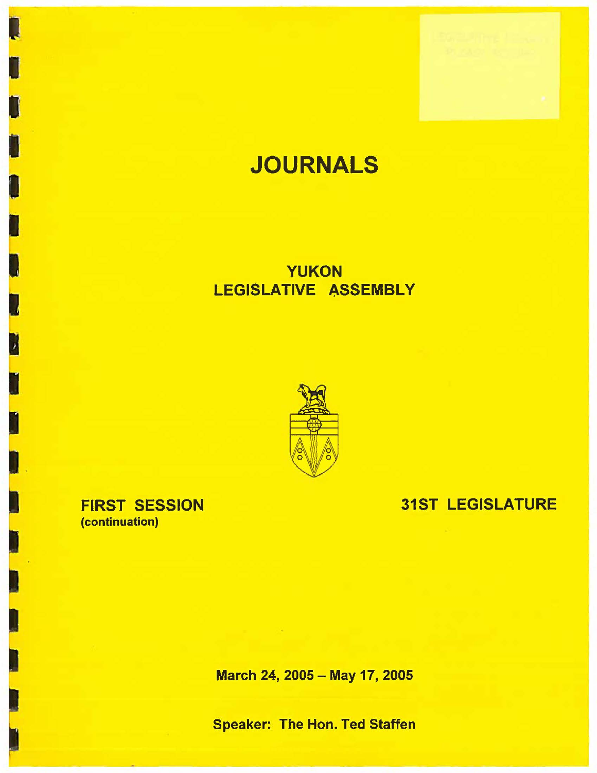# **JOURNALS**

# YUKON LEGISLATIVE ASSEMBLY



# 31ST LEGISLATURE

FIRST SESSION (continuation)

N

March 24, 2005 - May 17, 2005

Speaker: The Hon. Ted Staffen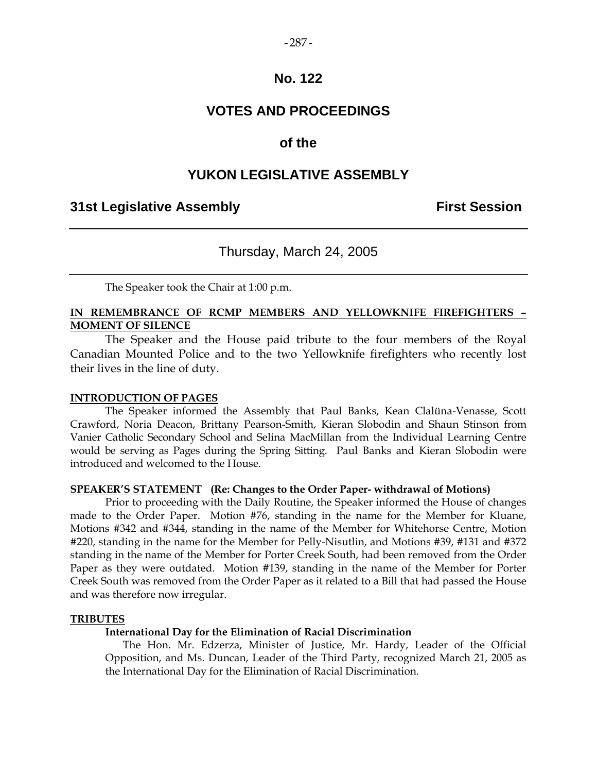#### $-287-$

### **No. 122**

# **VOTES AND PROCEEDINGS**

### **of the**

### **YUKON LEGISLATIVE ASSEMBLY**

### **31st Legislative Assembly First Session**

### Thursday, March 24, 2005

The Speaker took the Chair at 1:00 p.m.

### **IN REMEMBRANCE OF RCMP MEMBERS AND YELLOWKNIFE FIREFIGHTERS – MOMENT OF SILENCE**

 The Speaker and the House paid tribute to the four members of the Royal Canadian Mounted Police and to the two Yellowknife firefighters who recently lost their lives in the line of duty.

#### **INTRODUCTION OF PAGES**

 The Speaker informed the Assembly that Paul Banks, Kean Clalüna-Venasse, Scott Crawford, Noria Deacon, Brittany Pearson-Smith, Kieran Slobodin and Shaun Stinson from Vanier Catholic Secondary School and Selina MacMillan from the Individual Learning Centre would be serving as Pages during the Spring Sitting. Paul Banks and Kieran Slobodin were introduced and welcomed to the House.

### **SPEAKER'S STATEMENT (Re: Changes to the Order Paper- withdrawal of Motions)**

 Prior to proceeding with the Daily Routine, the Speaker informed the House of changes made to the Order Paper. Motion #76, standing in the name for the Member for Kluane, Motions #342 and #344, standing in the name of the Member for Whitehorse Centre, Motion #220, standing in the name for the Member for Pelly-Nisutlin, and Motions #39, #131 and #372 standing in the name of the Member for Porter Creek South, had been removed from the Order Paper as they were outdated. Motion #139, standing in the name of the Member for Porter Creek South was removed from the Order Paper as it related to a Bill that had passed the House and was therefore now irregular.

#### **TRIBUTES**

#### **International Day for the Elimination of Racial Discrimination**

 The Hon. Mr. Edzerza, Minister of Justice, Mr. Hardy, Leader of the Official Opposition, and Ms. Duncan, Leader of the Third Party, recognized March 21, 2005 as the International Day for the Elimination of Racial Discrimination.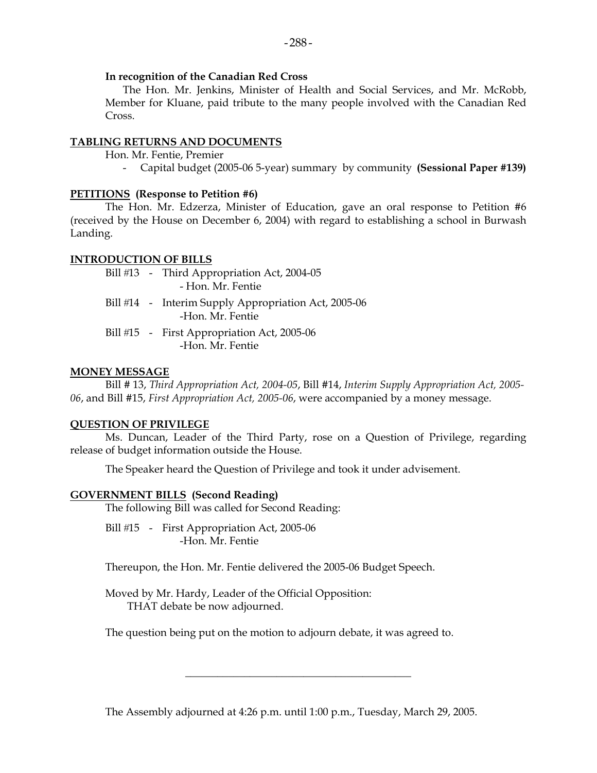### **In recognition of the Canadian Red Cross**

 The Hon. Mr. Jenkins, Minister of Health and Social Services, and Mr. McRobb, Member for Kluane, paid tribute to the many people involved with the Canadian Red Cross.

### **TABLING RETURNS AND DOCUMENTS**

Hon. Mr. Fentie, Premier

- Capital budget (2005-06 5-year) summary by community **(Sessional Paper #139)** 

### **PETITIONS (Response to Petition #6)**

 The Hon. Mr. Edzerza, Minister of Education, gave an oral response to Petition #6 (received by the House on December 6, 2004) with regard to establishing a school in Burwash Landing.

### **INTRODUCTION OF BILLS**

Bill #13 - Third Appropriation Act, 2004-05 - Hon. Mr. Fentie

- Bill #14 Interim Supply Appropriation Act, 2005-06 -Hon. Mr. Fentie
- Bill #15 First Appropriation Act, 2005-06 -Hon. Mr. Fentie

### **MONEY MESSAGE**

 Bill # 13, *Third Appropriation Act, 2004-05*, Bill #14, *Interim Supply Appropriation Act, 2005- 06*, and Bill #15, *First Appropriation Act, 2005-06*, were accompanied by a money message.

### **QUESTION OF PRIVILEGE**

 Ms. Duncan, Leader of the Third Party, rose on a Question of Privilege, regarding release of budget information outside the House.

The Speaker heard the Question of Privilege and took it under advisement.

### **GOVERNMENT BILLS (Second Reading)**

The following Bill was called for Second Reading:

Bill #15 - First Appropriation Act, 2005-06 -Hon. Mr. Fentie

Thereupon, the Hon. Mr. Fentie delivered the 2005-06 Budget Speech.

 Moved by Mr. Hardy, Leader of the Official Opposition: THAT debate be now adjourned.

The question being put on the motion to adjourn debate, it was agreed to.

The Assembly adjourned at 4:26 p.m. until 1:00 p.m., Tuesday, March 29, 2005.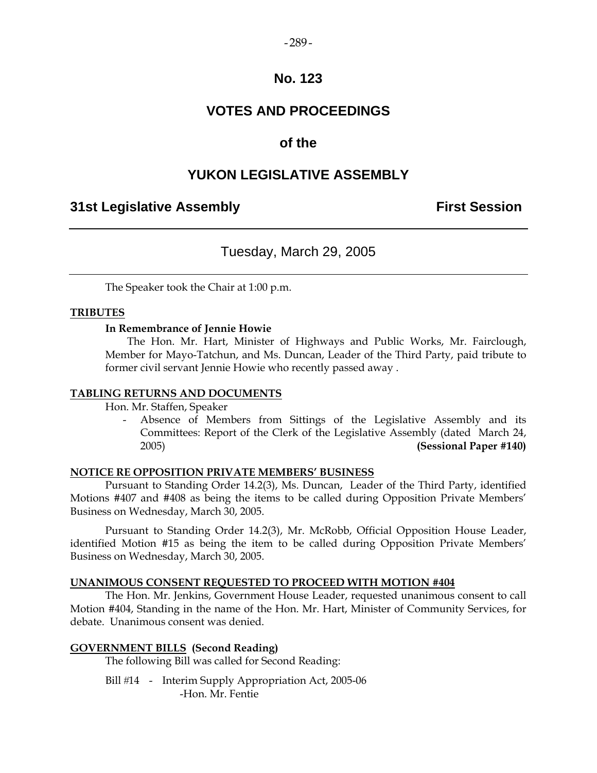#### $-289-$

### **No. 123**

# **VOTES AND PROCEEDINGS**

### **of the**

## **YUKON LEGISLATIVE ASSEMBLY**

### **31st Legislative Assembly First Session**

### Tuesday, March 29, 2005

The Speaker took the Chair at 1:00 p.m.

### **TRIBUTES**

### **In Remembrance of Jennie Howie**

 The Hon. Mr. Hart, Minister of Highways and Public Works, Mr. Fairclough, Member for Mayo-Tatchun, and Ms. Duncan, Leader of the Third Party, paid tribute to former civil servant Jennie Howie who recently passed away .

### **TABLING RETURNS AND DOCUMENTS**

Hon. Mr. Staffen, Speaker

 - Absence of Members from Sittings of the Legislative Assembly and its Committees: Report of the Clerk of the Legislative Assembly (dated March 24, 2005) **(Sessional Paper #140)** 

### **NOTICE RE OPPOSITION PRIVATE MEMBERS' BUSINESS**

 Pursuant to Standing Order 14.2(3), Ms. Duncan, Leader of the Third Party, identified Motions #407 and #408 as being the items to be called during Opposition Private Members' Business on Wednesday, March 30, 2005.

 Pursuant to Standing Order 14.2(3), Mr. McRobb, Official Opposition House Leader, identified Motion #15 as being the item to be called during Opposition Private Members' Business on Wednesday, March 30, 2005.

### **UNANIMOUS CONSENT REQUESTED TO PROCEED WITH MOTION #404**

The Hon. Mr. Jenkins, Government House Leader, requested unanimous consent to call Motion #404, Standing in the name of the Hon. Mr. Hart, Minister of Community Services, for debate. Unanimous consent was denied.

### **GOVERNMENT BILLS (Second Reading)**

The following Bill was called for Second Reading:

Bill #14 - Interim Supply Appropriation Act, 2005-06 -Hon. Mr. Fentie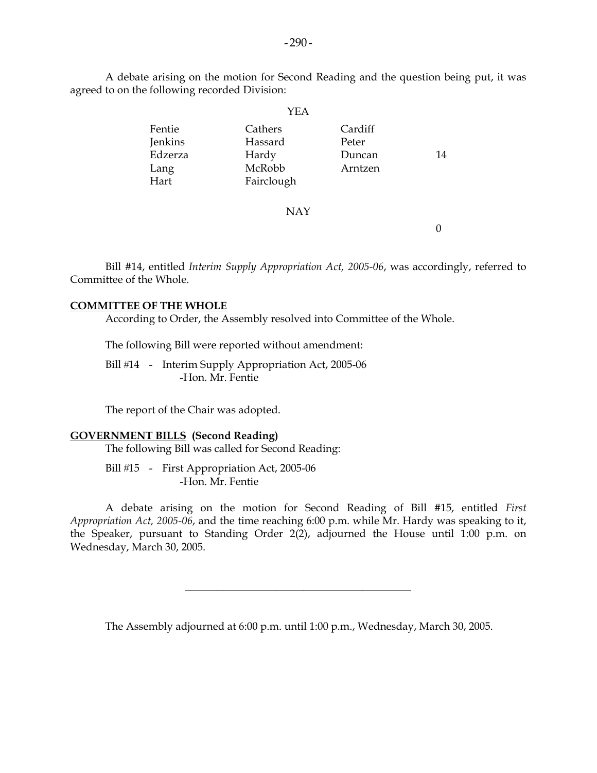A debate arising on the motion for Second Reading and the question being put, it was agreed to on the following recorded Division:

|                                              | YEA                                                 |                                       |    |
|----------------------------------------------|-----------------------------------------------------|---------------------------------------|----|
| Fentie<br>Jenkins<br>Edzerza<br>Lang<br>Hart | Cathers<br>Hassard<br>Hardy<br>McRobb<br>Fairclough | Cardiff<br>Peter<br>Duncan<br>Arntzen | 14 |
|                                              | <b>NAY</b>                                          |                                       |    |

 Bill #14, entitled *Interim Supply Appropriation Act, 2005-06*, was accordingly, referred to Committee of the Whole.

#### **COMMITTEE OF THE WHOLE**

According to Order, the Assembly resolved into Committee of the Whole.

The following Bill were reported without amendment:

Bill #14 - Interim Supply Appropriation Act, 2005-06 -Hon. Mr. Fentie

The report of the Chair was adopted.

#### **GOVERNMENT BILLS (Second Reading)**

The following Bill was called for Second Reading:

Bill #15 - First Appropriation Act, 2005-06 -Hon. Mr. Fentie

 A debate arising on the motion for Second Reading of Bill #15, entitled *First Appropriation Act, 2005-06*, and the time reaching 6:00 p.m. while Mr. Hardy was speaking to it, the Speaker, pursuant to Standing Order 2(2), adjourned the House until 1:00 p.m. on Wednesday, March 30, 2005.

The Assembly adjourned at 6:00 p.m. until 1:00 p.m., Wednesday, March 30, 2005.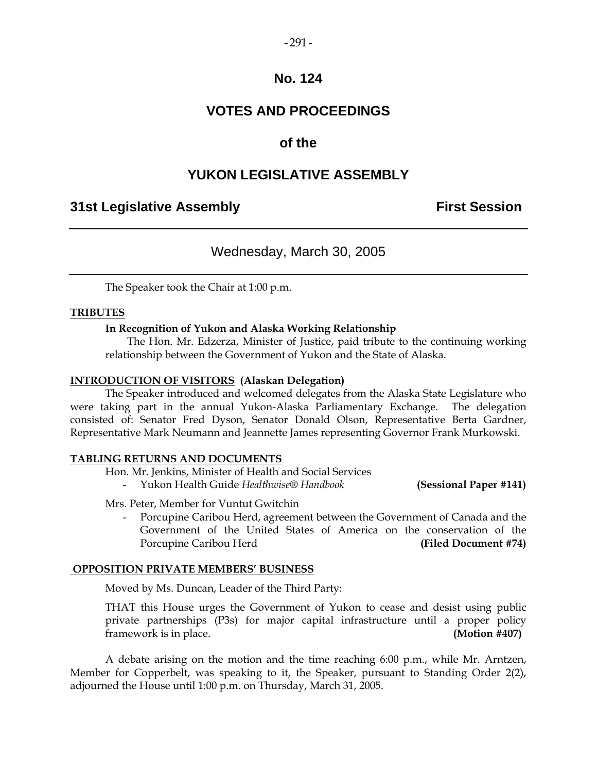### $-291-$

### **No. 124**

# **VOTES AND PROCEEDINGS**

# **of the**

# **YUKON LEGISLATIVE ASSEMBLY**

### **31st Legislative Assembly First Session**

# Wednesday, March 30, 2005

The Speaker took the Chair at 1:00 p.m.

### **TRIBUTES**

### **In Recognition of Yukon and Alaska Working Relationship**

 The Hon. Mr. Edzerza, Minister of Justice, paid tribute to the continuing working relationship between the Government of Yukon and the State of Alaska.

#### **INTRODUCTION OF VISITORS (Alaskan Delegation)**

 The Speaker introduced and welcomed delegates from the Alaska State Legislature who were taking part in the annual Yukon-Alaska Parliamentary Exchange. The delegation consisted of: Senator Fred Dyson, Senator Donald Olson, Representative Berta Gardner, Representative Mark Neumann and Jeannette James representing Governor Frank Murkowski.

### **TABLING RETURNS AND DOCUMENTS**

Hon. Mr. Jenkins, Minister of Health and Social Services

- Yukon Health Guide *Healthwise® Handbook* **(Sessional Paper #141)** 

Mrs. Peter, Member for Vuntut Gwitchin

 - Porcupine Caribou Herd, agreement between the Government of Canada and the Government of the United States of America on the conservation of the Porcupine Caribou Herd **(Filed Document #74)** 

### **OPPOSITION PRIVATE MEMBERS' BUSINESS**

Moved by Ms. Duncan, Leader of the Third Party:

THAT this House urges the Government of Yukon to cease and desist using public private partnerships (P3s) for major capital infrastructure until a proper policy framework is in place. **(Motion #407)** 

 A debate arising on the motion and the time reaching 6:00 p.m., while Mr. Arntzen, Member for Copperbelt, was speaking to it, the Speaker, pursuant to Standing Order 2(2), adjourned the House until 1:00 p.m. on Thursday, March 31, 2005.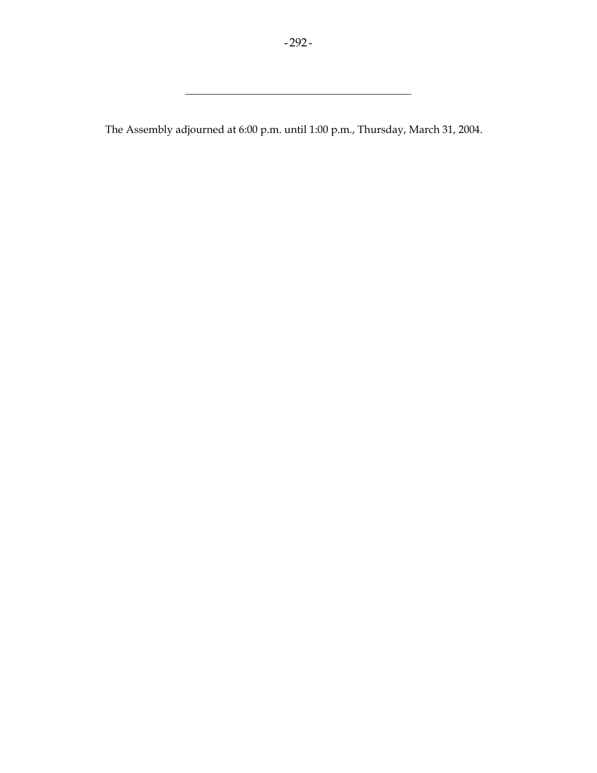\_\_\_\_\_\_\_\_\_\_\_\_\_\_\_\_\_\_\_\_\_\_\_\_\_\_\_\_\_\_\_\_\_\_\_\_\_\_\_\_\_\_

The Assembly adjourned at 6:00 p.m. until 1:00 p.m., Thursday, March 31, 2004.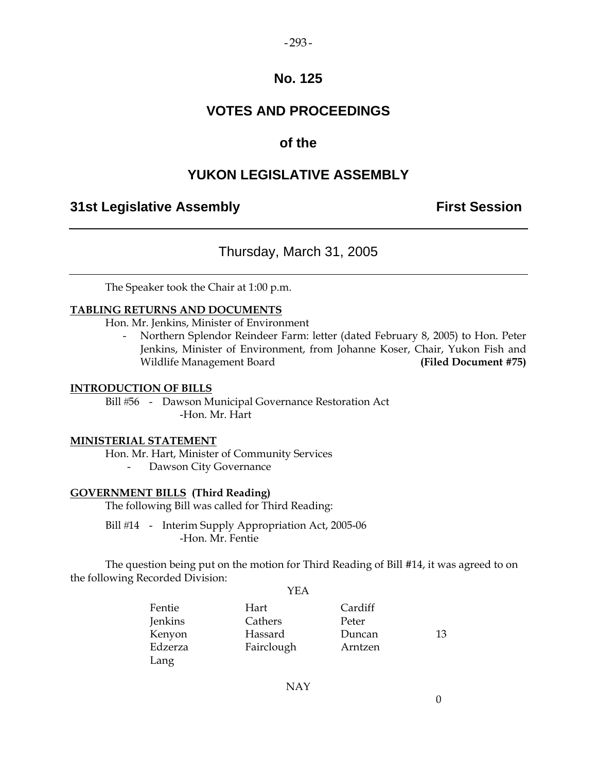### $-293-$

### **No. 125**

# **VOTES AND PROCEEDINGS**

## **of the**

# **YUKON LEGISLATIVE ASSEMBLY**

## **31st Legislative Assembly First Session**

### Thursday, March 31, 2005

The Speaker took the Chair at 1:00 p.m.

### **TABLING RETURNS AND DOCUMENTS**

Hon. Mr. Jenkins, Minister of Environment

 - Northern Splendor Reindeer Farm: letter (dated February 8, 2005) to Hon. Peter Jenkins, Minister of Environment, from Johanne Koser, Chair, Yukon Fish and Wildlife Management Board **(Filed Document #75)** 

### **INTRODUCTION OF BILLS**

Bill #56 - Dawson Municipal Governance Restoration Act -Hon. Mr. Hart

### **MINISTERIAL STATEMENT**

Hon. Mr. Hart, Minister of Community Services

- Dawson City Governance

### **GOVERNMENT BILLS (Third Reading)**

The following Bill was called for Third Reading:

Bill #14 - Interim Supply Appropriation Act, 2005-06 -Hon. Mr. Fentie

 The question being put on the motion for Third Reading of Bill #14, it was agreed to on the following Recorded Division:

YEA

NAY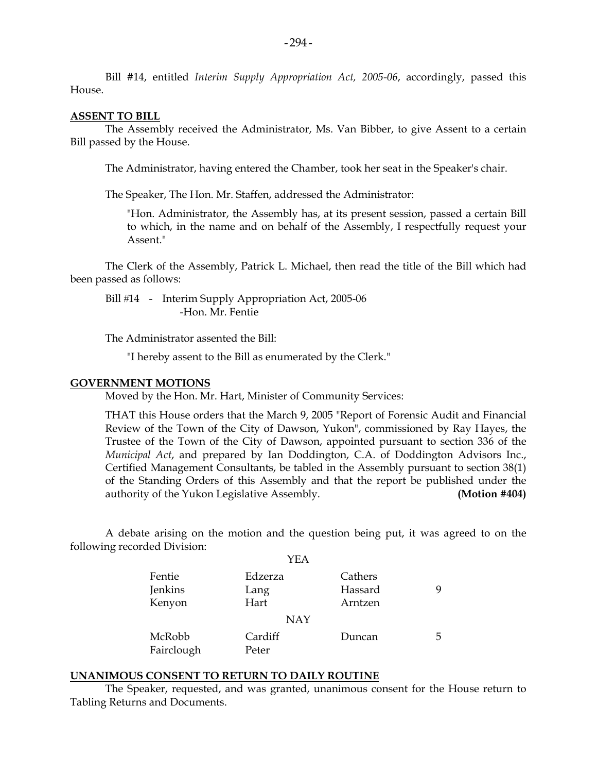Bill #14, entitled *Interim Supply Appropriation Act, 2005-06*, accordingly, passed this House.

#### **ASSENT TO BILL**

 The Assembly received the Administrator, Ms. Van Bibber, to give Assent to a certain Bill passed by the House.

The Administrator, having entered the Chamber, took her seat in the Speaker's chair.

The Speaker, The Hon. Mr. Staffen, addressed the Administrator:

 "Hon. Administrator, the Assembly has, at its present session, passed a certain Bill to which, in the name and on behalf of the Assembly, I respectfully request your Assent."

 The Clerk of the Assembly, Patrick L. Michael, then read the title of the Bill which had been passed as follows:

Bill #14 - Interim Supply Appropriation Act, 2005-06 -Hon. Mr. Fentie

The Administrator assented the Bill:

"I hereby assent to the Bill as enumerated by the Clerk."

#### **GOVERNMENT MOTIONS**

Moved by the Hon. Mr. Hart, Minister of Community Services:

 THAT this House orders that the March 9, 2005 "Report of Forensic Audit and Financial Review of the Town of the City of Dawson, Yukon", commissioned by Ray Hayes, the Trustee of the Town of the City of Dawson, appointed pursuant to section 336 of the *Municipal Act*, and prepared by Ian Doddington, C.A. of Doddington Advisors Inc., Certified Management Consultants, be tabled in the Assembly pursuant to section 38(1) of the Standing Orders of this Assembly and that the report be published under the authority of the Yukon Legislative Assembly. **(Motion #404)** 

 A debate arising on the motion and the question being put, it was agreed to on the following recorded Division:  $V\Gamma$  A

|                      | 1 L L A          |         |    |
|----------------------|------------------|---------|----|
| Fentie               | Edzerza          | Cathers |    |
| Jenkins              | Lang             | Hassard | q  |
| Kenyon               | Hart             | Arntzen |    |
|                      | <b>NAY</b>       |         |    |
| McRobb<br>Fairclough | Cardiff<br>Peter | Duncan  | 5. |
|                      |                  |         |    |

#### **UNANIMOUS CONSENT TO RETURN TO DAILY ROUTINE**

 The Speaker, requested, and was granted, unanimous consent for the House return to Tabling Returns and Documents.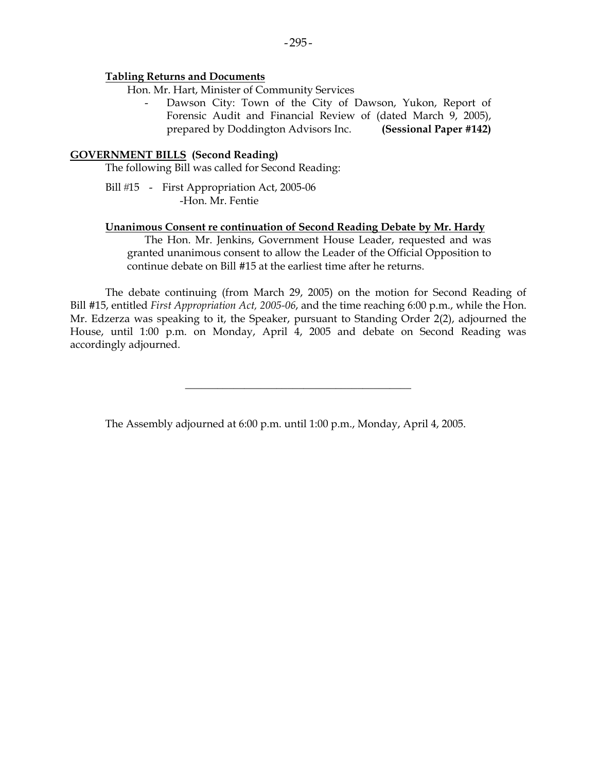#### **Tabling Returns and Documents**

Hon. Mr. Hart, Minister of Community Services

Dawson City: Town of the City of Dawson, Yukon, Report of Forensic Audit and Financial Review of (dated March 9, 2005), prepared by Doddington Advisors Inc. **(Sessional Paper #142)** 

### **GOVERNMENT BILLS (Second Reading)**

The following Bill was called for Second Reading:

Bill #15 - First Appropriation Act, 2005-06 -Hon. Mr. Fentie

### **Unanimous Consent re continuation of Second Reading Debate by Mr. Hardy**

 The Hon. Mr. Jenkins, Government House Leader, requested and was granted unanimous consent to allow the Leader of the Official Opposition to continue debate on Bill #15 at the earliest time after he returns.

 The debate continuing (from March 29, 2005) on the motion for Second Reading of Bill #15, entitled *First Appropriation Act, 2005-06*, and the time reaching 6:00 p.m., while the Hon. Mr. Edzerza was speaking to it, the Speaker, pursuant to Standing Order 2(2), adjourned the House, until 1:00 p.m. on Monday, April 4, 2005 and debate on Second Reading was accordingly adjourned.

\_\_\_\_\_\_\_\_\_\_\_\_\_\_\_\_\_\_\_\_\_\_\_\_\_\_\_\_\_\_\_\_\_\_\_\_\_\_\_\_\_\_

The Assembly adjourned at 6:00 p.m. until 1:00 p.m., Monday, April 4, 2005.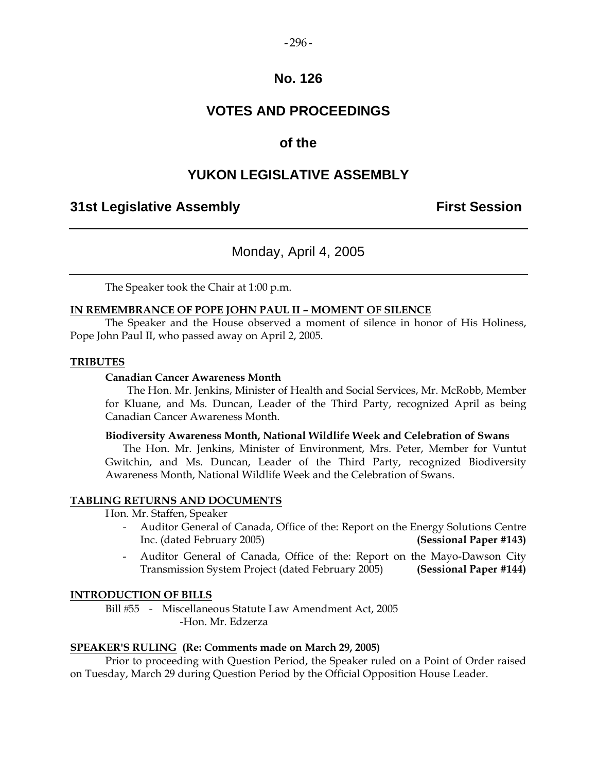#### $-296-$

### **No. 126**

# **VOTES AND PROCEEDINGS**

### **of the**

### **YUKON LEGISLATIVE ASSEMBLY**

### **31st Legislative Assembly First Session**

### Monday, April 4, 2005

The Speaker took the Chair at 1:00 p.m.

#### **IN REMEMBRANCE OF POPE JOHN PAUL II – MOMENT OF SILENCE**

 The Speaker and the House observed a moment of silence in honor of His Holiness, Pope John Paul II, who passed away on April 2, 2005.

#### **TRIBUTES**

### **Canadian Cancer Awareness Month**

 The Hon. Mr. Jenkins, Minister of Health and Social Services, Mr. McRobb, Member for Kluane, and Ms. Duncan, Leader of the Third Party, recognized April as being Canadian Cancer Awareness Month.

#### **Biodiversity Awareness Month, National Wildlife Week and Celebration of Swans**

 The Hon. Mr. Jenkins, Minister of Environment, Mrs. Peter, Member for Vuntut Gwitchin, and Ms. Duncan, Leader of the Third Party, recognized Biodiversity Awareness Month, National Wildlife Week and the Celebration of Swans.

### **TABLING RETURNS AND DOCUMENTS**

Hon. Mr. Staffen, Speaker

- Auditor General of Canada, Office of the: Report on the Energy Solutions Centre Inc. (dated February 2005) **(Sessional Paper #143)**
- Auditor General of Canada, Office of the: Report on the Mayo-Dawson City Transmission System Project (dated February 2005) **(Sessional Paper #144)**

#### **INTRODUCTION OF BILLS**

Bill #55 - Miscellaneous Statute Law Amendment Act, 2005 -Hon. Mr. Edzerza

#### **SPEAKER'S RULING (Re: Comments made on March 29, 2005)**

Prior to proceeding with Question Period, the Speaker ruled on a Point of Order raised on Tuesday, March 29 during Question Period by the Official Opposition House Leader.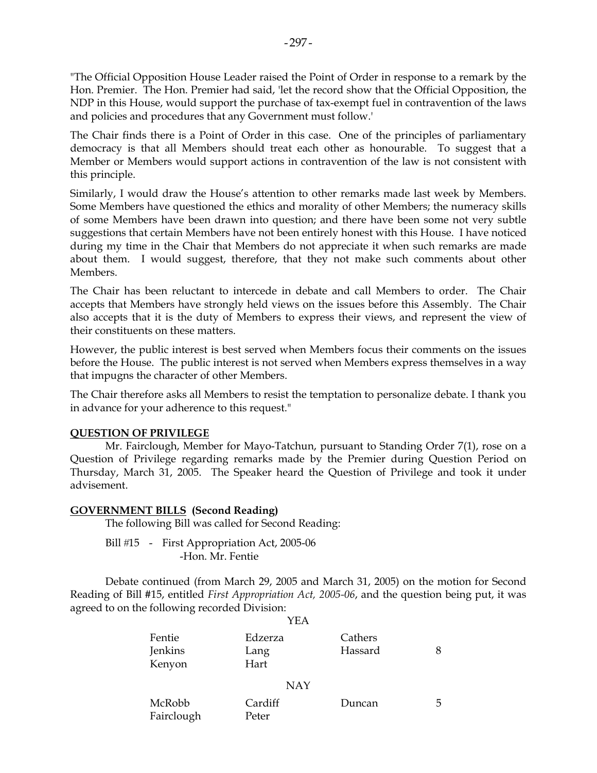"The Official Opposition House Leader raised the Point of Order in response to a remark by the Hon. Premier. The Hon. Premier had said, 'let the record show that the Official Opposition, the NDP in this House, would support the purchase of tax-exempt fuel in contravention of the laws and policies and procedures that any Government must follow.'

The Chair finds there is a Point of Order in this case. One of the principles of parliamentary democracy is that all Members should treat each other as honourable. To suggest that a Member or Members would support actions in contravention of the law is not consistent with this principle.

Similarly, I would draw the House's attention to other remarks made last week by Members. Some Members have questioned the ethics and morality of other Members; the numeracy skills of some Members have been drawn into question; and there have been some not very subtle suggestions that certain Members have not been entirely honest with this House. I have noticed during my time in the Chair that Members do not appreciate it when such remarks are made about them. I would suggest, therefore, that they not make such comments about other Members.

The Chair has been reluctant to intercede in debate and call Members to order. The Chair accepts that Members have strongly held views on the issues before this Assembly. The Chair also accepts that it is the duty of Members to express their views, and represent the view of their constituents on these matters.

However, the public interest is best served when Members focus their comments on the issues before the House. The public interest is not served when Members express themselves in a way that impugns the character of other Members.

The Chair therefore asks all Members to resist the temptation to personalize debate. I thank you in advance for your adherence to this request."

### **QUESTION OF PRIVILEGE**

 Mr. Fairclough, Member for Mayo-Tatchun, pursuant to Standing Order 7(1), rose on a Question of Privilege regarding remarks made by the Premier during Question Period on Thursday, March 31, 2005. The Speaker heard the Question of Privilege and took it under advisement.

### **GOVERNMENT BILLS (Second Reading)**

The following Bill was called for Second Reading:

Bill #15 - First Appropriation Act, 2005-06 -Hon. Mr. Fentie

 Debate continued (from March 29, 2005 and March 31, 2005) on the motion for Second Reading of Bill #15, entitled *First Appropriation Act, 2005-06*, and the question being put, it was agreed to on the following recorded Division:

| Fentie<br>Jenkins<br>Kenyon | Edzerza<br>Lang<br>Hart | Cathers<br>Hassard | 8 |
|-----------------------------|-------------------------|--------------------|---|
|                             | <b>NAY</b>              |                    |   |
| McRobb<br>Fairclough        | Cardiff<br>Peter        | Duncan             | 5 |

#### YEA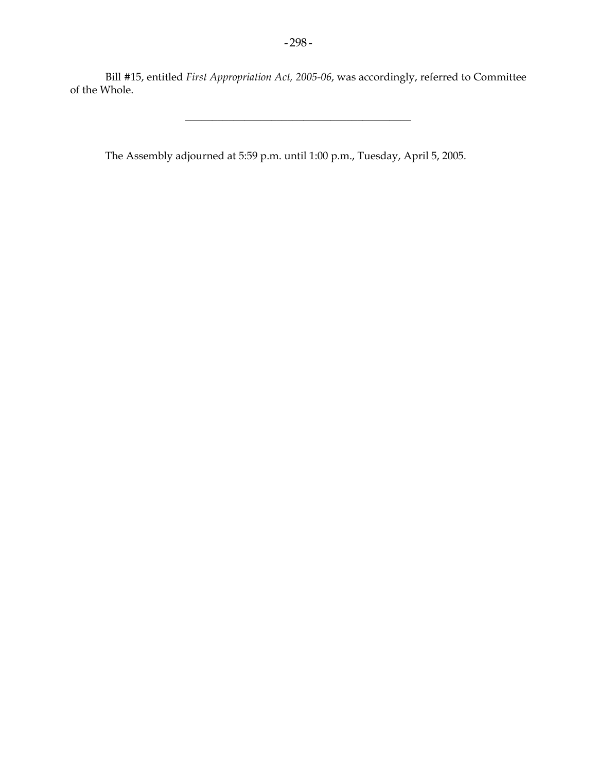Bill #15, entitled *First Appropriation Act, 2005-06*, was accordingly, referred to Committee of the Whole.

\_\_\_\_\_\_\_\_\_\_\_\_\_\_\_\_\_\_\_\_\_\_\_\_\_\_\_\_\_\_\_\_\_\_\_\_\_\_\_\_\_\_

The Assembly adjourned at 5:59 p.m. until 1:00 p.m., Tuesday, April 5, 2005.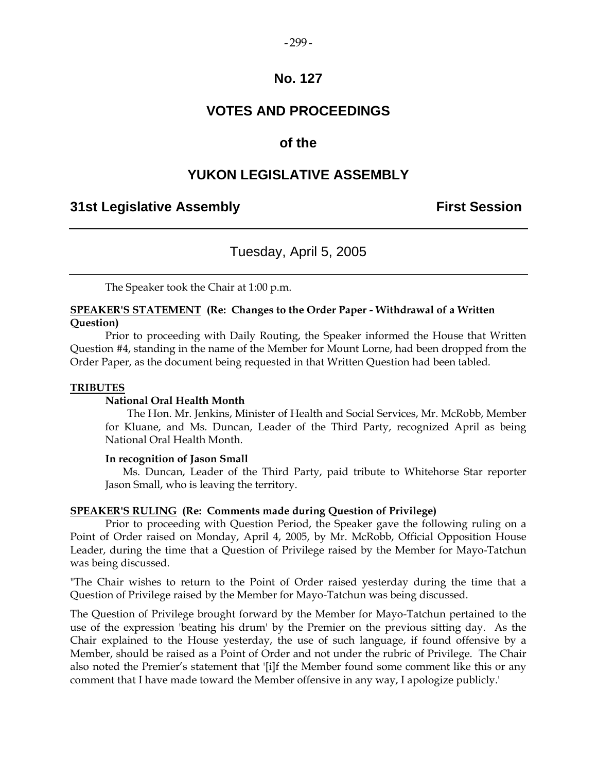#### $-299-$

### **No. 127**

# **VOTES AND PROCEEDINGS**

### **of the**

### **YUKON LEGISLATIVE ASSEMBLY**

### **31st Legislative Assembly First Session**

### Tuesday, April 5, 2005

The Speaker took the Chair at 1:00 p.m.

### **SPEAKER'S STATEMENT (Re: Changes to the Order Paper - Withdrawal of a Written Question)**

 Prior to proceeding with Daily Routing, the Speaker informed the House that Written Question #4, standing in the name of the Member for Mount Lorne, had been dropped from the Order Paper, as the document being requested in that Written Question had been tabled.

#### **TRIBUTES**

#### **National Oral Health Month**

 The Hon. Mr. Jenkins, Minister of Health and Social Services, Mr. McRobb, Member for Kluane, and Ms. Duncan, Leader of the Third Party, recognized April as being National Oral Health Month.

#### **In recognition of Jason Small**

 Ms. Duncan, Leader of the Third Party, paid tribute to Whitehorse Star reporter Jason Small, who is leaving the territory.

### **SPEAKER'S RULING (Re: Comments made during Question of Privilege)**

Prior to proceeding with Question Period, the Speaker gave the following ruling on a Point of Order raised on Monday, April 4, 2005, by Mr. McRobb, Official Opposition House Leader, during the time that a Question of Privilege raised by the Member for Mayo-Tatchun was being discussed.

"The Chair wishes to return to the Point of Order raised yesterday during the time that a Question of Privilege raised by the Member for Mayo-Tatchun was being discussed.

The Question of Privilege brought forward by the Member for Mayo-Tatchun pertained to the use of the expression 'beating his drum' by the Premier on the previous sitting day. As the Chair explained to the House yesterday, the use of such language, if found offensive by a Member, should be raised as a Point of Order and not under the rubric of Privilege. The Chair also noted the Premier's statement that '[i]f the Member found some comment like this or any comment that I have made toward the Member offensive in any way, I apologize publicly.'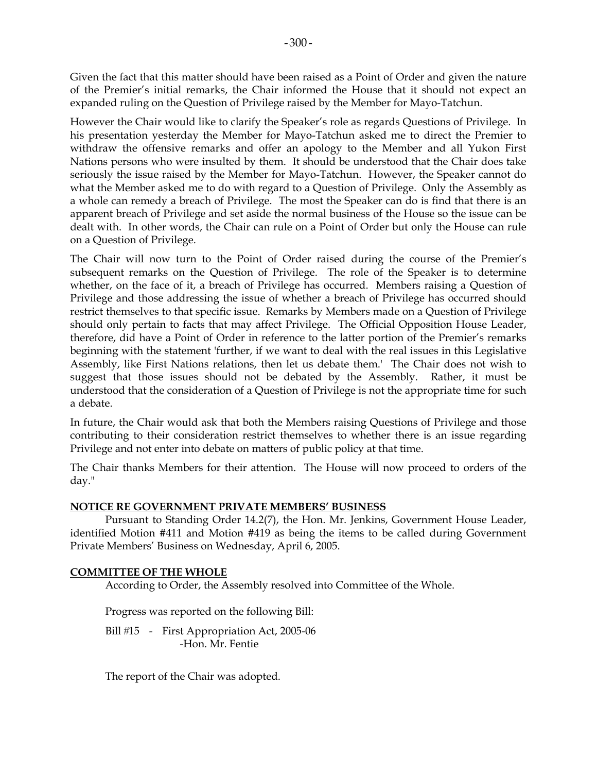Given the fact that this matter should have been raised as a Point of Order and given the nature of the Premier's initial remarks, the Chair informed the House that it should not expect an expanded ruling on the Question of Privilege raised by the Member for Mayo-Tatchun.

However the Chair would like to clarify the Speaker's role as regards Questions of Privilege. In his presentation yesterday the Member for Mayo-Tatchun asked me to direct the Premier to withdraw the offensive remarks and offer an apology to the Member and all Yukon First Nations persons who were insulted by them. It should be understood that the Chair does take seriously the issue raised by the Member for Mayo-Tatchun. However, the Speaker cannot do what the Member asked me to do with regard to a Question of Privilege. Only the Assembly as a whole can remedy a breach of Privilege. The most the Speaker can do is find that there is an apparent breach of Privilege and set aside the normal business of the House so the issue can be dealt with. In other words, the Chair can rule on a Point of Order but only the House can rule on a Question of Privilege.

The Chair will now turn to the Point of Order raised during the course of the Premier's subsequent remarks on the Question of Privilege. The role of the Speaker is to determine whether, on the face of it, a breach of Privilege has occurred. Members raising a Question of Privilege and those addressing the issue of whether a breach of Privilege has occurred should restrict themselves to that specific issue. Remarks by Members made on a Question of Privilege should only pertain to facts that may affect Privilege. The Official Opposition House Leader, therefore, did have a Point of Order in reference to the latter portion of the Premier's remarks beginning with the statement 'further, if we want to deal with the real issues in this Legislative Assembly, like First Nations relations, then let us debate them.' The Chair does not wish to suggest that those issues should not be debated by the Assembly. Rather, it must be understood that the consideration of a Question of Privilege is not the appropriate time for such a debate.

In future, the Chair would ask that both the Members raising Questions of Privilege and those contributing to their consideration restrict themselves to whether there is an issue regarding Privilege and not enter into debate on matters of public policy at that time.

The Chair thanks Members for their attention. The House will now proceed to orders of the day."

### **NOTICE RE GOVERNMENT PRIVATE MEMBERS' BUSINESS**

 Pursuant to Standing Order 14.2(7), the Hon. Mr. Jenkins, Government House Leader, identified Motion #411 and Motion #419 as being the items to be called during Government Private Members' Business on Wednesday, April 6, 2005.

### **COMMITTEE OF THE WHOLE**

According to Order, the Assembly resolved into Committee of the Whole.

Progress was reported on the following Bill:

Bill #15 - First Appropriation Act, 2005-06 -Hon. Mr. Fentie

The report of the Chair was adopted.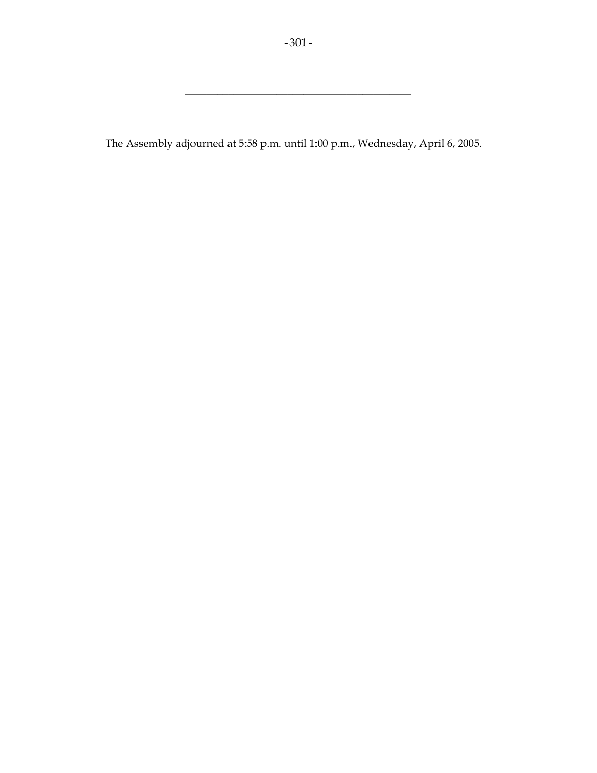\_\_\_\_\_\_\_\_\_\_\_\_\_\_\_\_\_\_\_\_\_\_\_\_\_\_\_\_\_\_\_\_\_\_\_\_\_\_\_\_\_\_

The Assembly adjourned at 5:58 p.m. until 1:00 p.m., Wednesday, April 6, 2005.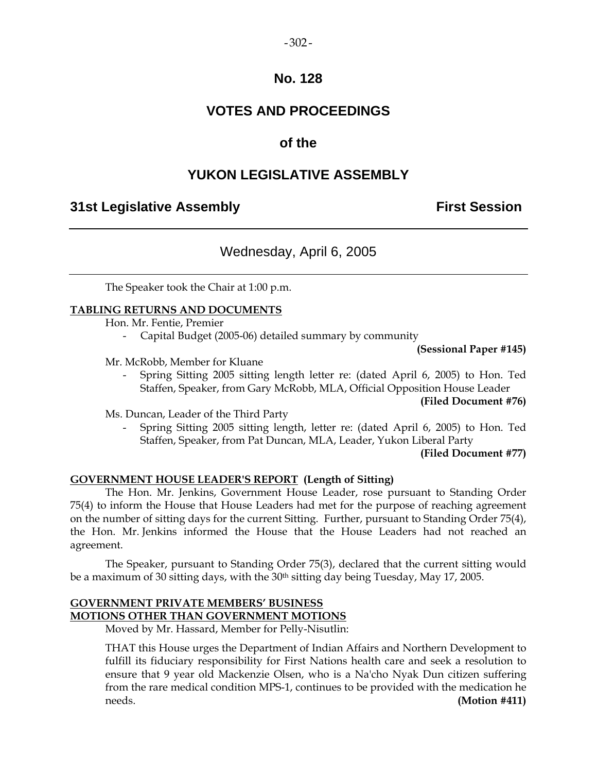### $-302 -$

### **No. 128**

# **VOTES AND PROCEEDINGS**

## **of the**

# **YUKON LEGISLATIVE ASSEMBLY**

### **31st Legislative Assembly First Session**

# Wednesday, April 6, 2005

The Speaker took the Chair at 1:00 p.m.

### **TABLING RETURNS AND DOCUMENTS**

Hon. Mr. Fentie, Premier

Capital Budget (2005-06) detailed summary by community

**(Sessional Paper #145)**

### Mr. McRobb, Member for Kluane

 - Spring Sitting 2005 sitting length letter re: (dated April 6, 2005) to Hon. Ted Staffen, Speaker, from Gary McRobb, MLA, Official Opposition House Leader

### **(Filed Document #76)**

Ms. Duncan, Leader of the Third Party

 - Spring Sitting 2005 sitting length, letter re: (dated April 6, 2005) to Hon. Ted Staffen, Speaker, from Pat Duncan, MLA, Leader, Yukon Liberal Party

**(Filed Document #77)** 

### **GOVERNMENT HOUSE LEADER'S REPORT (Length of Sitting)**

 The Hon. Mr. Jenkins, Government House Leader, rose pursuant to Standing Order 75(4) to inform the House that House Leaders had met for the purpose of reaching agreement on the number of sitting days for the current Sitting. Further, pursuant to Standing Order 75(4), the Hon. Mr. Jenkins informed the House that the House Leaders had not reached an agreement.

The Speaker, pursuant to Standing Order 75(3), declared that the current sitting would be a maximum of 30 sitting days, with the 30<sup>th</sup> sitting day being Tuesday, May 17, 2005.

### **GOVERNMENT PRIVATE MEMBERS' BUSINESS MOTIONS OTHER THAN GOVERNMENT MOTIONS**

Moved by Mr. Hassard, Member for Pelly-Nisutlin:

 THAT this House urges the Department of Indian Affairs and Northern Development to fulfill its fiduciary responsibility for First Nations health care and seek a resolution to ensure that 9 year old Mackenzie Olsen, who is a Na'cho Nyak Dun citizen suffering from the rare medical condition MPS-1, continues to be provided with the medication he needs. **(Motion #411)**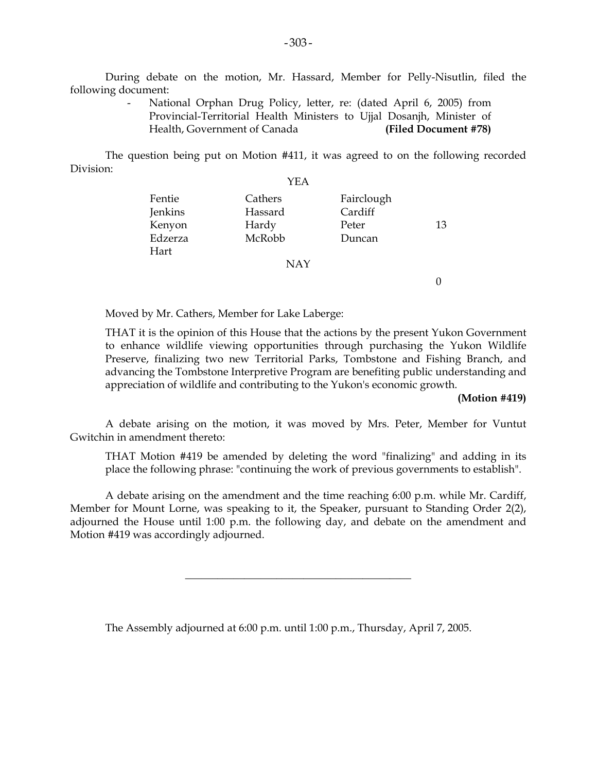During debate on the motion, Mr. Hassard, Member for Pelly-Nisutlin, filed the following document:

> National Orphan Drug Policy, letter, re: (dated April 6, 2005) from Provincial-Territorial Health Ministers to Ujjal Dosanjh, Minister of Health, Government of Canada **(Filed Document #78)**

 The question being put on Motion #411, it was agreed to on the following recorded Division:

|                             | YEA                         |                                |    |
|-----------------------------|-----------------------------|--------------------------------|----|
| Fentie<br>Jenkins<br>Kenyon | Cathers<br>Hassard<br>Hardy | Fairclough<br>Cardiff<br>Peter | 13 |
| Edzerza<br>Hart             | McRobb                      | Duncan                         |    |
|                             | <b>NAY</b>                  |                                |    |

Moved by Mr. Cathers, Member for Lake Laberge:

 THAT it is the opinion of this House that the actions by the present Yukon Government to enhance wildlife viewing opportunities through purchasing the Yukon Wildlife Preserve, finalizing two new Territorial Parks, Tombstone and Fishing Branch, and advancing the Tombstone Interpretive Program are benefiting public understanding and appreciation of wildlife and contributing to the Yukon's economic growth.

#### **(Motion #419)**

 $\Omega$ 

 A debate arising on the motion, it was moved by Mrs. Peter, Member for Vuntut Gwitchin in amendment thereto:

 THAT Motion #419 be amended by deleting the word "finalizing" and adding in its place the following phrase: "continuing the work of previous governments to establish".

 A debate arising on the amendment and the time reaching 6:00 p.m. while Mr. Cardiff, Member for Mount Lorne, was speaking to it, the Speaker, pursuant to Standing Order 2(2), adjourned the House until 1:00 p.m. the following day, and debate on the amendment and Motion #419 was accordingly adjourned.

\_\_\_\_\_\_\_\_\_\_\_\_\_\_\_\_\_\_\_\_\_\_\_\_\_\_\_\_\_\_\_\_\_\_\_\_\_\_\_\_\_\_

The Assembly adjourned at 6:00 p.m. until 1:00 p.m., Thursday, April 7, 2005.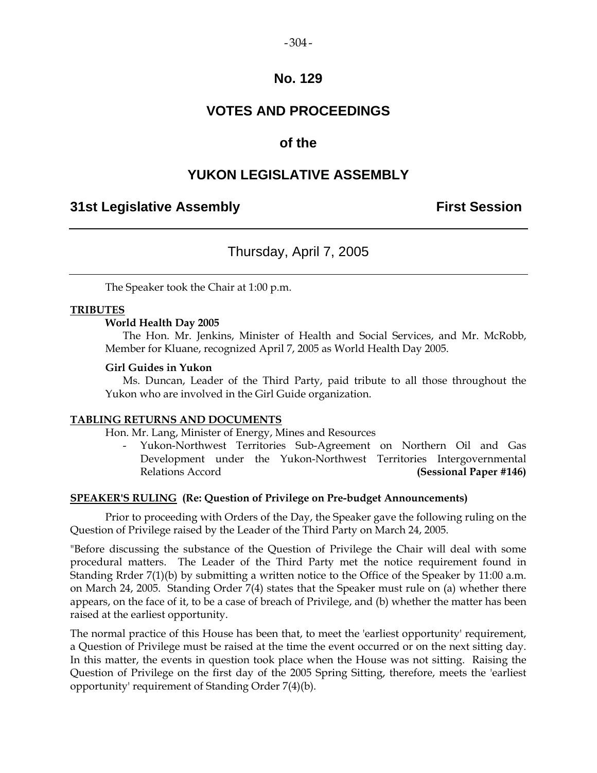#### $-304-$

### **No. 129**

# **VOTES AND PROCEEDINGS**

### **of the**

### **YUKON LEGISLATIVE ASSEMBLY**

### **31st Legislative Assembly First Session**

### Thursday, April 7, 2005

The Speaker took the Chair at 1:00 p.m.

### **TRIBUTES**

#### **World Health Day 2005**

 The Hon. Mr. Jenkins, Minister of Health and Social Services, and Mr. McRobb, Member for Kluane, recognized April 7, 2005 as World Health Day 2005.

#### **Girl Guides in Yukon**

 Ms. Duncan, Leader of the Third Party, paid tribute to all those throughout the Yukon who are involved in the Girl Guide organization.

#### **TABLING RETURNS AND DOCUMENTS**

Hon. Mr. Lang, Minister of Energy, Mines and Resources

 - Yukon-Northwest Territories Sub-Agreement on Northern Oil and Gas Development under the Yukon-Northwest Territories Intergovernmental Relations Accord **(Sessional Paper #146)**

#### **SPEAKER'S RULING (Re: Question of Privilege on Pre-budget Announcements)**

 Prior to proceeding with Orders of the Day, the Speaker gave the following ruling on the Question of Privilege raised by the Leader of the Third Party on March 24, 2005.

"Before discussing the substance of the Question of Privilege the Chair will deal with some procedural matters. The Leader of the Third Party met the notice requirement found in Standing Rrder 7(1)(b) by submitting a written notice to the Office of the Speaker by 11:00 a.m. on March 24, 2005. Standing Order 7(4) states that the Speaker must rule on (a) whether there appears, on the face of it, to be a case of breach of Privilege, and (b) whether the matter has been raised at the earliest opportunity.

The normal practice of this House has been that, to meet the 'earliest opportunity' requirement, a Question of Privilege must be raised at the time the event occurred or on the next sitting day. In this matter, the events in question took place when the House was not sitting. Raising the Question of Privilege on the first day of the 2005 Spring Sitting, therefore, meets the 'earliest opportunity' requirement of Standing Order 7(4)(b).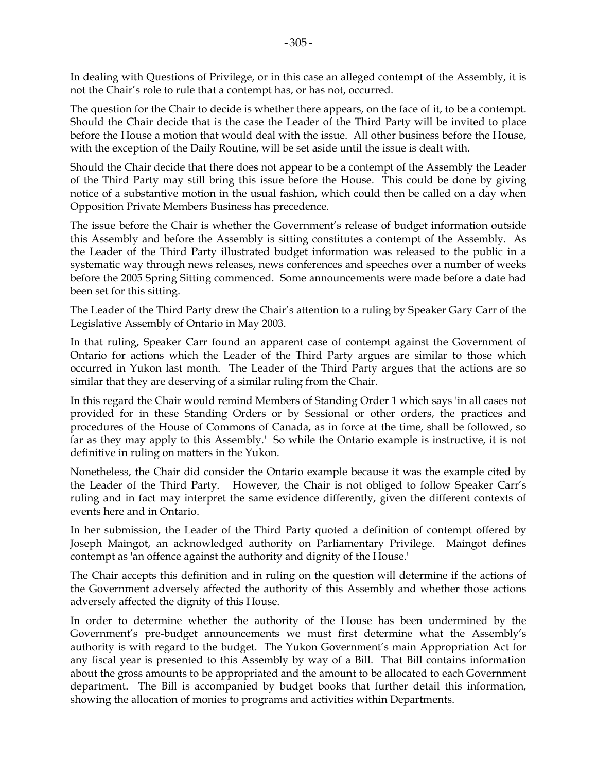In dealing with Questions of Privilege, or in this case an alleged contempt of the Assembly, it is not the Chair's role to rule that a contempt has, or has not, occurred.

The question for the Chair to decide is whether there appears, on the face of it, to be a contempt. Should the Chair decide that is the case the Leader of the Third Party will be invited to place before the House a motion that would deal with the issue. All other business before the House, with the exception of the Daily Routine, will be set aside until the issue is dealt with.

Should the Chair decide that there does not appear to be a contempt of the Assembly the Leader of the Third Party may still bring this issue before the House. This could be done by giving notice of a substantive motion in the usual fashion, which could then be called on a day when Opposition Private Members Business has precedence.

The issue before the Chair is whether the Government's release of budget information outside this Assembly and before the Assembly is sitting constitutes a contempt of the Assembly. As the Leader of the Third Party illustrated budget information was released to the public in a systematic way through news releases, news conferences and speeches over a number of weeks before the 2005 Spring Sitting commenced. Some announcements were made before a date had been set for this sitting.

The Leader of the Third Party drew the Chair's attention to a ruling by Speaker Gary Carr of the Legislative Assembly of Ontario in May 2003.

In that ruling, Speaker Carr found an apparent case of contempt against the Government of Ontario for actions which the Leader of the Third Party argues are similar to those which occurred in Yukon last month. The Leader of the Third Party argues that the actions are so similar that they are deserving of a similar ruling from the Chair.

In this regard the Chair would remind Members of Standing Order 1 which says 'in all cases not provided for in these Standing Orders or by Sessional or other orders, the practices and procedures of the House of Commons of Canada, as in force at the time, shall be followed, so far as they may apply to this Assembly.' So while the Ontario example is instructive, it is not definitive in ruling on matters in the Yukon.

Nonetheless, the Chair did consider the Ontario example because it was the example cited by the Leader of the Third Party. However, the Chair is not obliged to follow Speaker Carr's ruling and in fact may interpret the same evidence differently, given the different contexts of events here and in Ontario.

In her submission, the Leader of the Third Party quoted a definition of contempt offered by Joseph Maingot, an acknowledged authority on Parliamentary Privilege. Maingot defines contempt as 'an offence against the authority and dignity of the House.'

The Chair accepts this definition and in ruling on the question will determine if the actions of the Government adversely affected the authority of this Assembly and whether those actions adversely affected the dignity of this House.

In order to determine whether the authority of the House has been undermined by the Government's pre-budget announcements we must first determine what the Assembly's authority is with regard to the budget. The Yukon Government's main Appropriation Act for any fiscal year is presented to this Assembly by way of a Bill. That Bill contains information about the gross amounts to be appropriated and the amount to be allocated to each Government department. The Bill is accompanied by budget books that further detail this information, showing the allocation of monies to programs and activities within Departments.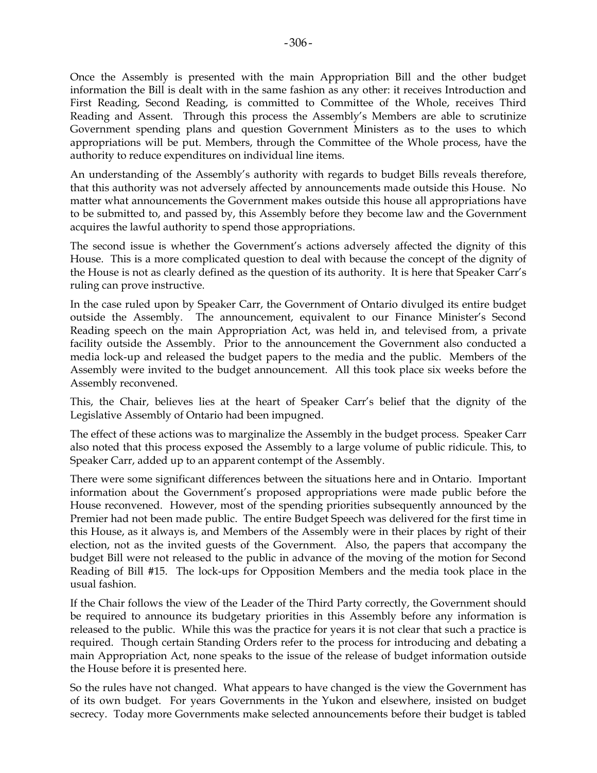Once the Assembly is presented with the main Appropriation Bill and the other budget information the Bill is dealt with in the same fashion as any other: it receives Introduction and First Reading, Second Reading, is committed to Committee of the Whole, receives Third Reading and Assent. Through this process the Assembly's Members are able to scrutinize Government spending plans and question Government Ministers as to the uses to which appropriations will be put. Members, through the Committee of the Whole process, have the authority to reduce expenditures on individual line items.

An understanding of the Assembly's authority with regards to budget Bills reveals therefore, that this authority was not adversely affected by announcements made outside this House. No matter what announcements the Government makes outside this house all appropriations have to be submitted to, and passed by, this Assembly before they become law and the Government acquires the lawful authority to spend those appropriations.

The second issue is whether the Government's actions adversely affected the dignity of this House. This is a more complicated question to deal with because the concept of the dignity of the House is not as clearly defined as the question of its authority. It is here that Speaker Carr's ruling can prove instructive.

In the case ruled upon by Speaker Carr, the Government of Ontario divulged its entire budget outside the Assembly. The announcement, equivalent to our Finance Minister's Second Reading speech on the main Appropriation Act, was held in, and televised from, a private facility outside the Assembly. Prior to the announcement the Government also conducted a media lock-up and released the budget papers to the media and the public. Members of the Assembly were invited to the budget announcement. All this took place six weeks before the Assembly reconvened.

This, the Chair, believes lies at the heart of Speaker Carr's belief that the dignity of the Legislative Assembly of Ontario had been impugned.

The effect of these actions was to marginalize the Assembly in the budget process. Speaker Carr also noted that this process exposed the Assembly to a large volume of public ridicule. This, to Speaker Carr, added up to an apparent contempt of the Assembly.

There were some significant differences between the situations here and in Ontario. Important information about the Government's proposed appropriations were made public before the House reconvened. However, most of the spending priorities subsequently announced by the Premier had not been made public. The entire Budget Speech was delivered for the first time in this House, as it always is, and Members of the Assembly were in their places by right of their election, not as the invited guests of the Government. Also, the papers that accompany the budget Bill were not released to the public in advance of the moving of the motion for Second Reading of Bill #15. The lock-ups for Opposition Members and the media took place in the usual fashion.

If the Chair follows the view of the Leader of the Third Party correctly, the Government should be required to announce its budgetary priorities in this Assembly before any information is released to the public. While this was the practice for years it is not clear that such a practice is required. Though certain Standing Orders refer to the process for introducing and debating a main Appropriation Act, none speaks to the issue of the release of budget information outside the House before it is presented here.

So the rules have not changed. What appears to have changed is the view the Government has of its own budget. For years Governments in the Yukon and elsewhere, insisted on budget secrecy. Today more Governments make selected announcements before their budget is tabled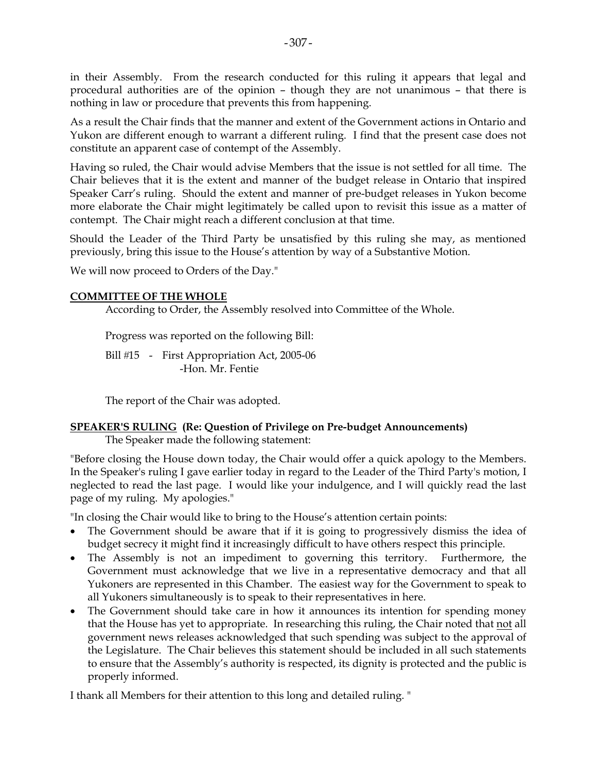in their Assembly. From the research conducted for this ruling it appears that legal and procedural authorities are of the opinion – though they are not unanimous – that there is nothing in law or procedure that prevents this from happening.

As a result the Chair finds that the manner and extent of the Government actions in Ontario and Yukon are different enough to warrant a different ruling. I find that the present case does not constitute an apparent case of contempt of the Assembly.

Having so ruled, the Chair would advise Members that the issue is not settled for all time. The Chair believes that it is the extent and manner of the budget release in Ontario that inspired Speaker Carr's ruling. Should the extent and manner of pre-budget releases in Yukon become more elaborate the Chair might legitimately be called upon to revisit this issue as a matter of contempt. The Chair might reach a different conclusion at that time.

Should the Leader of the Third Party be unsatisfied by this ruling she may, as mentioned previously, bring this issue to the House's attention by way of a Substantive Motion.

We will now proceed to Orders of the Day."

### **COMMITTEE OF THE WHOLE**

According to Order, the Assembly resolved into Committee of the Whole.

Progress was reported on the following Bill:

Bill #15 - First Appropriation Act, 2005-06 -Hon. Mr. Fentie

The report of the Chair was adopted.

### **SPEAKER'S RULING (Re: Question of Privilege on Pre-budget Announcements)**

The Speaker made the following statement:

"Before closing the House down today, the Chair would offer a quick apology to the Members. In the Speaker's ruling I gave earlier today in regard to the Leader of the Third Party's motion, I neglected to read the last page. I would like your indulgence, and I will quickly read the last page of my ruling. My apologies."

"In closing the Chair would like to bring to the House's attention certain points:

- The Government should be aware that if it is going to progressively dismiss the idea of budget secrecy it might find it increasingly difficult to have others respect this principle.
- The Assembly is not an impediment to governing this territory. Furthermore, the Government must acknowledge that we live in a representative democracy and that all Yukoners are represented in this Chamber. The easiest way for the Government to speak to all Yukoners simultaneously is to speak to their representatives in here.
- The Government should take care in how it announces its intention for spending money that the House has yet to appropriate. In researching this ruling, the Chair noted that not all government news releases acknowledged that such spending was subject to the approval of the Legislature. The Chair believes this statement should be included in all such statements to ensure that the Assembly's authority is respected, its dignity is protected and the public is properly informed.

I thank all Members for their attention to this long and detailed ruling. "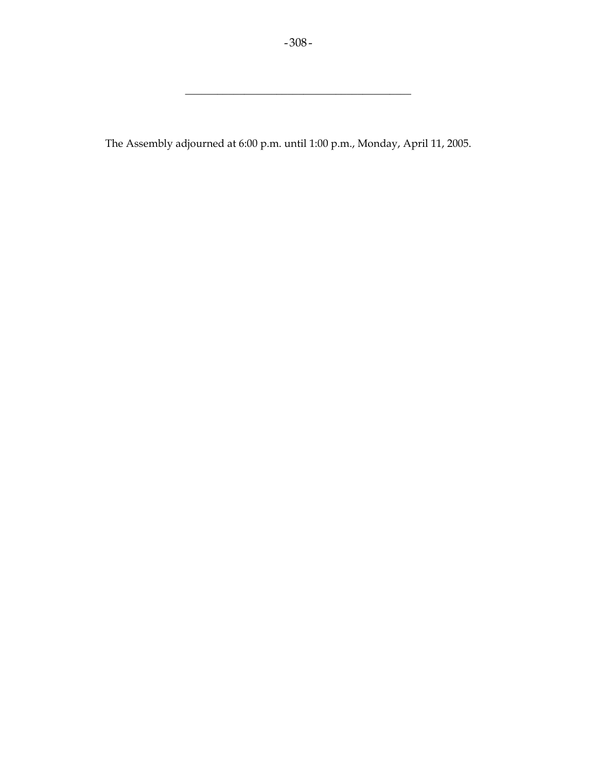\_\_\_\_\_\_\_\_\_\_\_\_\_\_\_\_\_\_\_\_\_\_\_\_\_\_\_\_\_\_\_\_\_\_\_\_\_\_\_\_\_\_

The Assembly adjourned at 6:00 p.m. until 1:00 p.m., Monday, April 11, 2005.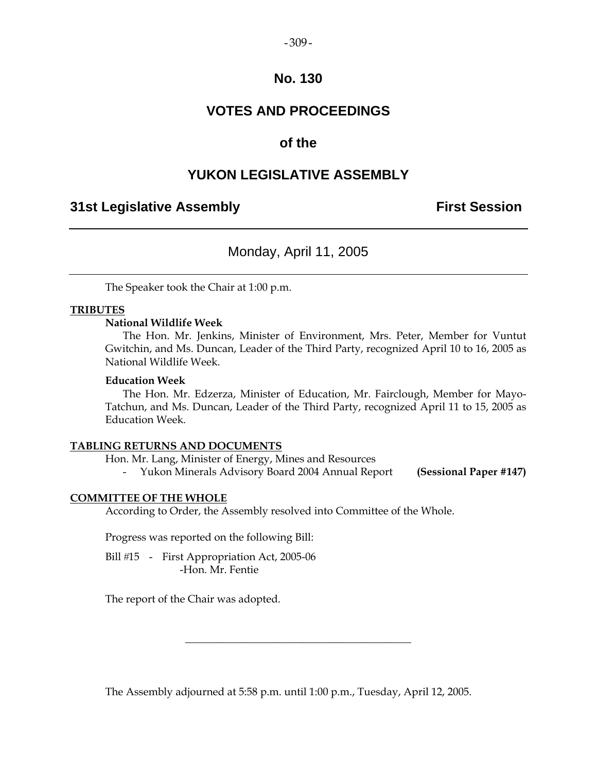#### $-309-$

### **No. 130**

# **VOTES AND PROCEEDINGS**

### **of the**

### **YUKON LEGISLATIVE ASSEMBLY**

### **31st Legislative Assembly First Session**

### Monday, April 11, 2005

The Speaker took the Chair at 1:00 p.m.

### **TRIBUTES**

### **National Wildlife Week**

 The Hon. Mr. Jenkins, Minister of Environment, Mrs. Peter, Member for Vuntut Gwitchin, and Ms. Duncan, Leader of the Third Party, recognized April 10 to 16, 2005 as National Wildlife Week.

### **Education Week**

 The Hon. Mr. Edzerza, Minister of Education, Mr. Fairclough, Member for Mayo-Tatchun, and Ms. Duncan, Leader of the Third Party, recognized April 11 to 15, 2005 as Education Week.

### **TABLING RETURNS AND DOCUMENTS**

Hon. Mr. Lang, Minister of Energy, Mines and Resources

- Yukon Minerals Advisory Board 2004 Annual Report **(Sessional Paper #147)**

#### **COMMITTEE OF THE WHOLE**

According to Order, the Assembly resolved into Committee of the Whole.

Progress was reported on the following Bill:

Bill #15 - First Appropriation Act, 2005-06 -Hon. Mr. Fentie

The report of the Chair was adopted.

The Assembly adjourned at 5:58 p.m. until 1:00 p.m., Tuesday, April 12, 2005.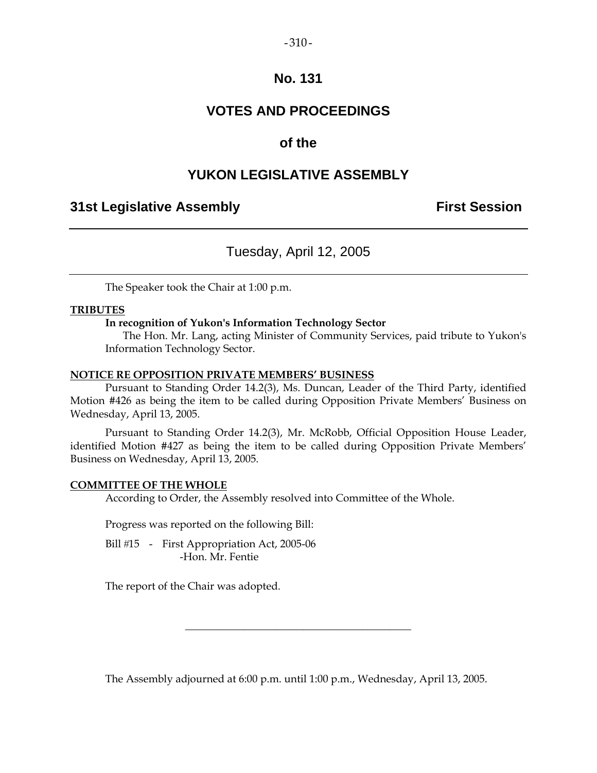### $-310-$

### **No. 131**

# **VOTES AND PROCEEDINGS**

# **of the**

# **YUKON LEGISLATIVE ASSEMBLY**

# **31st Legislative Assembly First Session**

# Tuesday, April 12, 2005

The Speaker took the Chair at 1:00 p.m.

### **TRIBUTES**

### **In recognition of Yukon's Information Technology Sector**

 The Hon. Mr. Lang, acting Minister of Community Services, paid tribute to Yukon's Information Technology Sector.

### **NOTICE RE OPPOSITION PRIVATE MEMBERS' BUSINESS**

 Pursuant to Standing Order 14.2(3), Ms. Duncan, Leader of the Third Party, identified Motion #426 as being the item to be called during Opposition Private Members' Business on Wednesday, April 13, 2005.

 Pursuant to Standing Order 14.2(3), Mr. McRobb, Official Opposition House Leader, identified Motion #427 as being the item to be called during Opposition Private Members' Business on Wednesday, April 13, 2005.

### **COMMITTEE OF THE WHOLE**

According to Order, the Assembly resolved into Committee of the Whole.

Progress was reported on the following Bill:

Bill #15 - First Appropriation Act, 2005-06 -Hon. Mr. Fentie

The report of the Chair was adopted.

The Assembly adjourned at 6:00 p.m. until 1:00 p.m., Wednesday, April 13, 2005.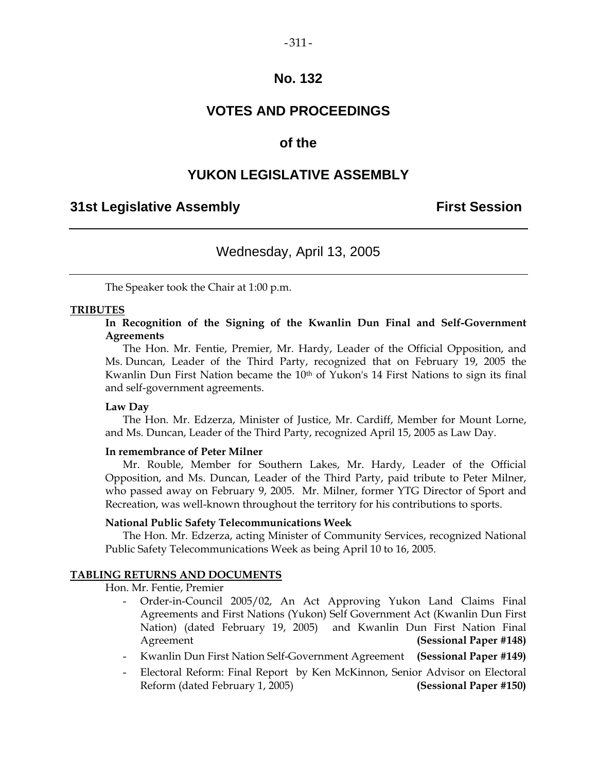# **No. 132**

# **VOTES AND PROCEEDINGS**

### **of the**

# **YUKON LEGISLATIVE ASSEMBLY**

### **31st Legislative Assembly First Session**

# Wednesday, April 13, 2005

The Speaker took the Chair at 1:00 p.m.

### **TRIBUTES**

**In Recognition of the Signing of the Kwanlin Dun Final and Self-Government Agreements** 

 The Hon. Mr. Fentie, Premier, Mr. Hardy, Leader of the Official Opposition, and Ms. Duncan, Leader of the Third Party, recognized that on February 19, 2005 the Kwanlin Dun First Nation became the 10<sup>th</sup> of Yukon's 14 First Nations to sign its final and self-government agreements.

### **Law Day**

 The Hon. Mr. Edzerza, Minister of Justice, Mr. Cardiff, Member for Mount Lorne, and Ms. Duncan, Leader of the Third Party, recognized April 15, 2005 as Law Day.

### **In remembrance of Peter Milner**

 Mr. Rouble, Member for Southern Lakes, Mr. Hardy, Leader of the Official Opposition, and Ms. Duncan, Leader of the Third Party, paid tribute to Peter Milner, who passed away on February 9, 2005. Mr. Milner, former YTG Director of Sport and Recreation, was well-known throughout the territory for his contributions to sports.

### **National Public Safety Telecommunications Week**

 The Hon. Mr. Edzerza, acting Minister of Community Services, recognized National Public Safety Telecommunications Week as being April 10 to 16, 2005.

### **TABLING RETURNS AND DOCUMENTS**

Hon. Mr. Fentie, Premier

- Order-in-Council 2005/02, An Act Approving Yukon Land Claims Final Agreements and First Nations (Yukon) Self Government Act (Kwanlin Dun First Nation) (dated February 19, 2005) and Kwanlin Dun First Nation Final Agreement **(Sessional Paper #148)**
- Kwanlin Dun First Nation Self-Government Agreement **(Sessional Paper #149)**
- Electoral Reform: Final Report by Ken McKinnon, Senior Advisor on Electoral Reform (dated February 1, 2005) **(Sessional Paper #150)**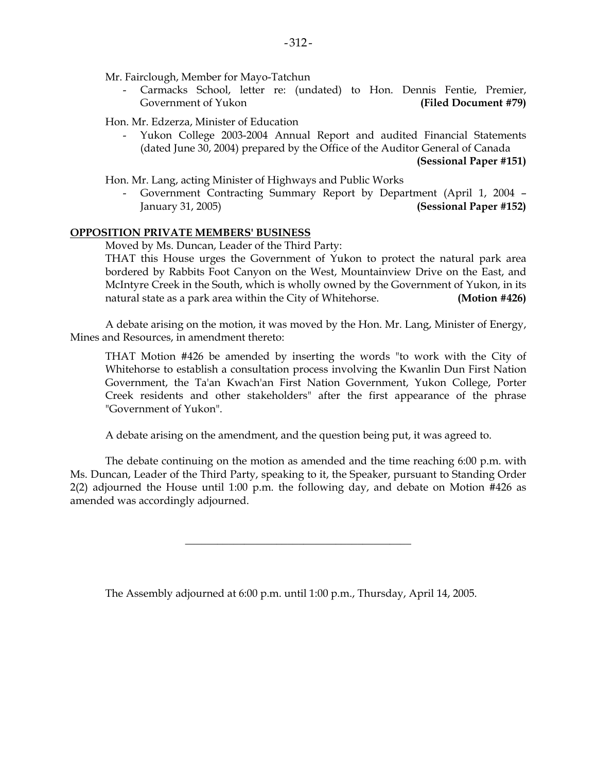Mr. Fairclough, Member for Mayo-Tatchun

Carmacks School, letter re: (undated) to Hon. Dennis Fentie, Premier, Government of Yukon **(Filed Document #79)** 

Hon. Mr. Edzerza, Minister of Education

 - Yukon College 2003-2004 Annual Report and audited Financial Statements (dated June 30, 2004) prepared by the Office of the Auditor General of Canada **(Sessional Paper #151)** 

Hon. Mr. Lang, acting Minister of Highways and Public Works

 - Government Contracting Summary Report by Department (April 1, 2004 – January 31, 2005) **(Sessional Paper #152)** 

### **OPPOSITION PRIVATE MEMBERS' BUSINESS**

Moved by Ms. Duncan, Leader of the Third Party:

THAT this House urges the Government of Yukon to protect the natural park area bordered by Rabbits Foot Canyon on the West, Mountainview Drive on the East, and McIntyre Creek in the South, which is wholly owned by the Government of Yukon, in its natural state as a park area within the City of Whitehorse. **(Motion #426)** 

 A debate arising on the motion, it was moved by the Hon. Mr. Lang, Minister of Energy, Mines and Resources, in amendment thereto:

 THAT Motion #426 be amended by inserting the words "to work with the City of Whitehorse to establish a consultation process involving the Kwanlin Dun First Nation Government, the Ta'an Kwach'an First Nation Government, Yukon College, Porter Creek residents and other stakeholders" after the first appearance of the phrase "Government of Yukon".

A debate arising on the amendment, and the question being put, it was agreed to.

 The debate continuing on the motion as amended and the time reaching 6:00 p.m. with Ms. Duncan, Leader of the Third Party, speaking to it, the Speaker, pursuant to Standing Order 2(2) adjourned the House until 1:00 p.m. the following day, and debate on Motion #426 as amended was accordingly adjourned.

\_\_\_\_\_\_\_\_\_\_\_\_\_\_\_\_\_\_\_\_\_\_\_\_\_\_\_\_\_\_\_\_\_\_\_\_\_\_\_\_\_\_

The Assembly adjourned at 6:00 p.m. until 1:00 p.m., Thursday, April 14, 2005.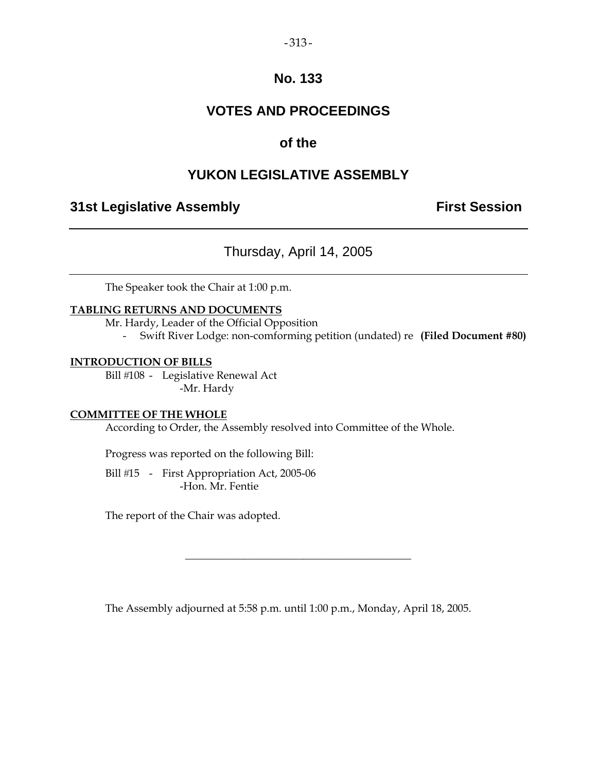### $-313-$

# **No. 133**

# **VOTES AND PROCEEDINGS**

# **of the**

# **YUKON LEGISLATIVE ASSEMBLY**

# **31st Legislative Assembly The Contract Session**

# Thursday, April 14, 2005

The Speaker took the Chair at 1:00 p.m.

### **TABLING RETURNS AND DOCUMENTS**

Mr. Hardy, Leader of the Official Opposition

- Swift River Lodge: non-comforming petition (undated) re **(Filed Document #80)**

### **INTRODUCTION OF BILLS**

Bill #108 - Legislative Renewal Act -Mr. Hardy

### **COMMITTEE OF THE WHOLE**

According to Order, the Assembly resolved into Committee of the Whole.

Progress was reported on the following Bill:

Bill #15 - First Appropriation Act, 2005-06 -Hon. Mr. Fentie

The report of the Chair was adopted.

The Assembly adjourned at 5:58 p.m. until 1:00 p.m., Monday, April 18, 2005.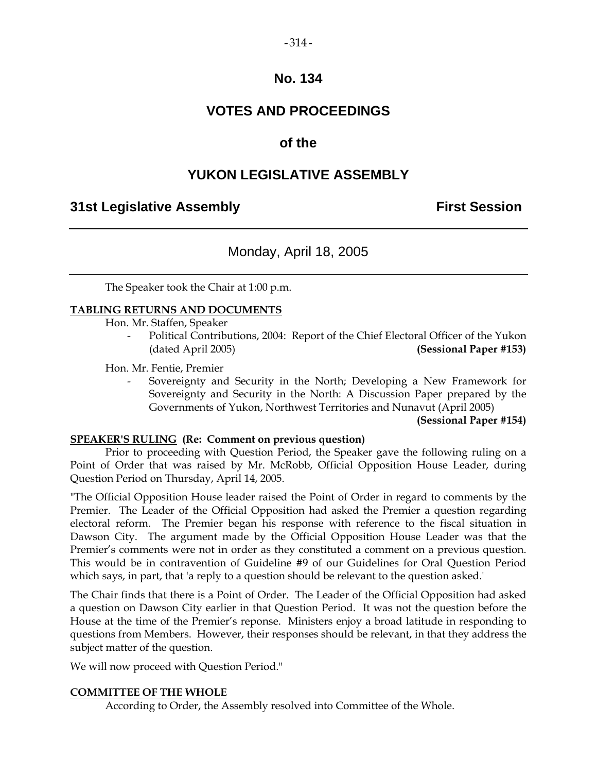# $-314-$

### **No. 134**

# **VOTES AND PROCEEDINGS**

# **of the**

# **YUKON LEGISLATIVE ASSEMBLY**

# **31st Legislative Assembly First Session**

# Monday, April 18, 2005

The Speaker took the Chair at 1:00 p.m.

### **TABLING RETURNS AND DOCUMENTS**

Hon. Mr. Staffen, Speaker

Political Contributions, 2004: Report of the Chief Electoral Officer of the Yukon (dated April 2005) **(Sessional Paper #153)** 

Hon. Mr. Fentie, Premier

 - Sovereignty and Security in the North; Developing a New Framework for Sovereignty and Security in the North: A Discussion Paper prepared by the Governments of Yukon, Northwest Territories and Nunavut (April 2005)

### **(Sessional Paper #154)**

### **SPEAKER'S RULING (Re: Comment on previous question)**

 Prior to proceeding with Question Period, the Speaker gave the following ruling on a Point of Order that was raised by Mr. McRobb, Official Opposition House Leader, during Question Period on Thursday, April 14, 2005.

"The Official Opposition House leader raised the Point of Order in regard to comments by the Premier. The Leader of the Official Opposition had asked the Premier a question regarding electoral reform. The Premier began his response with reference to the fiscal situation in Dawson City. The argument made by the Official Opposition House Leader was that the Premier's comments were not in order as they constituted a comment on a previous question. This would be in contravention of Guideline #9 of our Guidelines for Oral Question Period which says, in part, that 'a reply to a question should be relevant to the question asked.'

The Chair finds that there is a Point of Order. The Leader of the Official Opposition had asked a question on Dawson City earlier in that Question Period. It was not the question before the House at the time of the Premier's reponse. Ministers enjoy a broad latitude in responding to questions from Members. However, their responses should be relevant, in that they address the subject matter of the question.

We will now proceed with Question Period."

### **COMMITTEE OF THE WHOLE**

According to Order, the Assembly resolved into Committee of the Whole.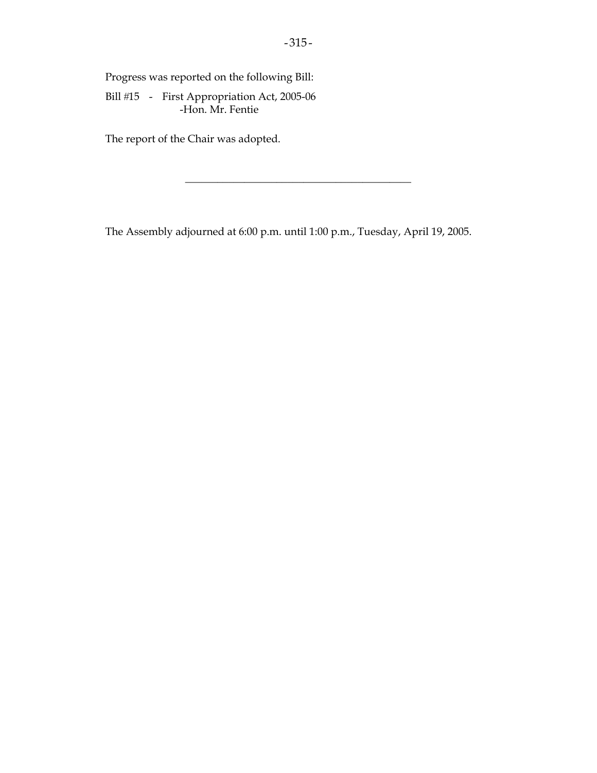Progress was reported on the following Bill:

Bill #15 - First Appropriation Act, 2005-06 -Hon. Mr. Fentie

The report of the Chair was adopted.

The Assembly adjourned at 6:00 p.m. until 1:00 p.m., Tuesday, April 19, 2005.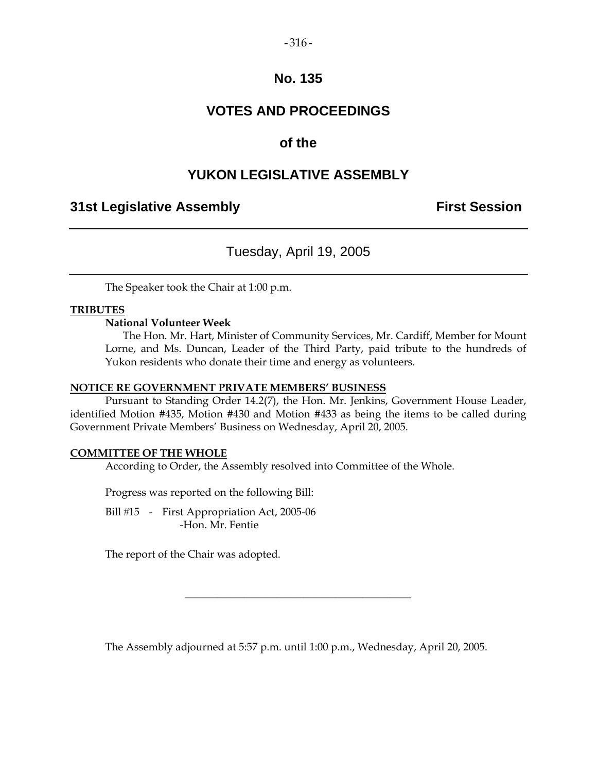### $-316-$

### **No. 135**

# **VOTES AND PROCEEDINGS**

# **of the**

# **YUKON LEGISLATIVE ASSEMBLY**

### **31st Legislative Assembly First Session**

# Tuesday, April 19, 2005

The Speaker took the Chair at 1:00 p.m.

### **TRIBUTES**

### **National Volunteer Week**

 The Hon. Mr. Hart, Minister of Community Services, Mr. Cardiff, Member for Mount Lorne, and Ms. Duncan, Leader of the Third Party, paid tribute to the hundreds of Yukon residents who donate their time and energy as volunteers.

### **NOTICE RE GOVERNMENT PRIVATE MEMBERS' BUSINESS**

 Pursuant to Standing Order 14.2(7), the Hon. Mr. Jenkins, Government House Leader, identified Motion #435, Motion #430 and Motion #433 as being the items to be called during Government Private Members' Business on Wednesday, April 20, 2005.

### **COMMITTEE OF THE WHOLE**

According to Order, the Assembly resolved into Committee of the Whole.

Progress was reported on the following Bill:

Bill #15 - First Appropriation Act, 2005-06 -Hon. Mr. Fentie

The report of the Chair was adopted.

The Assembly adjourned at 5:57 p.m. until 1:00 p.m., Wednesday, April 20, 2005.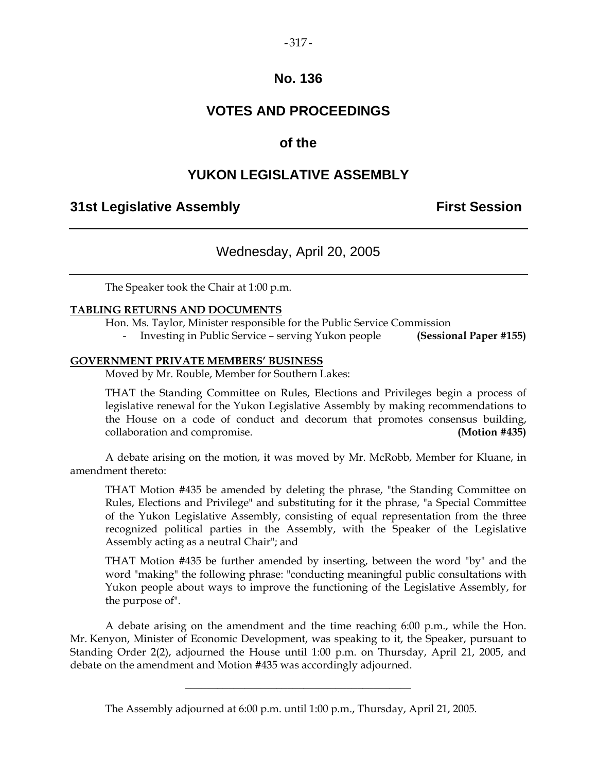### $-317-$

### **No. 136**

# **VOTES AND PROCEEDINGS**

## **of the**

# **YUKON LEGISLATIVE ASSEMBLY**

### **31st Legislative Assembly First Session**

# Wednesday, April 20, 2005

The Speaker took the Chair at 1:00 p.m.

### **TABLING RETURNS AND DOCUMENTS**

Hon. Ms. Taylor, Minister responsible for the Public Service Commission

- Investing in Public Service – serving Yukon people **(Sessional Paper #155)** 

#### **GOVERNMENT PRIVATE MEMBERS' BUSINESS**

Moved by Mr. Rouble, Member for Southern Lakes:

 THAT the Standing Committee on Rules, Elections and Privileges begin a process of legislative renewal for the Yukon Legislative Assembly by making recommendations to the House on a code of conduct and decorum that promotes consensus building, collaboration and compromise. **(Motion #435)** 

 A debate arising on the motion, it was moved by Mr. McRobb, Member for Kluane, in amendment thereto:

 THAT Motion #435 be amended by deleting the phrase, "the Standing Committee on Rules, Elections and Privilege" and substituting for it the phrase, "a Special Committee of the Yukon Legislative Assembly, consisting of equal representation from the three recognized political parties in the Assembly, with the Speaker of the Legislative Assembly acting as a neutral Chair"; and

 THAT Motion #435 be further amended by inserting, between the word "by" and the word "making" the following phrase: "conducting meaningful public consultations with Yukon people about ways to improve the functioning of the Legislative Assembly, for the purpose of".

 A debate arising on the amendment and the time reaching 6:00 p.m., while the Hon. Mr. Kenyon, Minister of Economic Development, was speaking to it, the Speaker, pursuant to Standing Order 2(2), adjourned the House until 1:00 p.m. on Thursday, April 21, 2005, and debate on the amendment and Motion #435 was accordingly adjourned.

The Assembly adjourned at 6:00 p.m. until 1:00 p.m., Thursday, April 21, 2005.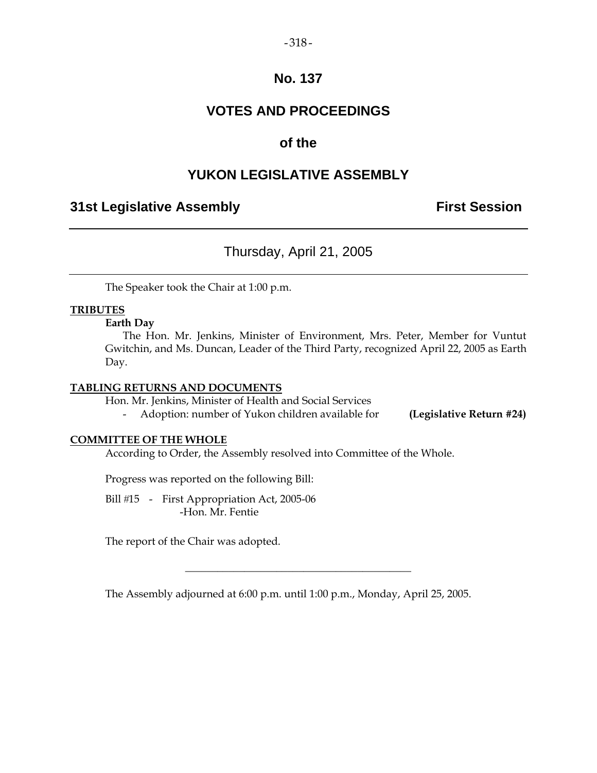### $-318-$

### **No. 137**

# **VOTES AND PROCEEDINGS**

### **of the**

### **YUKON LEGISLATIVE ASSEMBLY**

### **31st Legislative Assembly The Contract Session**

# Thursday, April 21, 2005

The Speaker took the Chair at 1:00 p.m.

### **TRIBUTES**

### **Earth Day**

 The Hon. Mr. Jenkins, Minister of Environment, Mrs. Peter, Member for Vuntut Gwitchin, and Ms. Duncan, Leader of the Third Party, recognized April 22, 2005 as Earth Day.

#### **TABLING RETURNS AND DOCUMENTS**

Hon. Mr. Jenkins, Minister of Health and Social Services

- Adoption: number of Yukon children available for **(Legislative Return #24)** 

### **COMMITTEE OF THE WHOLE**

According to Order, the Assembly resolved into Committee of the Whole.

Progress was reported on the following Bill:

Bill #15 - First Appropriation Act, 2005-06 -Hon. Mr. Fentie

The report of the Chair was adopted.

The Assembly adjourned at 6:00 p.m. until 1:00 p.m., Monday, April 25, 2005.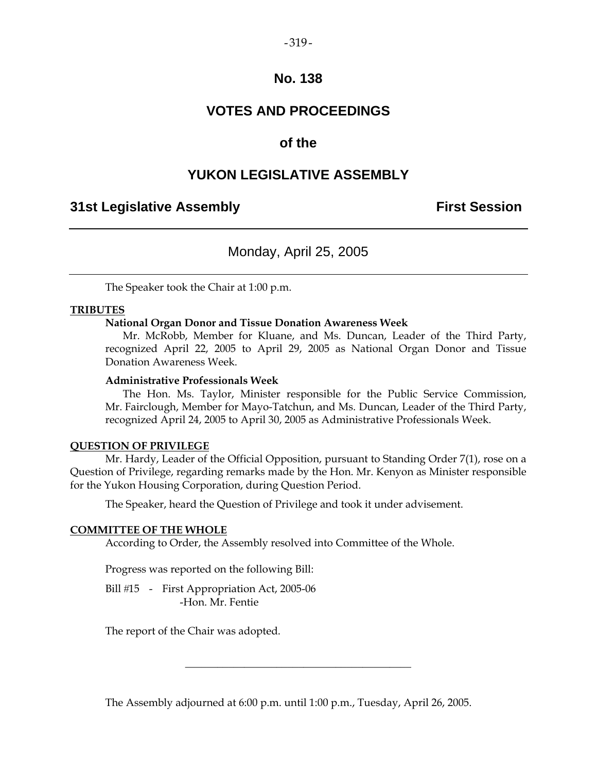### $-319-$

### **No. 138**

# **VOTES AND PROCEEDINGS**

### **of the**

### **YUKON LEGISLATIVE ASSEMBLY**

### **31st Legislative Assembly First Session**

### Monday, April 25, 2005

The Speaker took the Chair at 1:00 p.m.

#### **TRIBUTES**

### **National Organ Donor and Tissue Donation Awareness Week**

 Mr. McRobb, Member for Kluane, and Ms. Duncan, Leader of the Third Party, recognized April 22, 2005 to April 29, 2005 as National Organ Donor and Tissue Donation Awareness Week.

### **Administrative Professionals Week**

 The Hon. Ms. Taylor, Minister responsible for the Public Service Commission, Mr. Fairclough, Member for Mayo-Tatchun, and Ms. Duncan, Leader of the Third Party, recognized April 24, 2005 to April 30, 2005 as Administrative Professionals Week.

#### **QUESTION OF PRIVILEGE**

 Mr. Hardy, Leader of the Official Opposition, pursuant to Standing Order 7(1), rose on a Question of Privilege, regarding remarks made by the Hon. Mr. Kenyon as Minister responsible for the Yukon Housing Corporation, during Question Period.

The Speaker, heard the Question of Privilege and took it under advisement.

#### **COMMITTEE OF THE WHOLE**

According to Order, the Assembly resolved into Committee of the Whole.

Progress was reported on the following Bill:

Bill #15 - First Appropriation Act, 2005-06 -Hon. Mr. Fentie

The report of the Chair was adopted.

The Assembly adjourned at 6:00 p.m. until 1:00 p.m., Tuesday, April 26, 2005.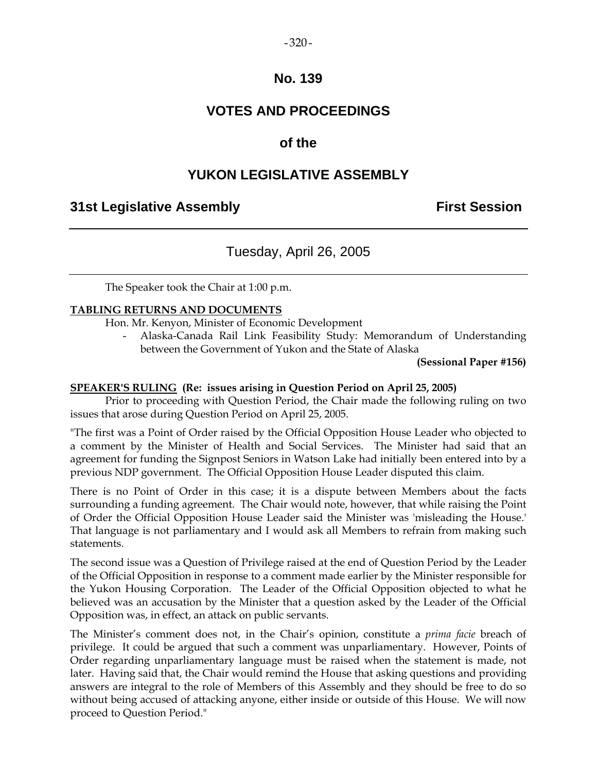### $-320-$

### **No. 139**

# **VOTES AND PROCEEDINGS**

# **of the**

# **YUKON LEGISLATIVE ASSEMBLY**

### **31st Legislative Assembly First Session**

# Tuesday, April 26, 2005

The Speaker took the Chair at 1:00 p.m.

### **TABLING RETURNS AND DOCUMENTS**

Hon. Mr. Kenyon, Minister of Economic Development

 - Alaska-Canada Rail Link Feasibility Study: Memorandum of Understanding between the Government of Yukon and the State of Alaska

**(Sessional Paper #156)** 

### **SPEAKER'S RULING (Re: issues arising in Question Period on April 25, 2005)**

 Prior to proceeding with Question Period, the Chair made the following ruling on two issues that arose during Question Period on April 25, 2005.

"The first was a Point of Order raised by the Official Opposition House Leader who objected to a comment by the Minister of Health and Social Services. The Minister had said that an agreement for funding the Signpost Seniors in Watson Lake had initially been entered into by a previous NDP government. The Official Opposition House Leader disputed this claim.

There is no Point of Order in this case; it is a dispute between Members about the facts surrounding a funding agreement. The Chair would note, however, that while raising the Point of Order the Official Opposition House Leader said the Minister was 'misleading the House.' That language is not parliamentary and I would ask all Members to refrain from making such statements.

The second issue was a Question of Privilege raised at the end of Question Period by the Leader of the Official Opposition in response to a comment made earlier by the Minister responsible for the Yukon Housing Corporation. The Leader of the Official Opposition objected to what he believed was an accusation by the Minister that a question asked by the Leader of the Official Opposition was, in effect, an attack on public servants.

The Minister's comment does not, in the Chair's opinion, constitute a *prima facie* breach of privilege. It could be argued that such a comment was unparliamentary. However, Points of Order regarding unparliamentary language must be raised when the statement is made, not later. Having said that, the Chair would remind the House that asking questions and providing answers are integral to the role of Members of this Assembly and they should be free to do so without being accused of attacking anyone, either inside or outside of this House. We will now proceed to Question Period."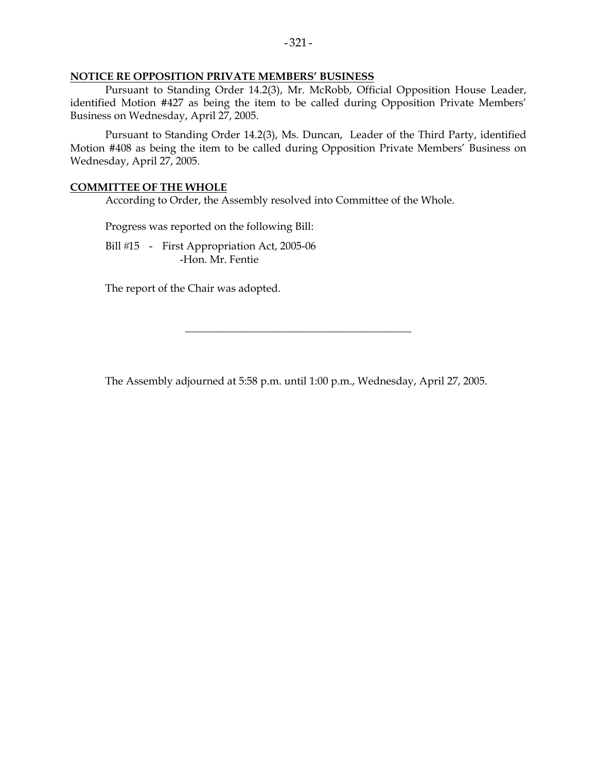### **NOTICE RE OPPOSITION PRIVATE MEMBERS' BUSINESS**

 Pursuant to Standing Order 14.2(3), Mr. McRobb, Official Opposition House Leader, identified Motion #427 as being the item to be called during Opposition Private Members' Business on Wednesday, April 27, 2005.

 Pursuant to Standing Order 14.2(3), Ms. Duncan, Leader of the Third Party, identified Motion #408 as being the item to be called during Opposition Private Members' Business on Wednesday, April 27, 2005.

### **COMMITTEE OF THE WHOLE**

According to Order, the Assembly resolved into Committee of the Whole.

Progress was reported on the following Bill:

Bill #15 - First Appropriation Act, 2005-06 -Hon. Mr. Fentie

The report of the Chair was adopted.

The Assembly adjourned at 5:58 p.m. until 1:00 p.m., Wednesday, April 27, 2005.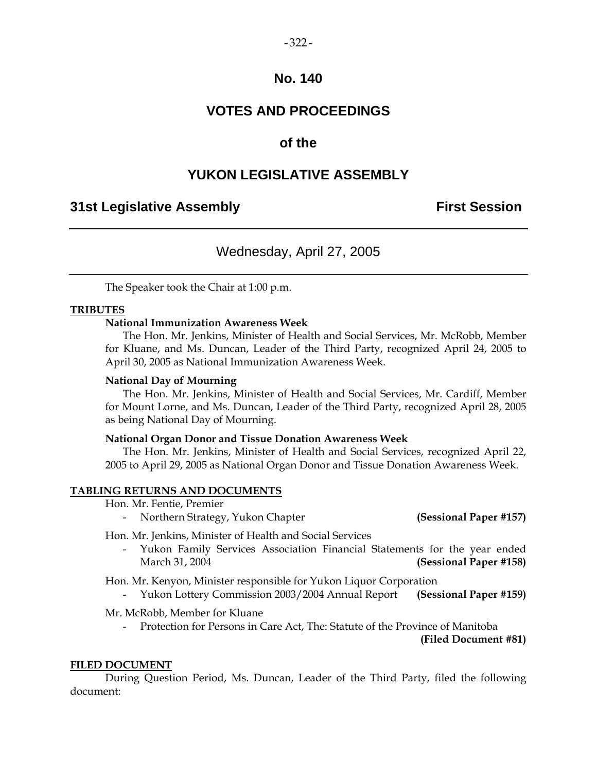## **No. 140**

# **VOTES AND PROCEEDINGS**

## **of the**

# **YUKON LEGISLATIVE ASSEMBLY**

## **31st Legislative Assembly First Session**

# Wednesday, April 27, 2005

The Speaker took the Chair at 1:00 p.m.

## **TRIBUTES**

## **National Immunization Awareness Week**

 The Hon. Mr. Jenkins, Minister of Health and Social Services, Mr. McRobb, Member for Kluane, and Ms. Duncan, Leader of the Third Party, recognized April 24, 2005 to April 30, 2005 as National Immunization Awareness Week.

#### **National Day of Mourning**

 The Hon. Mr. Jenkins, Minister of Health and Social Services, Mr. Cardiff, Member for Mount Lorne, and Ms. Duncan, Leader of the Third Party, recognized April 28, 2005 as being National Day of Mourning.

#### **National Organ Donor and Tissue Donation Awareness Week**

 The Hon. Mr. Jenkins, Minister of Health and Social Services, recognized April 22, 2005 to April 29, 2005 as National Organ Donor and Tissue Donation Awareness Week.

## **TABLING RETURNS AND DOCUMENTS**

Hon. Mr. Fentie, Premier

- Northern Strategy, Yukon Chapter **(Sessional Paper #157)** 

Hon. Mr. Jenkins, Minister of Health and Social Services

 - Yukon Family Services Association Financial Statements for the year ended March 31, 2004 **(Sessional Paper #158)** 

Hon. Mr. Kenyon, Minister responsible for Yukon Liquor Corporation

- Yukon Lottery Commission 2003/2004 Annual Report **(Sessional Paper #159)** 

Mr. McRobb, Member for Kluane

Protection for Persons in Care Act, The: Statute of the Province of Manitoba

**(Filed Document #81)** 

#### **FILED DOCUMENT**

 During Question Period, Ms. Duncan, Leader of the Third Party, filed the following document: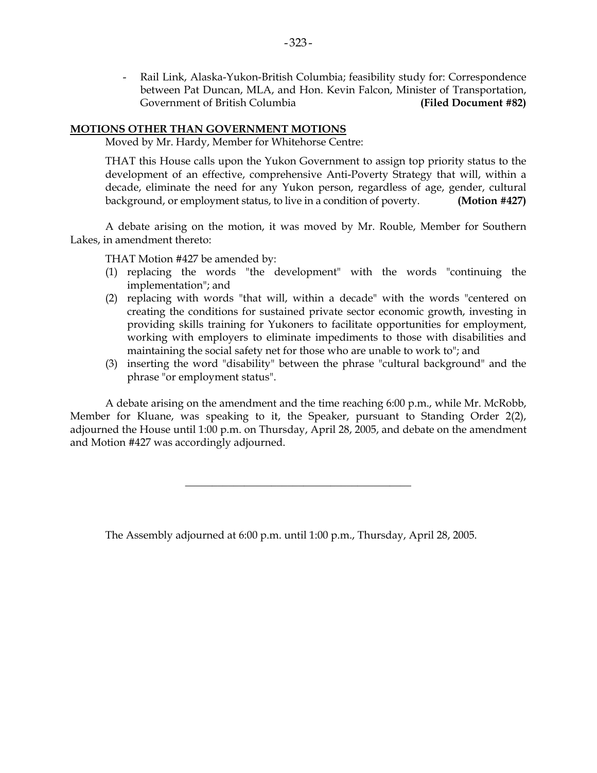- Rail Link, Alaska-Yukon-British Columbia; feasibility study for: Correspondence between Pat Duncan, MLA, and Hon. Kevin Falcon, Minister of Transportation, Government of British Columbia **(Filed Document #82)**

## **MOTIONS OTHER THAN GOVERNMENT MOTIONS**

Moved by Mr. Hardy, Member for Whitehorse Centre:

 THAT this House calls upon the Yukon Government to assign top priority status to the development of an effective, comprehensive Anti-Poverty Strategy that will, within a decade, eliminate the need for any Yukon person, regardless of age, gender, cultural background, or employment status, to live in a condition of poverty. **(Motion #427)**

 A debate arising on the motion, it was moved by Mr. Rouble, Member for Southern Lakes, in amendment thereto:

THAT Motion #427 be amended by:

- (1) replacing the words "the development" with the words "continuing the implementation"; and
- (2) replacing with words "that will, within a decade" with the words "centered on creating the conditions for sustained private sector economic growth, investing in providing skills training for Yukoners to facilitate opportunities for employment, working with employers to eliminate impediments to those with disabilities and maintaining the social safety net for those who are unable to work to"; and
- (3) inserting the word "disability" between the phrase "cultural background" and the phrase "or employment status".

 A debate arising on the amendment and the time reaching 6:00 p.m., while Mr. McRobb, Member for Kluane, was speaking to it, the Speaker, pursuant to Standing Order 2(2), adjourned the House until 1:00 p.m. on Thursday, April 28, 2005, and debate on the amendment and Motion #427 was accordingly adjourned.

\_\_\_\_\_\_\_\_\_\_\_\_\_\_\_\_\_\_\_\_\_\_\_\_\_\_\_\_\_\_\_\_\_\_\_\_\_\_\_\_\_\_

The Assembly adjourned at 6:00 p.m. until 1:00 p.m., Thursday, April 28, 2005.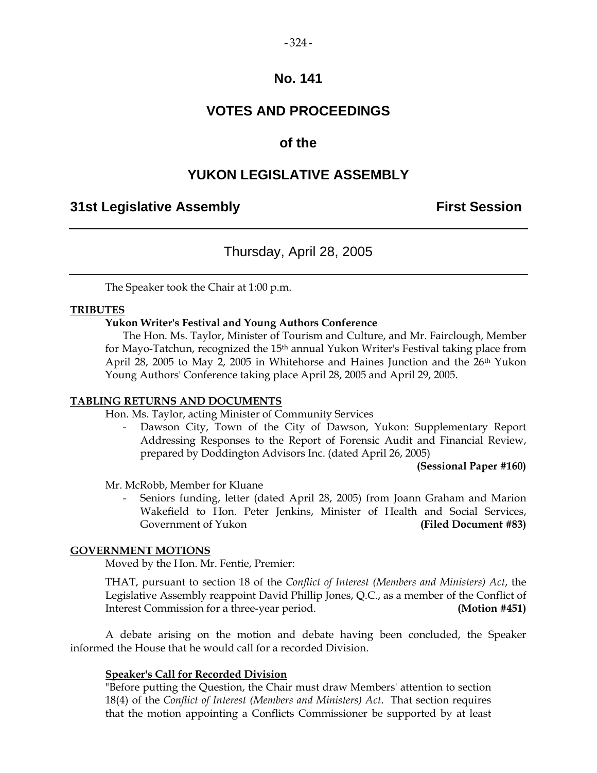## $-324-$

## **No. 141**

# **VOTES AND PROCEEDINGS**

# **of the**

# **YUKON LEGISLATIVE ASSEMBLY**

## **31st Legislative Assembly First Session**

# Thursday, April 28, 2005

The Speaker took the Chair at 1:00 p.m.

## **TRIBUTES**

## **Yukon Writer's Festival and Young Authors Conference**

 The Hon. Ms. Taylor, Minister of Tourism and Culture, and Mr. Fairclough, Member for Mayo-Tatchun, recognized the 15th annual Yukon Writer's Festival taking place from April 28, 2005 to May 2, 2005 in Whitehorse and Haines Junction and the 26th Yukon Young Authors' Conference taking place April 28, 2005 and April 29, 2005.

## **TABLING RETURNS AND DOCUMENTS**

Hon. Ms. Taylor, acting Minister of Community Services

Dawson City, Town of the City of Dawson, Yukon: Supplementary Report Addressing Responses to the Report of Forensic Audit and Financial Review, prepared by Doddington Advisors Inc. (dated April 26, 2005)

 **(Sessional Paper #160)** 

Mr. McRobb, Member for Kluane

 - Seniors funding, letter (dated April 28, 2005) from Joann Graham and Marion Wakefield to Hon. Peter Jenkins, Minister of Health and Social Services, Government of Yukon **(Filed Document #83)** 

## **GOVERNMENT MOTIONS**

Moved by the Hon. Mr. Fentie, Premier:

 THAT, pursuant to section 18 of the *Conflict of Interest (Members and Ministers) Act*, the Legislative Assembly reappoint David Phillip Jones, Q.C., as a member of the Conflict of Interest Commission for a three-year period. **(Motion #451)**

 A debate arising on the motion and debate having been concluded, the Speaker informed the House that he would call for a recorded Division.

## **Speaker's Call for Recorded Division**

 "Before putting the Question, the Chair must draw Members' attention to section 18(4) of the *Conflict of Interest (Members and Ministers) Act*. That section requires that the motion appointing a Conflicts Commissioner be supported by at least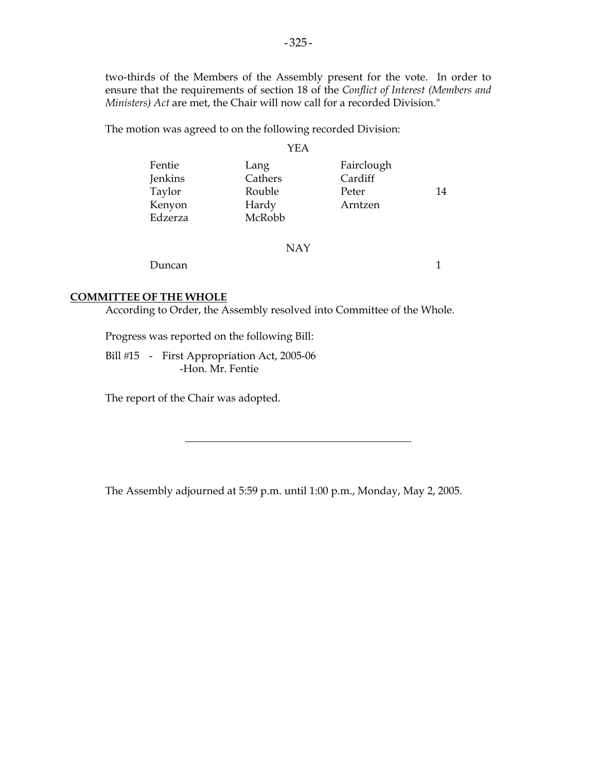two-thirds of the Members of the Assembly present for the vote. In order to ensure that the requirements of section 18 of the *Conflict of Interest (Members and Ministers) Act* are met, the Chair will now call for a recorded Division."

The motion was agreed to on the following recorded Division:

#### YEA

| Fentie  | Lang    | Fairclough |    |
|---------|---------|------------|----|
| Jenkins | Cathers | Cardiff    |    |
| Taylor  | Rouble  | Peter      | 14 |
| Kenyon  | Hardy   | Arntzen    |    |
| Edzerza | McRobb  |            |    |
|         |         |            |    |

#### NAY

Duncan 1

## **COMMITTEE OF THE WHOLE**

According to Order, the Assembly resolved into Committee of the Whole.

Progress was reported on the following Bill:

Bill #15 - First Appropriation Act, 2005-06 -Hon. Mr. Fentie

The report of the Chair was adopted.

The Assembly adjourned at 5:59 p.m. until 1:00 p.m., Monday, May 2, 2005.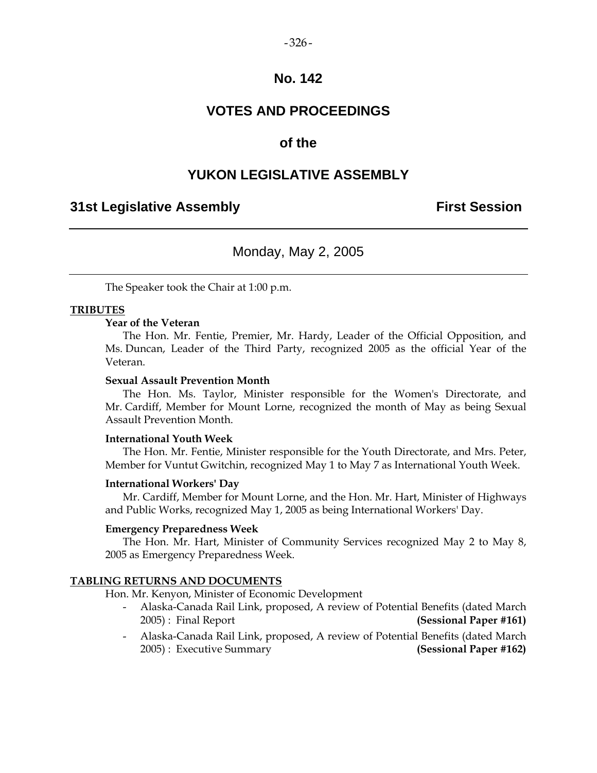#### $-326-$

## **No. 142**

# **VOTES AND PROCEEDINGS**

## **of the**

## **YUKON LEGISLATIVE ASSEMBLY**

## **31st Legislative Assembly First Session**

## Monday, May 2, 2005

The Speaker took the Chair at 1:00 p.m.

#### **TRIBUTES**

## **Year of the Veteran**

 The Hon. Mr. Fentie, Premier, Mr. Hardy, Leader of the Official Opposition, and Ms. Duncan, Leader of the Third Party, recognized 2005 as the official Year of the Veteran.

## **Sexual Assault Prevention Month**

 The Hon. Ms. Taylor, Minister responsible for the Women's Directorate, and Mr. Cardiff, Member for Mount Lorne, recognized the month of May as being Sexual Assault Prevention Month.

#### **International Youth Week**

 The Hon. Mr. Fentie, Minister responsible for the Youth Directorate, and Mrs. Peter, Member for Vuntut Gwitchin, recognized May 1 to May 7 as International Youth Week.

#### **International Workers' Day**

 Mr. Cardiff, Member for Mount Lorne, and the Hon. Mr. Hart, Minister of Highways and Public Works, recognized May 1, 2005 as being International Workers' Day.

#### **Emergency Preparedness Week**

 The Hon. Mr. Hart, Minister of Community Services recognized May 2 to May 8, 2005 as Emergency Preparedness Week.

#### **TABLING RETURNS AND DOCUMENTS**

Hon. Mr. Kenyon, Minister of Economic Development

- Alaska-Canada Rail Link, proposed, A review of Potential Benefits (dated March 2005) : Final Report **(Sessional Paper #161)**
- Alaska-Canada Rail Link, proposed, A review of Potential Benefits (dated March 2005) : Executive Summary **(Sessional Paper #162)**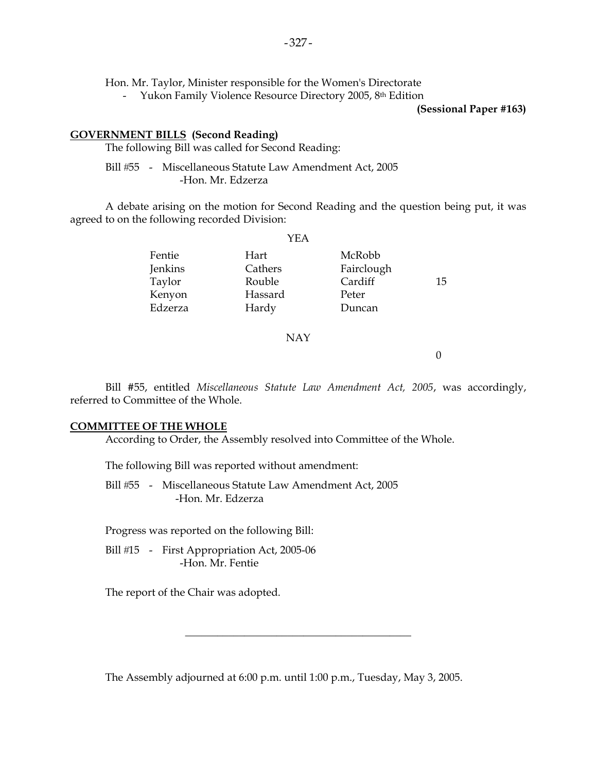Hon. Mr. Taylor, Minister responsible for the Women's Directorate

- Yukon Family Violence Resource Directory 2005, 8<sup>th</sup> Edition

**(Sessional Paper #163)** 

## **GOVERNMENT BILLS (Second Reading)**

The following Bill was called for Second Reading:

Bill #55 - Miscellaneous Statute Law Amendment Act, 2005 -Hon. Mr. Edzerza

 A debate arising on the motion for Second Reading and the question being put, it was agreed to on the following recorded Division:

| YEA     |            |    |
|---------|------------|----|
| Hart    | McRobb     |    |
| Cathers | Fairclough |    |
| Rouble  | Cardiff    | 15 |
| Hassard | Peter      |    |
| Hardy   | Duncan     |    |
|         |            |    |

## NAY

0

 Bill #55, entitled *Miscellaneous Statute Law Amendment Act, 2005*, was accordingly, referred to Committee of the Whole.

## **COMMITTEE OF THE WHOLE**

According to Order, the Assembly resolved into Committee of the Whole.

The following Bill was reported without amendment:

Bill #55 - Miscellaneous Statute Law Amendment Act, 2005 -Hon. Mr. Edzerza

Progress was reported on the following Bill:

Bill #15 - First Appropriation Act, 2005-06 -Hon. Mr. Fentie

The report of the Chair was adopted.

The Assembly adjourned at 6:00 p.m. until 1:00 p.m., Tuesday, May 3, 2005.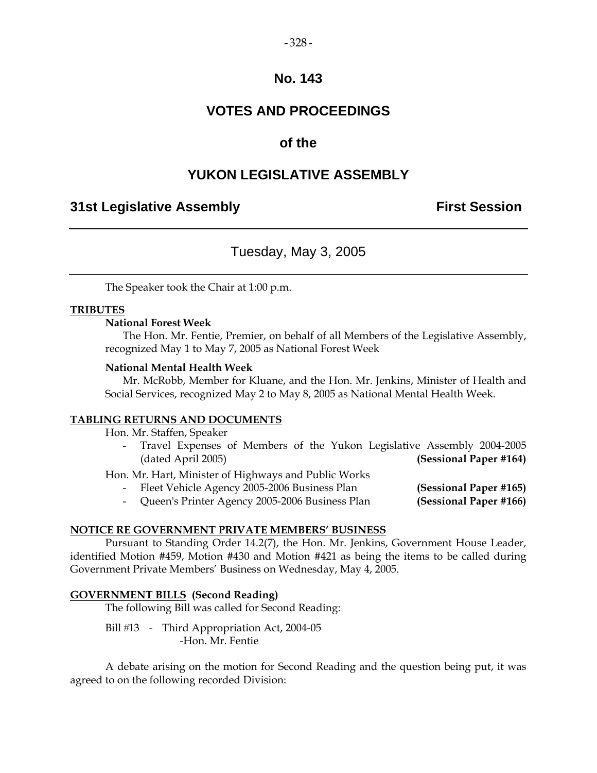#### $-328-$

## **No. 143**

# **VOTES AND PROCEEDINGS**

## **of the**

## **YUKON LEGISLATIVE ASSEMBLY**

## **31st Legislative Assembly First Session**

## Tuesday, May 3, 2005

The Speaker took the Chair at 1:00 p.m.

## **TRIBUTES**

## **National Forest Week**

 The Hon. Mr. Fentie, Premier, on behalf of all Members of the Legislative Assembly, recognized May 1 to May 7, 2005 as National Forest Week

## **National Mental Health Week**

 Mr. McRobb, Member for Kluane, and the Hon. Mr. Jenkins, Minister of Health and Social Services, recognized May 2 to May 8, 2005 as National Mental Health Week.

#### **TABLING RETURNS AND DOCUMENTS**

Hon. Mr. Staffen, Speaker

 - Travel Expenses of Members of the Yukon Legislative Assembly 2004-2005 (dated April 2005) **(Sessional Paper #164)** 

Hon. Mr. Hart, Minister of Highways and Public Works

- Fleet Vehicle Agency 2005-2006 Business Plan **(Sessional Paper #165)**
- Queen's Printer Agency 2005-2006 Business Plan **(Sessional Paper #166)**

## **NOTICE RE GOVERNMENT PRIVATE MEMBERS' BUSINESS**

 Pursuant to Standing Order 14.2(7), the Hon. Mr. Jenkins, Government House Leader, identified Motion #459, Motion #430 and Motion #421 as being the items to be called during Government Private Members' Business on Wednesday, May 4, 2005.

## **GOVERNMENT BILLS (Second Reading)**

The following Bill was called for Second Reading:

Bill #13 - Third Appropriation Act, 2004-05 -Hon. Mr. Fentie

 A debate arising on the motion for Second Reading and the question being put, it was agreed to on the following recorded Division: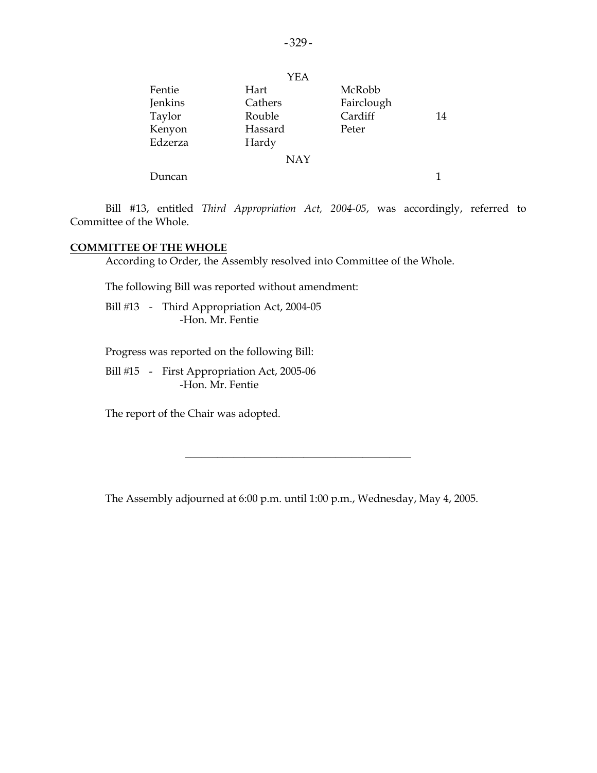|         | <b>YEA</b> |            |    |
|---------|------------|------------|----|
| Fentie  | Hart       | McRobb     |    |
| Jenkins | Cathers    | Fairclough |    |
| Taylor  | Rouble     | Cardiff    | 14 |
| Kenyon  | Hassard    | Peter      |    |
| Edzerza | Hardy      |            |    |
|         | <b>NAY</b> |            |    |
| Duncan  |            |            | 1  |

 Bill #13, entitled *Third Appropriation Act, 2004-05*, was accordingly, referred to Committee of the Whole.

## **COMMITTEE OF THE WHOLE**

According to Order, the Assembly resolved into Committee of the Whole.

The following Bill was reported without amendment:

Bill #13 - Third Appropriation Act, 2004-05 -Hon. Mr. Fentie

Progress was reported on the following Bill:

Bill #15 - First Appropriation Act, 2005-06 -Hon. Mr. Fentie

The report of the Chair was adopted.

The Assembly adjourned at 6:00 p.m. until 1:00 p.m., Wednesday, May 4, 2005.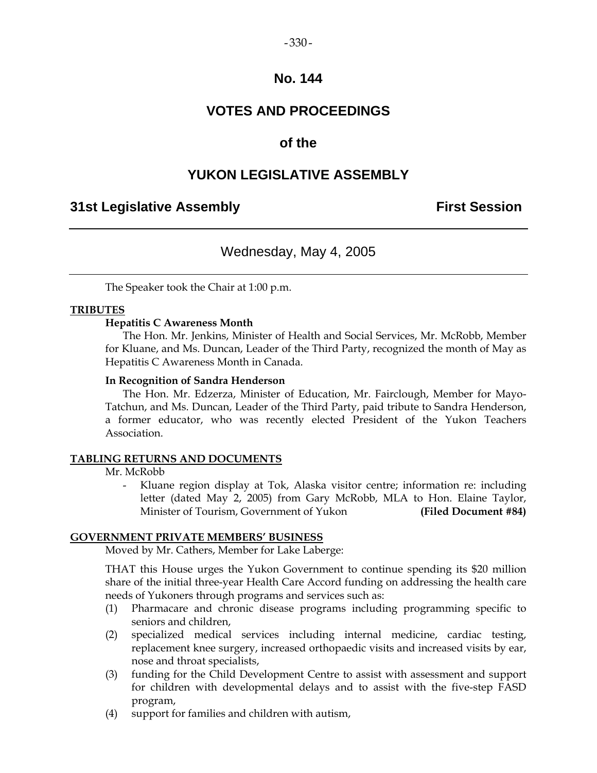#### $-330-$

## **No. 144**

# **VOTES AND PROCEEDINGS**

## **of the**

## **YUKON LEGISLATIVE ASSEMBLY**

## **31st Legislative Assembly First Session**

## Wednesday, May 4, 2005

The Speaker took the Chair at 1:00 p.m.

## **TRIBUTES**

## **Hepatitis C Awareness Month**

 The Hon. Mr. Jenkins, Minister of Health and Social Services, Mr. McRobb, Member for Kluane, and Ms. Duncan, Leader of the Third Party, recognized the month of May as Hepatitis C Awareness Month in Canada.

#### **In Recognition of Sandra Henderson**

 The Hon. Mr. Edzerza, Minister of Education, Mr. Fairclough, Member for Mayo-Tatchun, and Ms. Duncan, Leader of the Third Party, paid tribute to Sandra Henderson, a former educator, who was recently elected President of the Yukon Teachers Association.

#### **TABLING RETURNS AND DOCUMENTS**

Mr. McRobb

Kluane region display at Tok, Alaska visitor centre; information re: including letter (dated May 2, 2005) from Gary McRobb, MLA to Hon. Elaine Taylor, Minister of Tourism, Government of Yukon (Filed Document #84)

## **GOVERNMENT PRIVATE MEMBERS' BUSINESS**

Moved by Mr. Cathers, Member for Lake Laberge:

 THAT this House urges the Yukon Government to continue spending its \$20 million share of the initial three-year Health Care Accord funding on addressing the health care needs of Yukoners through programs and services such as:

- (1) Pharmacare and chronic disease programs including programming specific to seniors and children,
- (2) specialized medical services including internal medicine, cardiac testing, replacement knee surgery, increased orthopaedic visits and increased visits by ear, nose and throat specialists,
- (3) funding for the Child Development Centre to assist with assessment and support for children with developmental delays and to assist with the five-step FASD program,
- (4) support for families and children with autism,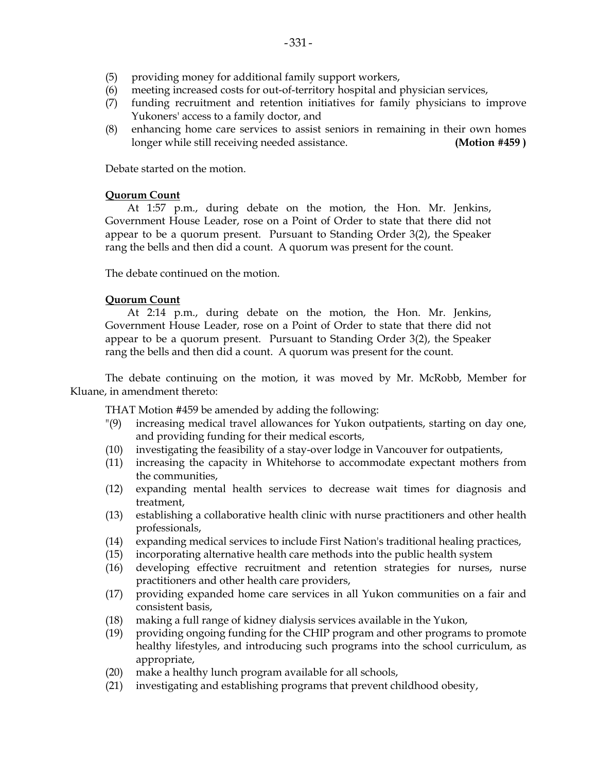- (5) providing money for additional family support workers,
- (6) meeting increased costs for out-of-territory hospital and physician services,
- (7) funding recruitment and retention initiatives for family physicians to improve Yukoners' access to a family doctor, and
- (8) enhancing home care services to assist seniors in remaining in their own homes longer while still receiving needed assistance. **(Motion #459 )**

Debate started on the motion.

## **Quorum Count**

 At 1:57 p.m., during debate on the motion, the Hon. Mr. Jenkins, Government House Leader, rose on a Point of Order to state that there did not appear to be a quorum present. Pursuant to Standing Order 3(2), the Speaker rang the bells and then did a count. A quorum was present for the count.

The debate continued on the motion.

## **Quorum Count**

 At 2:14 p.m., during debate on the motion, the Hon. Mr. Jenkins, Government House Leader, rose on a Point of Order to state that there did not appear to be a quorum present. Pursuant to Standing Order 3(2), the Speaker rang the bells and then did a count. A quorum was present for the count.

 The debate continuing on the motion, it was moved by Mr. McRobb, Member for Kluane, in amendment thereto:

THAT Motion #459 be amended by adding the following:

- "(9) increasing medical travel allowances for Yukon outpatients, starting on day one, and providing funding for their medical escorts,
- (10) investigating the feasibility of a stay-over lodge in Vancouver for outpatients,
- (11) increasing the capacity in Whitehorse to accommodate expectant mothers from the communities,
- (12) expanding mental health services to decrease wait times for diagnosis and treatment,
- (13) establishing a collaborative health clinic with nurse practitioners and other health professionals,
- (14) expanding medical services to include First Nation's traditional healing practices,
- (15) incorporating alternative health care methods into the public health system
- (16) developing effective recruitment and retention strategies for nurses, nurse practitioners and other health care providers,
- (17) providing expanded home care services in all Yukon communities on a fair and consistent basis,
- (18) making a full range of kidney dialysis services available in the Yukon,
- (19) providing ongoing funding for the CHIP program and other programs to promote healthy lifestyles, and introducing such programs into the school curriculum, as appropriate,
- (20) make a healthy lunch program available for all schools,
- (21) investigating and establishing programs that prevent childhood obesity,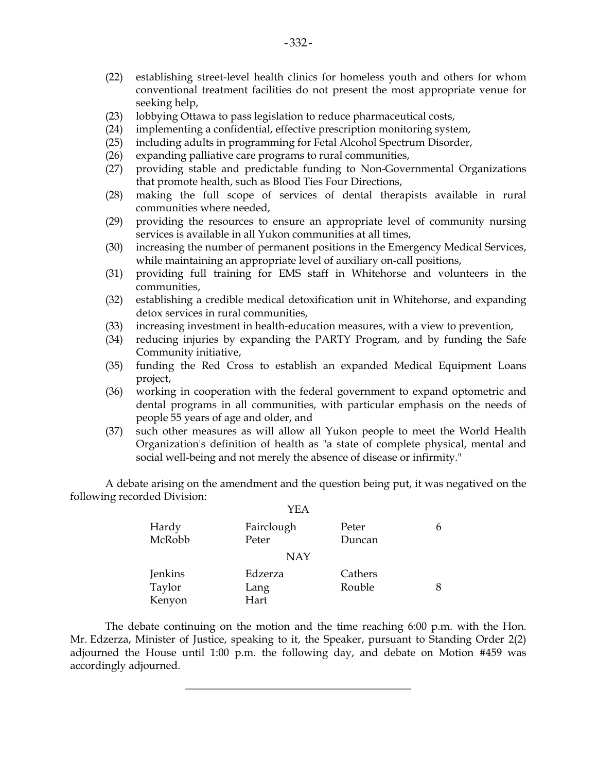- (22) establishing street-level health clinics for homeless youth and others for whom conventional treatment facilities do not present the most appropriate venue for seeking help,
- (23) lobbying Ottawa to pass legislation to reduce pharmaceutical costs,
- (24) implementing a confidential, effective prescription monitoring system,
- (25) including adults in programming for Fetal Alcohol Spectrum Disorder,
- (26) expanding palliative care programs to rural communities,
- (27) providing stable and predictable funding to Non-Governmental Organizations that promote health, such as Blood Ties Four Directions,
- (28) making the full scope of services of dental therapists available in rural communities where needed,
- (29) providing the resources to ensure an appropriate level of community nursing services is available in all Yukon communities at all times,
- (30) increasing the number of permanent positions in the Emergency Medical Services, while maintaining an appropriate level of auxiliary on-call positions,
- (31) providing full training for EMS staff in Whitehorse and volunteers in the communities,
- (32) establishing a credible medical detoxification unit in Whitehorse, and expanding detox services in rural communities,
- (33) increasing investment in health-education measures, with a view to prevention,
- (34) reducing injuries by expanding the PARTY Program, and by funding the Safe Community initiative,
- (35) funding the Red Cross to establish an expanded Medical Equipment Loans project,
- (36) working in cooperation with the federal government to expand optometric and dental programs in all communities, with particular emphasis on the needs of people 55 years of age and older, and
- (37) such other measures as will allow all Yukon people to meet the World Health Organization's definition of health as "a state of complete physical, mental and social well-being and not merely the absence of disease or infirmity."

 A debate arising on the amendment and the question being put, it was negatived on the following recorded Division:  $Y<sub>E</sub>$ 

|         | I EA       |         |   |
|---------|------------|---------|---|
| Hardy   | Fairclough | Peter   | 6 |
| McRobb  | Peter      | Duncan  |   |
|         | <b>NAY</b> |         |   |
| Jenkins | Edzerza    | Cathers |   |
| Taylor  | Lang       | Rouble  | 8 |
| Kenyon  | Hart       |         |   |

 The debate continuing on the motion and the time reaching 6:00 p.m. with the Hon. Mr. Edzerza, Minister of Justice, speaking to it, the Speaker, pursuant to Standing Order 2(2) adjourned the House until 1:00 p.m. the following day, and debate on Motion #459 was accordingly adjourned.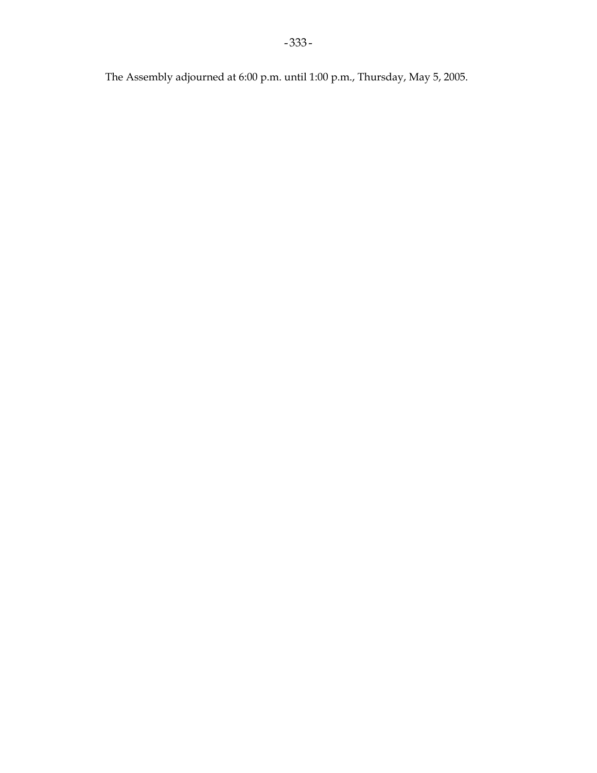The Assembly adjourned at 6:00 p.m. until 1:00 p.m., Thursday, May 5, 2005.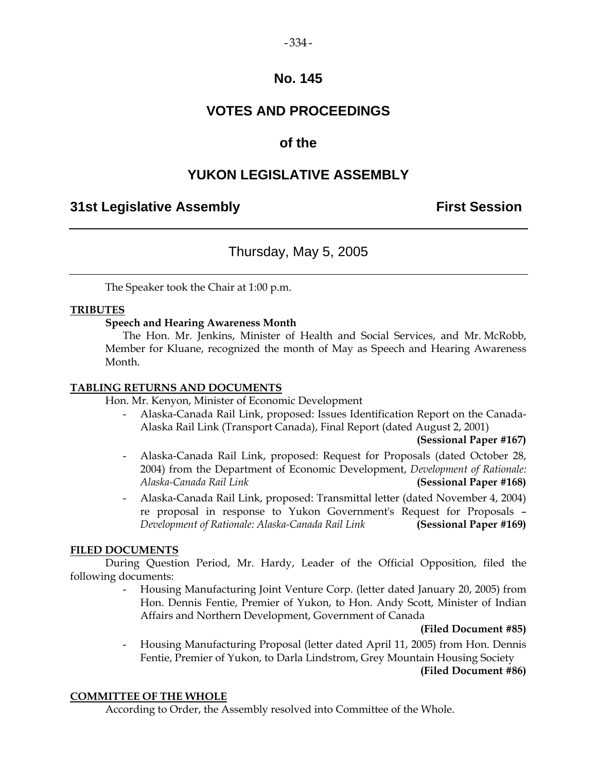# $-334-$

## **No. 145**

# **VOTES AND PROCEEDINGS**

# **of the**

# **YUKON LEGISLATIVE ASSEMBLY**

# **31st Legislative Assembly First Session**

# Thursday, May 5, 2005

The Speaker took the Chair at 1:00 p.m.

## **TRIBUTES**

## **Speech and Hearing Awareness Month**

 The Hon. Mr. Jenkins, Minister of Health and Social Services, and Mr. McRobb, Member for Kluane, recognized the month of May as Speech and Hearing Awareness Month.

## **TABLING RETURNS AND DOCUMENTS**

Hon. Mr. Kenyon, Minister of Economic Development

 - Alaska-Canada Rail Link, proposed: Issues Identification Report on the Canada-Alaska Rail Link (Transport Canada), Final Report (dated August 2, 2001)

## **(Sessional Paper #167)**

- Alaska-Canada Rail Link, proposed: Request for Proposals (dated October 28, 2004) from the Department of Economic Development, *Development of Rationale: Alaska-Canada Rail Link* **(Sessional Paper #168)**
- Alaska-Canada Rail Link, proposed: Transmittal letter (dated November 4, 2004) re proposal in response to Yukon Government's Request for Proposals – *Development of Rationale: Alaska-Canada Rail Link* **(Sessional Paper #169)**

## **FILED DOCUMENTS**

 During Question Period, Mr. Hardy, Leader of the Official Opposition, filed the following documents:

> - Housing Manufacturing Joint Venture Corp. (letter dated January 20, 2005) from Hon. Dennis Fentie, Premier of Yukon, to Hon. Andy Scott, Minister of Indian Affairs and Northern Development, Government of Canada

## **(Filed Document #85)**

 - Housing Manufacturing Proposal (letter dated April 11, 2005) from Hon. Dennis Fentie, Premier of Yukon, to Darla Lindstrom, Grey Mountain Housing Society

## **(Filed Document #86)**

## **COMMITTEE OF THE WHOLE**

According to Order, the Assembly resolved into Committee of the Whole.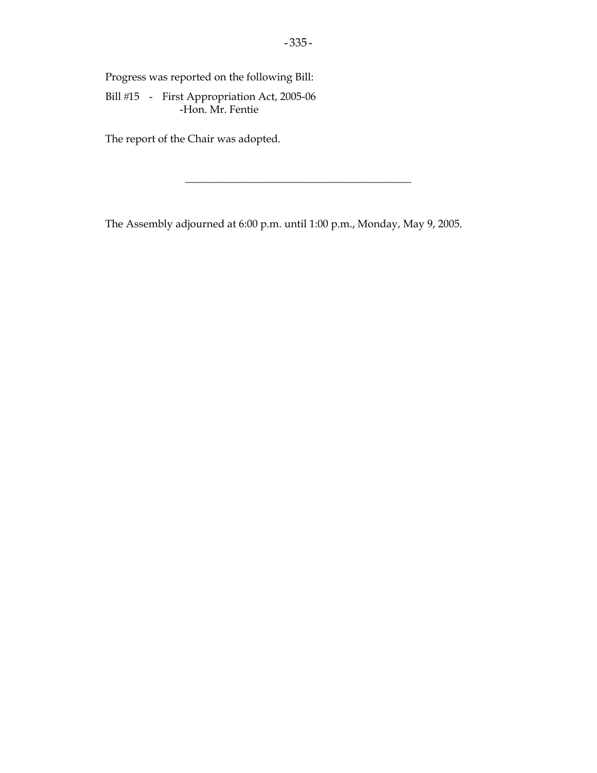Progress was reported on the following Bill:

Bill #15 - First Appropriation Act, 2005-06 -Hon. Mr. Fentie

The report of the Chair was adopted.

The Assembly adjourned at 6:00 p.m. until 1:00 p.m., Monday, May 9, 2005.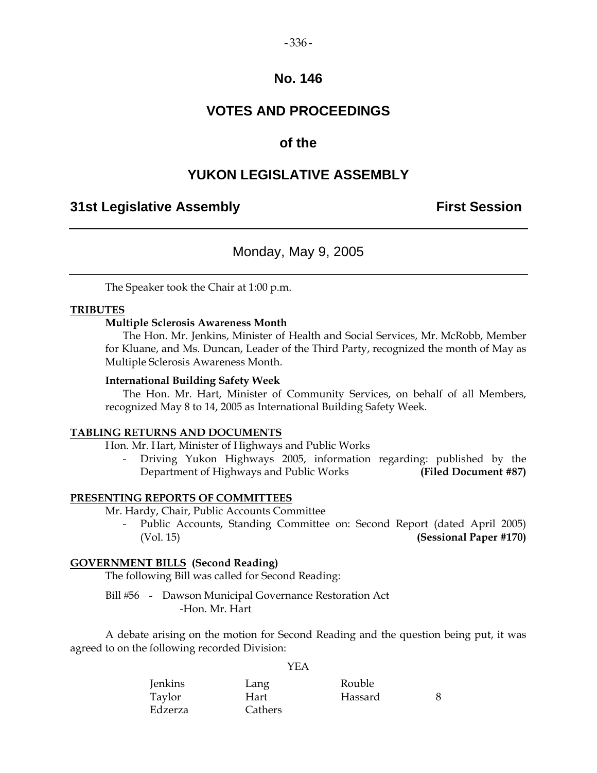#### $-336-$

## **No. 146**

# **VOTES AND PROCEEDINGS**

## **of the**

## **YUKON LEGISLATIVE ASSEMBLY**

## **31st Legislative Assembly First Session**

## Monday, May 9, 2005

The Speaker took the Chair at 1:00 p.m.

#### **TRIBUTES**

## **Multiple Sclerosis Awareness Month**

 The Hon. Mr. Jenkins, Minister of Health and Social Services, Mr. McRobb, Member for Kluane, and Ms. Duncan, Leader of the Third Party, recognized the month of May as Multiple Sclerosis Awareness Month.

#### **International Building Safety Week**

 The Hon. Mr. Hart, Minister of Community Services, on behalf of all Members, recognized May 8 to 14, 2005 as International Building Safety Week.

## **TABLING RETURNS AND DOCUMENTS**

Hon. Mr. Hart, Minister of Highways and Public Works

 - Driving Yukon Highways 2005, information regarding: published by the Department of Highways and Public Works **(Filed Document #87)** 

#### **PRESENTING REPORTS OF COMMITTEES**

Mr. Hardy, Chair, Public Accounts Committee

Public Accounts, Standing Committee on: Second Report (dated April 2005) (Vol. 15) **(Sessional Paper #170)**

## **GOVERNMENT BILLS (Second Reading)**

The following Bill was called for Second Reading:

Bill #56 - Dawson Municipal Governance Restoration Act -Hon. Mr. Hart

 A debate arising on the motion for Second Reading and the question being put, it was agreed to on the following recorded Division:

YEA

| Jenkins | Lang    | Rouble  |  |
|---------|---------|---------|--|
| Taylor  | Hart    | Hassard |  |
| Edzerza | Cathers |         |  |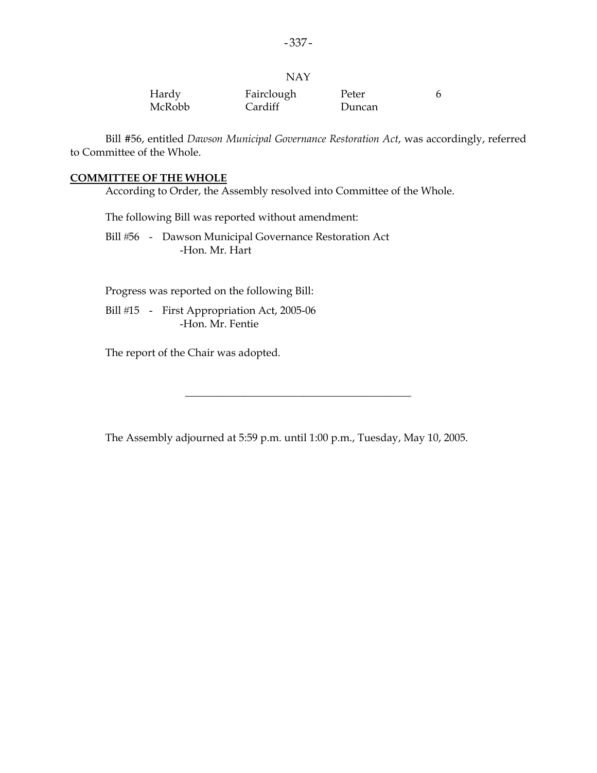| Hardy  | Fairclough | Peter  |  |
|--------|------------|--------|--|
| McRobb | Cardiff    | Duncan |  |

 Bill #56, entitled *Dawson Municipal Governance Restoration Act*, was accordingly, referred to Committee of the Whole.

#### **COMMITTEE OF THE WHOLE**

According to Order, the Assembly resolved into Committee of the Whole.

The following Bill was reported without amendment:

Bill #56 - Dawson Municipal Governance Restoration Act -Hon. Mr. Hart

Progress was reported on the following Bill:

Bill #15 - First Appropriation Act, 2005-06 -Hon. Mr. Fentie

The report of the Chair was adopted.

The Assembly adjourned at 5:59 p.m. until 1:00 p.m., Tuesday, May 10, 2005.

\_\_\_\_\_\_\_\_\_\_\_\_\_\_\_\_\_\_\_\_\_\_\_\_\_\_\_\_\_\_\_\_\_\_\_\_\_\_\_\_\_\_

NAY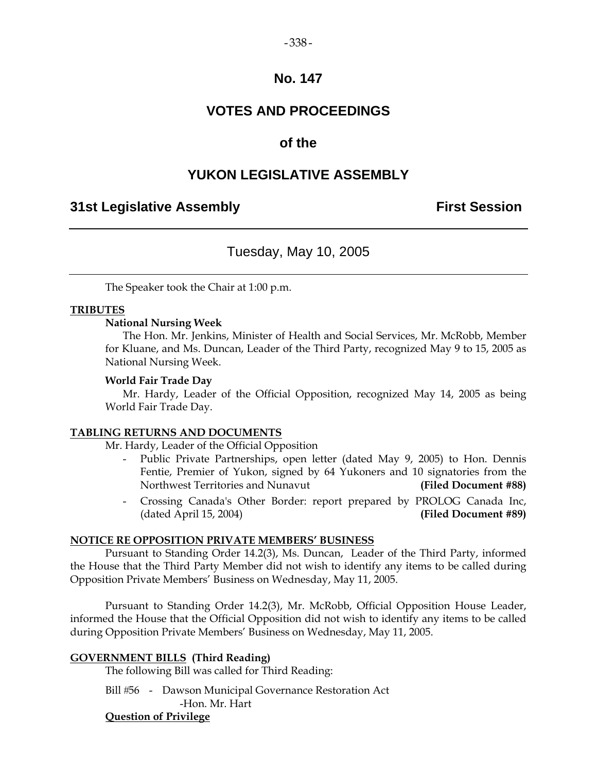#### $-338-$

## **No. 147**

# **VOTES AND PROCEEDINGS**

## **of the**

## **YUKON LEGISLATIVE ASSEMBLY**

## **31st Legislative Assembly First Session**

## Tuesday, May 10, 2005

The Speaker took the Chair at 1:00 p.m.

## **TRIBUTES**

#### **National Nursing Week**

 The Hon. Mr. Jenkins, Minister of Health and Social Services, Mr. McRobb, Member for Kluane, and Ms. Duncan, Leader of the Third Party, recognized May 9 to 15, 2005 as National Nursing Week.

#### **World Fair Trade Day**

 Mr. Hardy, Leader of the Official Opposition, recognized May 14, 2005 as being World Fair Trade Day.

## **TABLING RETURNS AND DOCUMENTS**

Mr. Hardy, Leader of the Official Opposition

- Public Private Partnerships, open letter (dated May 9, 2005) to Hon. Dennis Fentie, Premier of Yukon, signed by 64 Yukoners and 10 signatories from the Northwest Territories and Nunavut **(Filed Document #88)**
- Crossing Canada's Other Border: report prepared by PROLOG Canada Inc, (dated April 15, 2004) **(Filed Document #89)**

## **NOTICE RE OPPOSITION PRIVATE MEMBERS' BUSINESS**

 Pursuant to Standing Order 14.2(3), Ms. Duncan, Leader of the Third Party, informed the House that the Third Party Member did not wish to identify any items to be called during Opposition Private Members' Business on Wednesday, May 11, 2005.

 Pursuant to Standing Order 14.2(3), Mr. McRobb, Official Opposition House Leader, informed the House that the Official Opposition did not wish to identify any items to be called during Opposition Private Members' Business on Wednesday, May 11, 2005.

## **GOVERNMENT BILLS (Third Reading)**

The following Bill was called for Third Reading:

Bill #56 - Dawson Municipal Governance Restoration Act -Hon. Mr. Hart

## **Question of Privilege**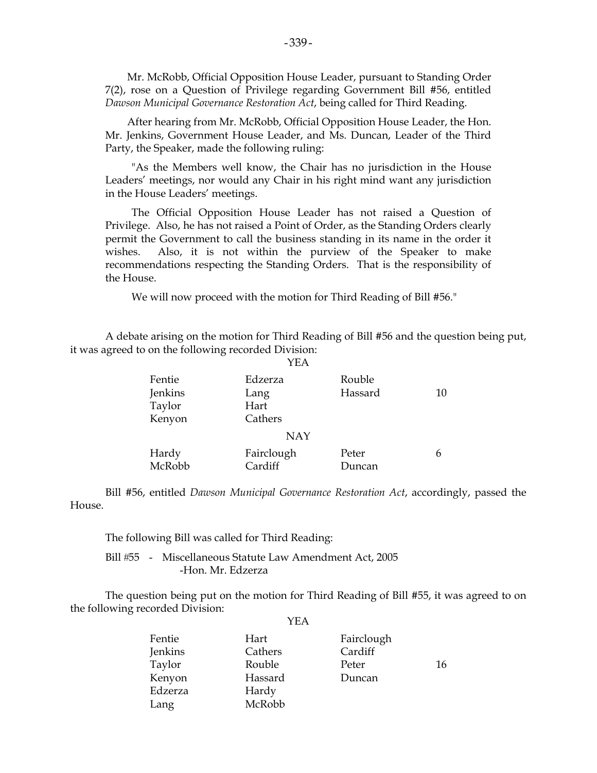Mr. McRobb, Official Opposition House Leader, pursuant to Standing Order 7(2), rose on a Question of Privilege regarding Government Bill #56, entitled *Dawson Municipal Governance Restoration Act*, being called for Third Reading.

 After hearing from Mr. McRobb, Official Opposition House Leader, the Hon. Mr. Jenkins, Government House Leader, and Ms. Duncan, Leader of the Third Party, the Speaker, made the following ruling:

 "As the Members well know, the Chair has no jurisdiction in the House Leaders' meetings, nor would any Chair in his right mind want any jurisdiction in the House Leaders' meetings.

 The Official Opposition House Leader has not raised a Question of Privilege. Also, he has not raised a Point of Order, as the Standing Orders clearly permit the Government to call the business standing in its name in the order it wishes. Also, it is not within the purview of the Speaker to make recommendations respecting the Standing Orders. That is the responsibility of the House.

We will now proceed with the motion for Third Reading of Bill #56."

 A debate arising on the motion for Third Reading of Bill #56 and the question being put, it was agreed to on the following recorded Division:

| Fentie  | Edzerza    | Rouble  |    |
|---------|------------|---------|----|
| Jenkins | Lang       | Hassard | 10 |
| Taylor  | Hart       |         |    |
| Kenyon  | Cathers    |         |    |
|         | <b>NAY</b> |         |    |
| Hardy   | Fairclough | Peter   | h  |
| McRobb  | Cardiff    | Duncan  |    |

 Bill #56, entitled *Dawson Municipal Governance Restoration Act*, accordingly, passed the House.

The following Bill was called for Third Reading:

Bill #55 - Miscellaneous Statute Law Amendment Act, 2005 -Hon. Mr. Edzerza

 The question being put on the motion for Third Reading of Bill #55, it was agreed to on the following recorded Division:

| Fentie  | Hart    | Fairclough |    |
|---------|---------|------------|----|
| Jenkins | Cathers | Cardiff    |    |
| Taylor  | Rouble  | Peter      | 16 |
| Kenyon  | Hassard | Duncan     |    |
| Edzerza | Hardy   |            |    |
| Lang    | McRobb  |            |    |

YEA

YEA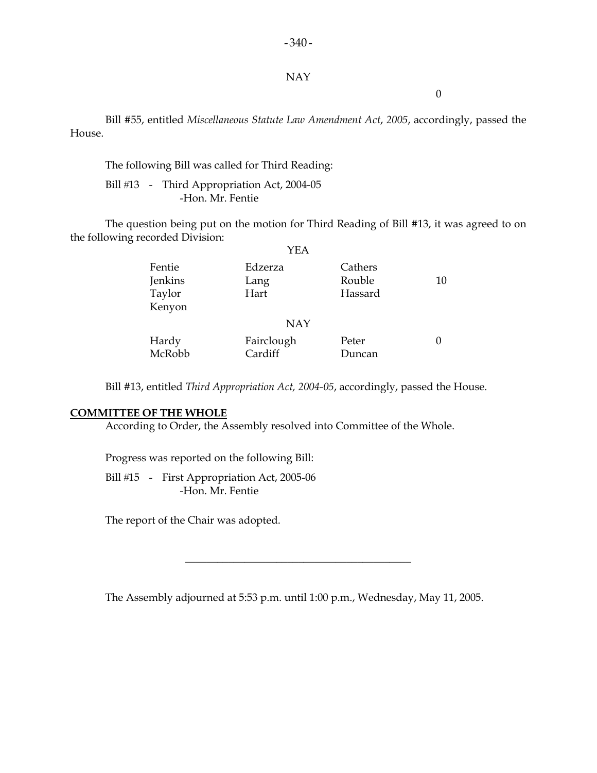#### NAY

 $-340-$ 

0

 Bill #55, entitled *Miscellaneous Statute Law Amendment Act*, *2005*, accordingly, passed the House.

The following Bill was called for Third Reading:

Bill #13 - Third Appropriation Act, 2004-05 -Hon. Mr. Fentie

 The question being put on the motion for Third Reading of Bill #13, it was agreed to on the following recorded Division:

|                                       | YEA                     |                              |    |
|---------------------------------------|-------------------------|------------------------------|----|
| Fentie<br>Jenkins<br>Taylor<br>Kenyon | Edzerza<br>Lang<br>Hart | Cathers<br>Rouble<br>Hassard | 10 |
|                                       | <b>NAY</b>              |                              |    |
| Hardy<br>McRobb                       | Fairclough<br>Cardiff   | Peter<br>Duncan              |    |

Bill #13, entitled *Third Appropriation Act, 2004-05*, accordingly, passed the House.

## **COMMITTEE OF THE WHOLE**

According to Order, the Assembly resolved into Committee of the Whole.

Progress was reported on the following Bill:

Bill #15 - First Appropriation Act, 2005-06 -Hon. Mr. Fentie

The report of the Chair was adopted.

The Assembly adjourned at 5:53 p.m. until 1:00 p.m., Wednesday, May 11, 2005.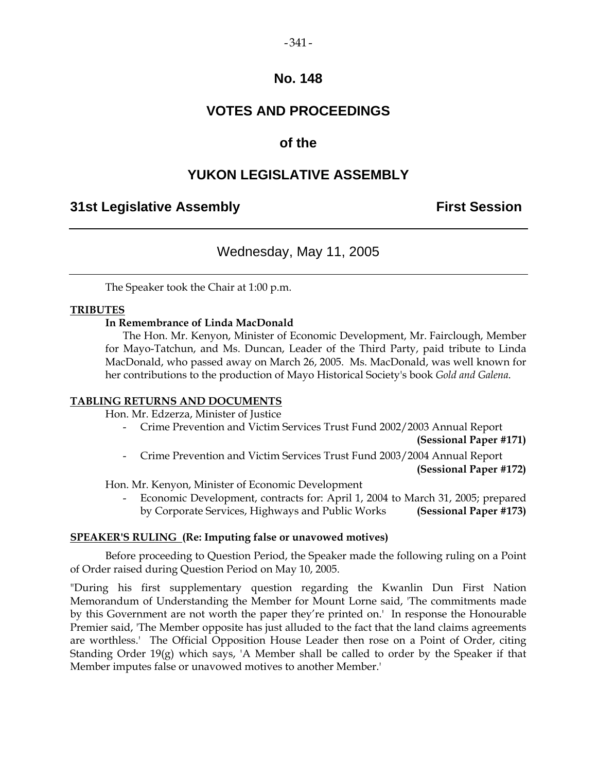# $-341-$

## **No. 148**

# **VOTES AND PROCEEDINGS**

# **of the**

# **YUKON LEGISLATIVE ASSEMBLY**

# **31st Legislative Assembly First Session**

# Wednesday, May 11, 2005

The Speaker took the Chair at 1:00 p.m.

## **TRIBUTES**

## **In Remembrance of Linda MacDonald**

 The Hon. Mr. Kenyon, Minister of Economic Development, Mr. Fairclough, Member for Mayo-Tatchun, and Ms. Duncan, Leader of the Third Party, paid tribute to Linda MacDonald, who passed away on March 26, 2005. Ms. MacDonald, was well known for her contributions to the production of Mayo Historical Society's book *Gold and Galena*.

## **TABLING RETURNS AND DOCUMENTS**

Hon. Mr. Edzerza, Minister of Justice

- Crime Prevention and Victim Services Trust Fund 2002/2003 Annual Report

**(Sessional Paper #171)** 

 - Crime Prevention and Victim Services Trust Fund 2003/2004 Annual Report **(Sessional Paper #172)** 

Hon. Mr. Kenyon, Minister of Economic Development

 - Economic Development, contracts for: April 1, 2004 to March 31, 2005; prepared by Corporate Services, Highways and Public Works **(Sessional Paper #173)**

## **SPEAKER'S RULING (Re: Imputing false or unavowed motives)**

Before proceeding to Question Period, the Speaker made the following ruling on a Point of Order raised during Question Period on May 10, 2005.

"During his first supplementary question regarding the Kwanlin Dun First Nation Memorandum of Understanding the Member for Mount Lorne said, 'The commitments made by this Government are not worth the paper they're printed on.' In response the Honourable Premier said, 'The Member opposite has just alluded to the fact that the land claims agreements are worthless.' The Official Opposition House Leader then rose on a Point of Order, citing Standing Order  $19(g)$  which says, 'A Member shall be called to order by the Speaker if that Member imputes false or unavowed motives to another Member.'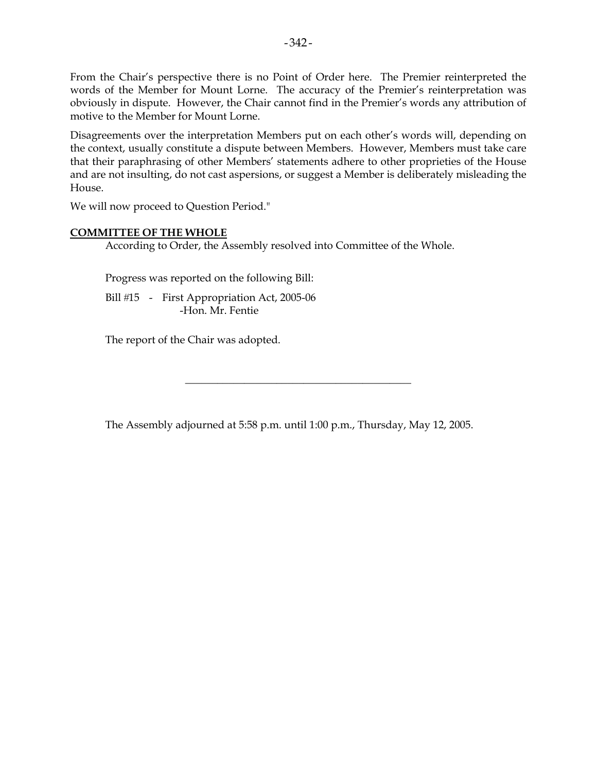From the Chair's perspective there is no Point of Order here. The Premier reinterpreted the words of the Member for Mount Lorne. The accuracy of the Premier's reinterpretation was obviously in dispute. However, the Chair cannot find in the Premier's words any attribution of motive to the Member for Mount Lorne.

Disagreements over the interpretation Members put on each other's words will, depending on the context, usually constitute a dispute between Members. However, Members must take care that their paraphrasing of other Members' statements adhere to other proprieties of the House and are not insulting, do not cast aspersions, or suggest a Member is deliberately misleading the House.

We will now proceed to Question Period."

## **COMMITTEE OF THE WHOLE**

According to Order, the Assembly resolved into Committee of the Whole.

Progress was reported on the following Bill:

Bill #15 - First Appropriation Act, 2005-06 -Hon. Mr. Fentie

The report of the Chair was adopted.

The Assembly adjourned at 5:58 p.m. until 1:00 p.m., Thursday, May 12, 2005.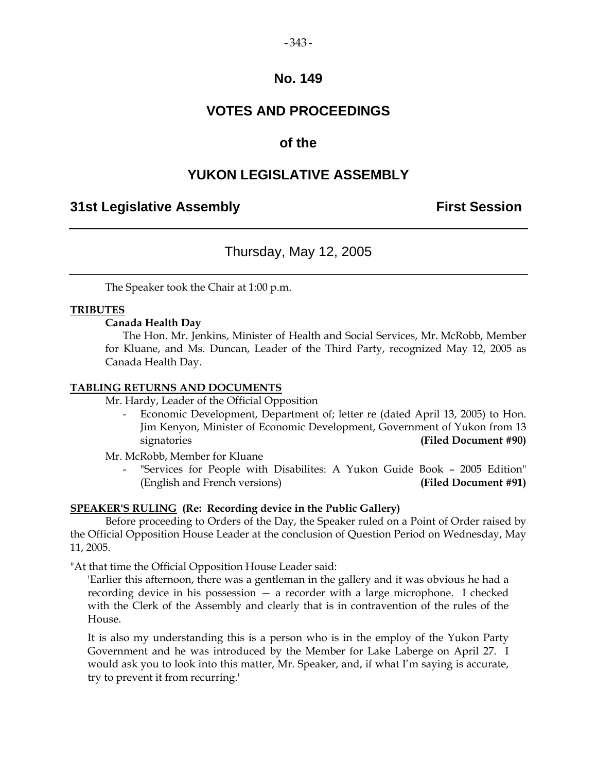## $-343-$

## **No. 149**

# **VOTES AND PROCEEDINGS**

# **of the**

# **YUKON LEGISLATIVE ASSEMBLY**

## **31st Legislative Assembly First Session**

# Thursday, May 12, 2005

The Speaker took the Chair at 1:00 p.m.

## **TRIBUTES**

## **Canada Health Day**

 The Hon. Mr. Jenkins, Minister of Health and Social Services, Mr. McRobb, Member for Kluane, and Ms. Duncan, Leader of the Third Party, recognized May 12, 2005 as Canada Health Day.

## **TABLING RETURNS AND DOCUMENTS**

Mr. Hardy, Leader of the Official Opposition

Economic Development, Department of; letter re (dated April 13, 2005) to Hon. Jim Kenyon, Minister of Economic Development, Government of Yukon from 13 signatories **(Filed Document #90)** 

Mr. McRobb, Member for Kluane

"Services for People with Disabilites: A Yukon Guide Book - 2005 Edition" (English and French versions) **(Filed Document #91)**

## **SPEAKER'S RULING (Re: Recording device in the Public Gallery)**

 Before proceeding to Orders of the Day, the Speaker ruled on a Point of Order raised by the Official Opposition House Leader at the conclusion of Question Period on Wednesday, May 11, 2005.

"At that time the Official Opposition House Leader said:

'Earlier this afternoon, there was a gentleman in the gallery and it was obvious he had a recording device in his possession — a recorder with a large microphone. I checked with the Clerk of the Assembly and clearly that is in contravention of the rules of the House.

It is also my understanding this is a person who is in the employ of the Yukon Party Government and he was introduced by the Member for Lake Laberge on April 27. I would ask you to look into this matter, Mr. Speaker, and, if what I'm saying is accurate, try to prevent it from recurring.'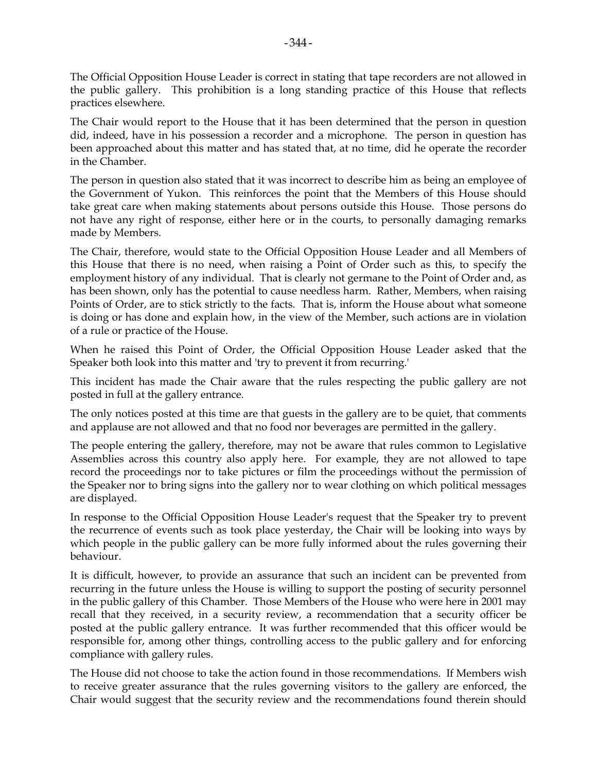The Official Opposition House Leader is correct in stating that tape recorders are not allowed in the public gallery. This prohibition is a long standing practice of this House that reflects practices elsewhere.

The Chair would report to the House that it has been determined that the person in question did, indeed, have in his possession a recorder and a microphone. The person in question has been approached about this matter and has stated that, at no time, did he operate the recorder in the Chamber.

The person in question also stated that it was incorrect to describe him as being an employee of the Government of Yukon. This reinforces the point that the Members of this House should take great care when making statements about persons outside this House. Those persons do not have any right of response, either here or in the courts, to personally damaging remarks made by Members.

The Chair, therefore, would state to the Official Opposition House Leader and all Members of this House that there is no need, when raising a Point of Order such as this, to specify the employment history of any individual. That is clearly not germane to the Point of Order and, as has been shown, only has the potential to cause needless harm. Rather, Members, when raising Points of Order, are to stick strictly to the facts. That is, inform the House about what someone is doing or has done and explain how, in the view of the Member, such actions are in violation of a rule or practice of the House.

When he raised this Point of Order, the Official Opposition House Leader asked that the Speaker both look into this matter and 'try to prevent it from recurring.'

This incident has made the Chair aware that the rules respecting the public gallery are not posted in full at the gallery entrance.

The only notices posted at this time are that guests in the gallery are to be quiet, that comments and applause are not allowed and that no food nor beverages are permitted in the gallery.

The people entering the gallery, therefore, may not be aware that rules common to Legislative Assemblies across this country also apply here. For example, they are not allowed to tape record the proceedings nor to take pictures or film the proceedings without the permission of the Speaker nor to bring signs into the gallery nor to wear clothing on which political messages are displayed.

In response to the Official Opposition House Leader's request that the Speaker try to prevent the recurrence of events such as took place yesterday, the Chair will be looking into ways by which people in the public gallery can be more fully informed about the rules governing their behaviour.

It is difficult, however, to provide an assurance that such an incident can be prevented from recurring in the future unless the House is willing to support the posting of security personnel in the public gallery of this Chamber. Those Members of the House who were here in 2001 may recall that they received, in a security review, a recommendation that a security officer be posted at the public gallery entrance. It was further recommended that this officer would be responsible for, among other things, controlling access to the public gallery and for enforcing compliance with gallery rules.

The House did not choose to take the action found in those recommendations. If Members wish to receive greater assurance that the rules governing visitors to the gallery are enforced, the Chair would suggest that the security review and the recommendations found therein should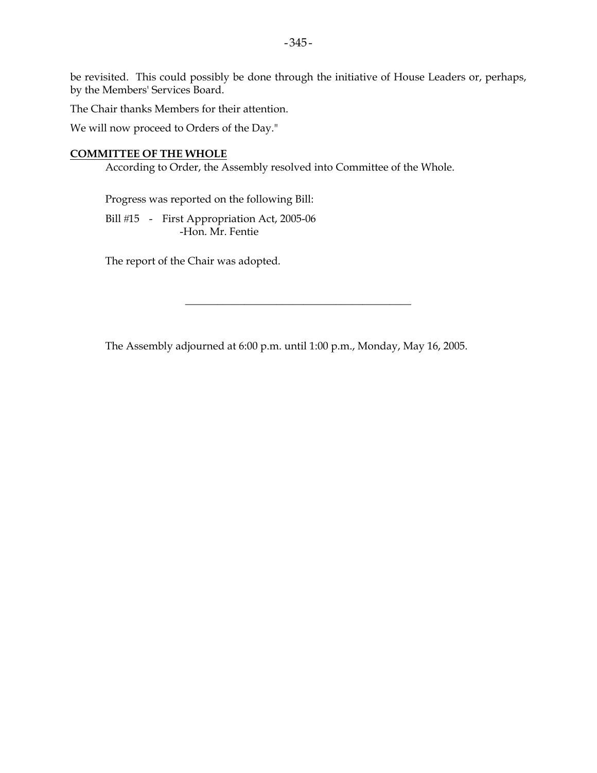be revisited. This could possibly be done through the initiative of House Leaders or, perhaps, by the Members' Services Board.

The Chair thanks Members for their attention.

We will now proceed to Orders of the Day."

#### **COMMITTEE OF THE WHOLE**

According to Order, the Assembly resolved into Committee of the Whole.

Progress was reported on the following Bill:

Bill #15 - First Appropriation Act, 2005-06 -Hon. Mr. Fentie

The report of the Chair was adopted.

The Assembly adjourned at 6:00 p.m. until 1:00 p.m., Monday, May 16, 2005.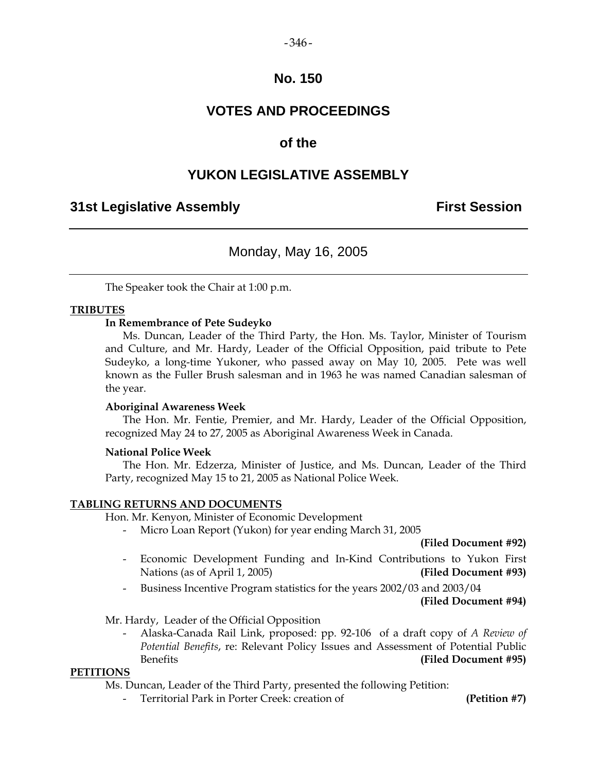## $-346-$

## **No. 150**

# **VOTES AND PROCEEDINGS**

# **of the**

# **YUKON LEGISLATIVE ASSEMBLY**

## **31st Legislative Assembly First Session**

# Monday, May 16, 2005

The Speaker took the Chair at 1:00 p.m.

## **TRIBUTES**

## **In Remembrance of Pete Sudeyko**

 Ms. Duncan, Leader of the Third Party, the Hon. Ms. Taylor, Minister of Tourism and Culture, and Mr. Hardy, Leader of the Official Opposition, paid tribute to Pete Sudeyko, a long-time Yukoner, who passed away on May 10, 2005. Pete was well known as the Fuller Brush salesman and in 1963 he was named Canadian salesman of the year.

## **Aboriginal Awareness Week**

 The Hon. Mr. Fentie, Premier, and Mr. Hardy, Leader of the Official Opposition, recognized May 24 to 27, 2005 as Aboriginal Awareness Week in Canada.

## **National Police Week**

 The Hon. Mr. Edzerza, Minister of Justice, and Ms. Duncan, Leader of the Third Party, recognized May 15 to 21, 2005 as National Police Week.

## **TABLING RETURNS AND DOCUMENTS**

Hon. Mr. Kenyon, Minister of Economic Development

Micro Loan Report (Yukon) for year ending March 31, 2005

 **(Filed Document #92)** 

- Economic Development Funding and In-Kind Contributions to Yukon First Nations (as of April 1, 2005) **(Filed Document #93)**
- Business Incentive Program statistics for the years 2002/03 and 2003/04

 **(Filed Document #94)** 

Mr. Hardy, Leader of the Official Opposition

 - Alaska-Canada Rail Link, proposed: pp. 92-106 of a draft copy of *A Review of Potential Benefits*, re: Relevant Policy Issues and Assessment of Potential Public Benefits **(Filed Document #95)** 

## **PETITIONS**

Ms. Duncan, Leader of the Third Party, presented the following Petition:

- Territorial Park in Porter Creek: creation of **(Petition #7)**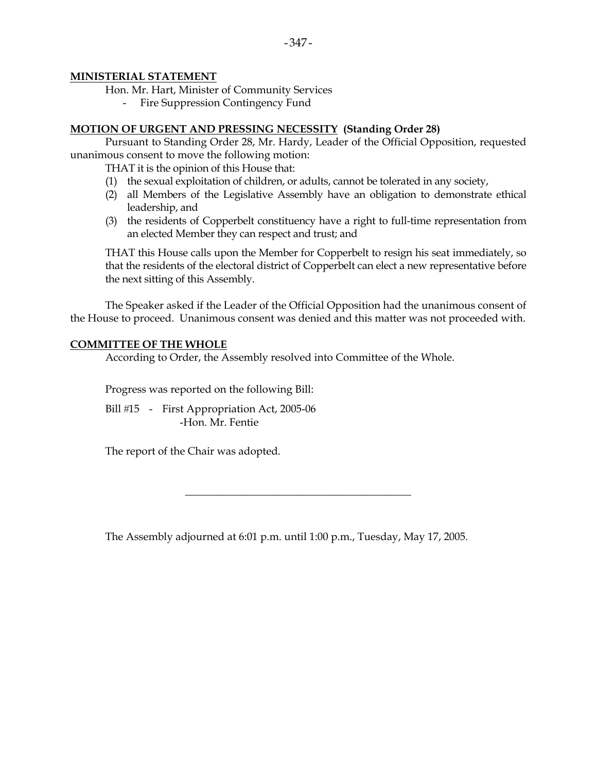## **MINISTERIAL STATEMENT**

Hon. Mr. Hart, Minister of Community Services

Fire Suppression Contingency Fund

## **MOTION OF URGENT AND PRESSING NECESSITY (Standing Order 28)**

 Pursuant to Standing Order 28, Mr. Hardy, Leader of the Official Opposition, requested unanimous consent to move the following motion:

THAT it is the opinion of this House that:

- (1) the sexual exploitation of children, or adults, cannot be tolerated in any society,
- (2) all Members of the Legislative Assembly have an obligation to demonstrate ethical leadership, and
- (3) the residents of Copperbelt constituency have a right to full-time representation from an elected Member they can respect and trust; and

THAT this House calls upon the Member for Copperbelt to resign his seat immediately, so that the residents of the electoral district of Copperbelt can elect a new representative before the next sitting of this Assembly.

 The Speaker asked if the Leader of the Official Opposition had the unanimous consent of the House to proceed. Unanimous consent was denied and this matter was not proceeded with.

#### **COMMITTEE OF THE WHOLE**

According to Order, the Assembly resolved into Committee of the Whole.

Progress was reported on the following Bill:

Bill #15 - First Appropriation Act, 2005-06 -Hon. Mr. Fentie

The report of the Chair was adopted.

The Assembly adjourned at 6:01 p.m. until 1:00 p.m., Tuesday, May 17, 2005.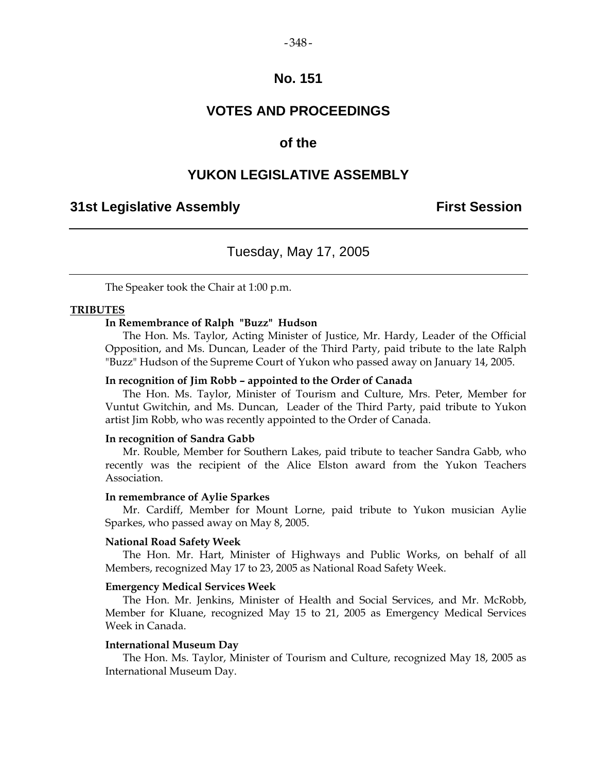#### $-348-$

## **No. 151**

## **VOTES AND PROCEEDINGS**

## **of the**

## **YUKON LEGISLATIVE ASSEMBLY**

## **31st Legislative Assembly First Session**

## Tuesday, May 17, 2005

The Speaker took the Chair at 1:00 p.m.

#### **TRIBUTES**

## **In Remembrance of Ralph "Buzz" Hudson**

 The Hon. Ms. Taylor, Acting Minister of Justice, Mr. Hardy, Leader of the Official Opposition, and Ms. Duncan, Leader of the Third Party, paid tribute to the late Ralph "Buzz" Hudson of the Supreme Court of Yukon who passed away on January 14, 2005.

#### **In recognition of Jim Robb – appointed to the Order of Canada**

 The Hon. Ms. Taylor, Minister of Tourism and Culture, Mrs. Peter, Member for Vuntut Gwitchin, and Ms. Duncan, Leader of the Third Party, paid tribute to Yukon artist Jim Robb, who was recently appointed to the Order of Canada.

#### **In recognition of Sandra Gabb**

 Mr. Rouble, Member for Southern Lakes, paid tribute to teacher Sandra Gabb, who recently was the recipient of the Alice Elston award from the Yukon Teachers Association.

#### **In remembrance of Aylie Sparkes**

 Mr. Cardiff, Member for Mount Lorne, paid tribute to Yukon musician Aylie Sparkes, who passed away on May 8, 2005.

#### **National Road Safety Week**

 The Hon. Mr. Hart, Minister of Highways and Public Works, on behalf of all Members, recognized May 17 to 23, 2005 as National Road Safety Week.

#### **Emergency Medical Services Week**

 The Hon. Mr. Jenkins, Minister of Health and Social Services, and Mr. McRobb, Member for Kluane, recognized May 15 to 21, 2005 as Emergency Medical Services Week in Canada.

#### **International Museum Day**

 The Hon. Ms. Taylor, Minister of Tourism and Culture, recognized May 18, 2005 as International Museum Day.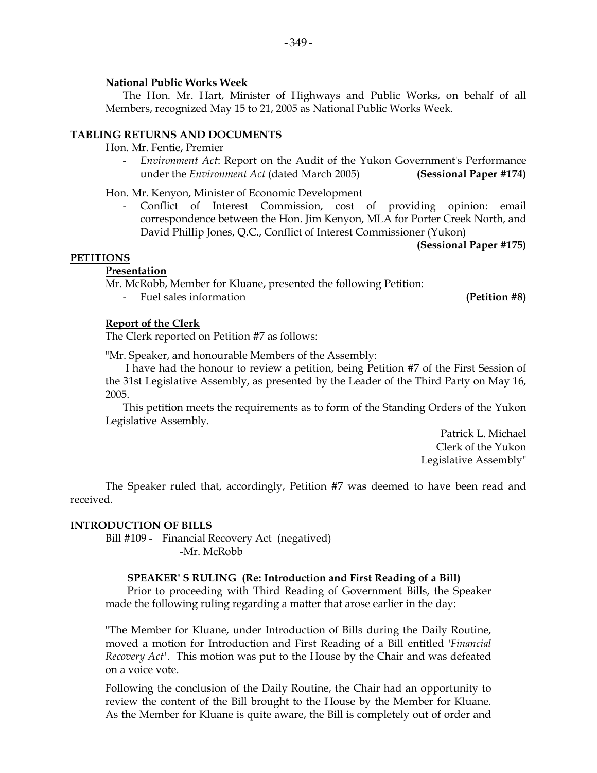## **National Public Works Week**

 The Hon. Mr. Hart, Minister of Highways and Public Works, on behalf of all Members, recognized May 15 to 21, 2005 as National Public Works Week.

## **TABLING RETURNS AND DOCUMENTS**

Hon. Mr. Fentie, Premier

 - *Environment Act*: Report on the Audit of the Yukon Government's Performance under the *Environment Act* (dated March 2005) **(Sessional Paper #174)** 

Hon. Mr. Kenyon, Minister of Economic Development

Conflict of Interest Commission, cost of providing opinion: email correspondence between the Hon. Jim Kenyon, MLA for Porter Creek North, and David Phillip Jones, Q.C., Conflict of Interest Commissioner (Yukon)

**(Sessional Paper #175)** 

## **PETITIONS**

## **Presentation**

Mr. McRobb, Member for Kluane, presented the following Petition:

Fuel sales information **(Petition #8)** 

## **Report of the Clerk**

The Clerk reported on Petition #7 as follows:

"Mr. Speaker, and honourable Members of the Assembly:

 I have had the honour to review a petition, being Petition #7 of the First Session of the 31st Legislative Assembly, as presented by the Leader of the Third Party on May 16, 2005.

 This petition meets the requirements as to form of the Standing Orders of the Yukon Legislative Assembly.

> Patrick L. Michael Clerk of the Yukon Legislative Assembly"

 The Speaker ruled that, accordingly, Petition #7 was deemed to have been read and received.

## **INTRODUCTION OF BILLS**

 Bill #109 - Financial Recovery Act (negatived) -Mr. McRobb

## **SPEAKER' S RULING (Re: Introduction and First Reading of a Bill)**

Prior to proceeding with Third Reading of Government Bills, the Speaker made the following ruling regarding a matter that arose earlier in the day:

"The Member for Kluane, under Introduction of Bills during the Daily Routine, moved a motion for Introduction and First Reading of a Bill entitled '*Financial Recovery Act'*. This motion was put to the House by the Chair and was defeated on a voice vote.

Following the conclusion of the Daily Routine, the Chair had an opportunity to review the content of the Bill brought to the House by the Member for Kluane. As the Member for Kluane is quite aware, the Bill is completely out of order and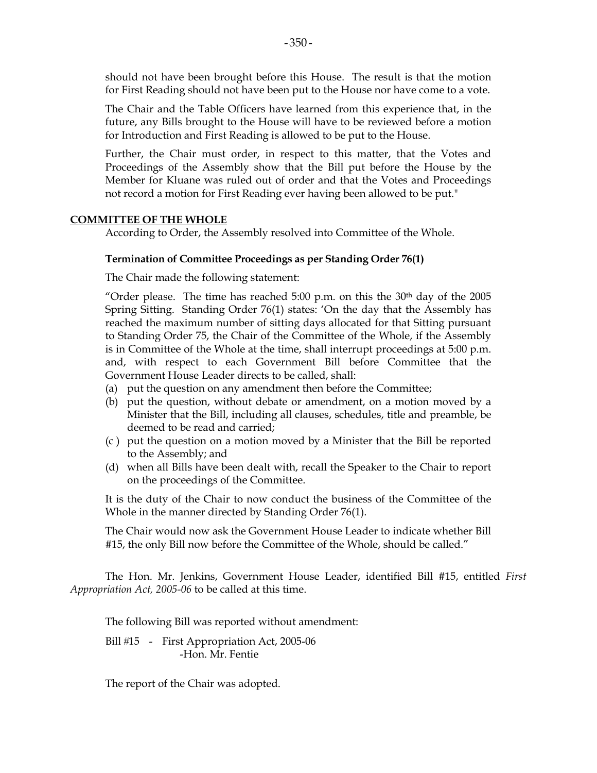should not have been brought before this House. The result is that the motion for First Reading should not have been put to the House nor have come to a vote.

The Chair and the Table Officers have learned from this experience that, in the future, any Bills brought to the House will have to be reviewed before a motion for Introduction and First Reading is allowed to be put to the House.

Further, the Chair must order, in respect to this matter, that the Votes and Proceedings of the Assembly show that the Bill put before the House by the Member for Kluane was ruled out of order and that the Votes and Proceedings not record a motion for First Reading ever having been allowed to be put."

#### **COMMITTEE OF THE WHOLE**

According to Order, the Assembly resolved into Committee of the Whole.

#### **Termination of Committee Proceedings as per Standing Order 76(1)**

The Chair made the following statement:

"Order please. The time has reached 5:00 p.m. on this the  $30<sup>th</sup>$  day of the 2005 Spring Sitting. Standing Order 76(1) states: 'On the day that the Assembly has reached the maximum number of sitting days allocated for that Sitting pursuant to Standing Order 75, the Chair of the Committee of the Whole, if the Assembly is in Committee of the Whole at the time, shall interrupt proceedings at 5:00 p.m. and, with respect to each Government Bill before Committee that the Government House Leader directs to be called, shall:

- (a) put the question on any amendment then before the Committee;
- (b) put the question, without debate or amendment, on a motion moved by a Minister that the Bill, including all clauses, schedules, title and preamble, be deemed to be read and carried;
- (c ) put the question on a motion moved by a Minister that the Bill be reported to the Assembly; and
- (d) when all Bills have been dealt with, recall the Speaker to the Chair to report on the proceedings of the Committee.

It is the duty of the Chair to now conduct the business of the Committee of the Whole in the manner directed by Standing Order 76(1).

The Chair would now ask the Government House Leader to indicate whether Bill #15, the only Bill now before the Committee of the Whole, should be called."

The Hon. Mr. Jenkins, Government House Leader, identified Bill #15, entitled *First Appropriation Act, 2005-06* to be called at this time.

The following Bill was reported without amendment:

Bill #15 - First Appropriation Act, 2005-06 -Hon. Mr. Fentie

The report of the Chair was adopted.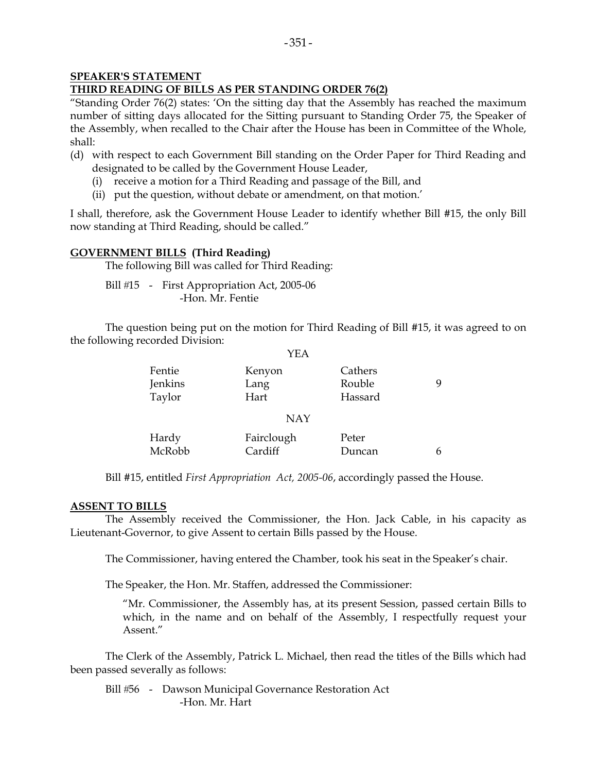#### **SPEAKER'S STATEMENT THIRD READING OF BILLS AS PER STANDING ORDER 76(2)**

"Standing Order 76(2) states: 'On the sitting day that the Assembly has reached the maximum number of sitting days allocated for the Sitting pursuant to Standing Order 75, the Speaker of the Assembly, when recalled to the Chair after the House has been in Committee of the Whole, shall:

- (d) with respect to each Government Bill standing on the Order Paper for Third Reading and designated to be called by the Government House Leader,
	- (i) receive a motion for a Third Reading and passage of the Bill, and
	- (ii) put the question, without debate or amendment, on that motion.'

I shall, therefore, ask the Government House Leader to identify whether Bill #15, the only Bill now standing at Third Reading, should be called."

## **GOVERNMENT BILLS (Third Reading)**

The following Bill was called for Third Reading:

Bill #15 - First Appropriation Act, 2005-06 -Hon. Mr. Fentie

 The question being put on the motion for Third Reading of Bill #15, it was agreed to on the following recorded Division:

|         | YEA        |         |   |
|---------|------------|---------|---|
| Fentie  | Kenyon     | Cathers | 9 |
| Jenkins | Lang       | Rouble  |   |
| Taylor  | Hart       | Hassard |   |
|         | <b>NAY</b> |         |   |
| Hardy   | Fairclough | Peter   |   |
| McRobb  | Cardiff    | Duncan  |   |

Bill #15, entitled *First Appropriation Act, 2005-06*, accordingly passed the House.

## **ASSENT TO BILLS**

 The Assembly received the Commissioner, the Hon. Jack Cable, in his capacity as Lieutenant-Governor, to give Assent to certain Bills passed by the House.

The Commissioner, having entered the Chamber, took his seat in the Speaker's chair.

The Speaker, the Hon. Mr. Staffen, addressed the Commissioner:

 "Mr. Commissioner, the Assembly has, at its present Session, passed certain Bills to which, in the name and on behalf of the Assembly, I respectfully request your Assent."

 The Clerk of the Assembly, Patrick L. Michael, then read the titles of the Bills which had been passed severally as follows:

Bill #56 - Dawson Municipal Governance Restoration Act -Hon. Mr. Hart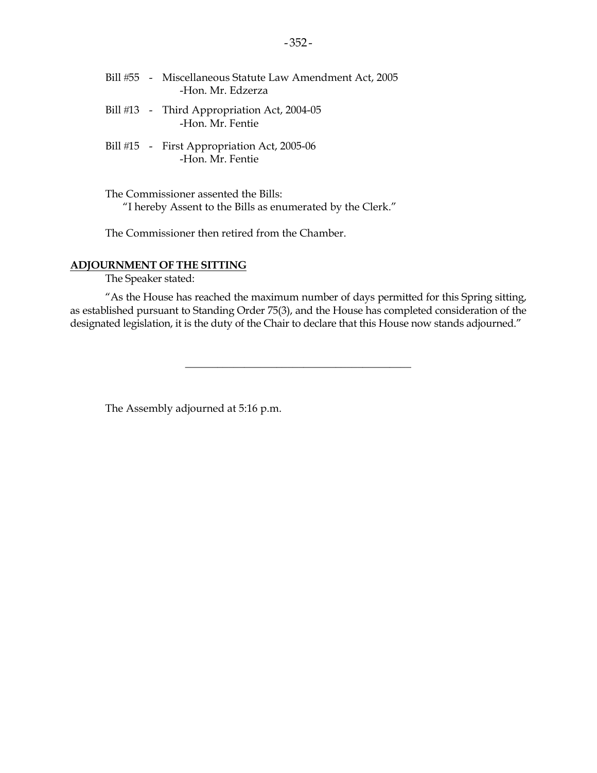- Bill #55 Miscellaneous Statute Law Amendment Act, 2005 -Hon. Mr. Edzerza
- Bill #13 Third Appropriation Act, 2004-05 -Hon. Mr. Fentie
- Bill #15 First Appropriation Act, 2005-06 -Hon. Mr. Fentie

 The Commissioner assented the Bills: "I hereby Assent to the Bills as enumerated by the Clerk."

The Commissioner then retired from the Chamber.

## **ADJOURNMENT OF THE SITTING**

The Speaker stated:

 "As the House has reached the maximum number of days permitted for this Spring sitting, as established pursuant to Standing Order 75(3), and the House has completed consideration of the designated legislation, it is the duty of the Chair to declare that this House now stands adjourned."

\_\_\_\_\_\_\_\_\_\_\_\_\_\_\_\_\_\_\_\_\_\_\_\_\_\_\_\_\_\_\_\_\_\_\_\_\_\_\_\_\_\_

The Assembly adjourned at 5:16 p.m.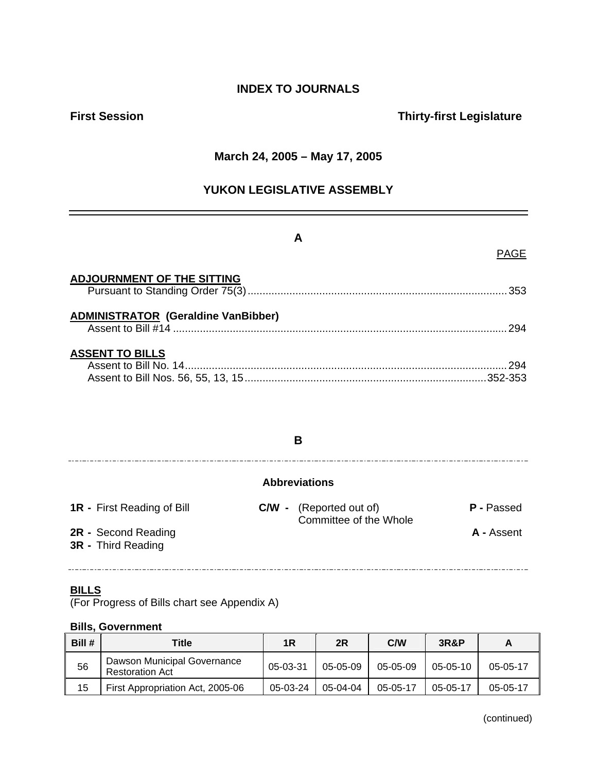## **INDEX TO JOURNALS**

## **First Session Thirty-first Legislature**

## **March 24, 2005 – May 17, 2005**

## **YUKON LEGISLATIVE ASSEMBLY**

## **A**

## PAGE

| <b>ADJOURNMENT OF THE SITTING</b>          |     |
|--------------------------------------------|-----|
| <b>ADMINISTRATOR (Geraldine VanBibber)</b> | 294 |
| <b>ASSENT TO BILLS</b>                     | 294 |

## **B**

#### 

## **Abbreviations**

**1R -** First Reading of Bill **C/W -** (Reported out of) **P -** Passed **Committee of the Whole 2R -** Second Reading **A -** Assent

# **3R -** Third Reading

## **BILLS**

(For Progress of Bills chart see Appendix A)

#### **Bills, Government**

| Bill # | Title                                                 | 1R       | 2R         | C/W      | <b>3R&amp;P</b> | A          |
|--------|-------------------------------------------------------|----------|------------|----------|-----------------|------------|
| 56     | Dawson Municipal Governance<br><b>Restoration Act</b> | 05-03-31 | $05-05-09$ | 05-05-09 | 05-05-10        | $05-05-17$ |
| 15     | First Appropriation Act, 2005-06                      | 05-03-24 | $05-04-04$ | 05-05-17 | 05-05-17        | 05-05-17   |

(continued)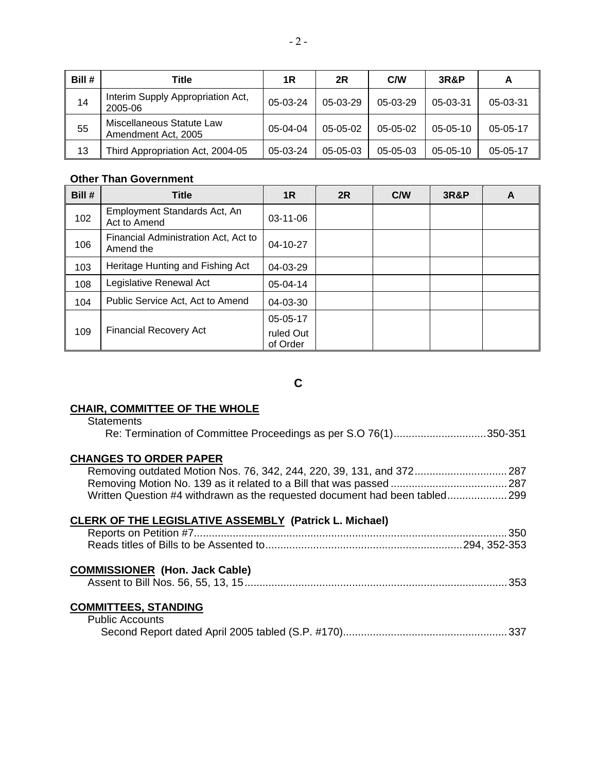| Bill # | Title                                            | 1R       | 2R             | <b>C/W</b> | <b>3R&amp;P</b> | A          |
|--------|--------------------------------------------------|----------|----------------|------------|-----------------|------------|
| 14     | Interim Supply Appropriation Act,<br>2005-06     | 05-03-24 | 05-03-29       | $05-03-29$ | 05-03-31        | 05-03-31   |
| 55     | Miscellaneous Statute Law<br>Amendment Act, 2005 | 05-04-04 | $05-05-02$     | $05-05-02$ | $05-05-10$      | $05-05-17$ |
| 13     | Third Appropriation Act, 2004-05                 | 05-03-24 | $05 - 05 - 03$ | 05-05-03   | $05 - 05 - 10$  | 05-05-17   |

## **Other Than Government**

| Bill # | <b>Title</b>                                      | 1R                    | 2R | C/W | <b>3R&amp;P</b> | A |
|--------|---------------------------------------------------|-----------------------|----|-----|-----------------|---|
| 102    | Employment Standards Act, An<br>Act to Amend      | $03-11-06$            |    |     |                 |   |
| 106    | Financial Administration Act, Act to<br>Amend the | 04-10-27              |    |     |                 |   |
| 103    | Heritage Hunting and Fishing Act                  | 04-03-29              |    |     |                 |   |
| 108    | Legislative Renewal Act                           | 05-04-14              |    |     |                 |   |
| 104    | Public Service Act, Act to Amend                  | 04-03-30              |    |     |                 |   |
|        |                                                   | 05-05-17              |    |     |                 |   |
| 109    | <b>Financial Recovery Act</b>                     | ruled Out<br>of Order |    |     |                 |   |

**C** 

## **CHAIR, COMMITTEE OF THE WHOLE**

## **Statements**

| Re: Termination of Committee Proceedings as per S.O 76(1)350-351 |  |
|------------------------------------------------------------------|--|
|------------------------------------------------------------------|--|

## **CHANGES TO ORDER PAPER**

| Removing outdated Motion Nos. 76, 342, 244, 220, 39, 131, and 372 287       |  |
|-----------------------------------------------------------------------------|--|
|                                                                             |  |
| Written Question #4 withdrawn as the requested document had been tabled 299 |  |

## **CLERK OF THE LEGISLATIVE ASSEMBLY (Patrick L. Michael)**

## **COMMISSIONER (Hon. Jack Cable)**

|--|--|

## **COMMITTEES, STANDING**

| <b>Public Accounts</b> |  |
|------------------------|--|
|                        |  |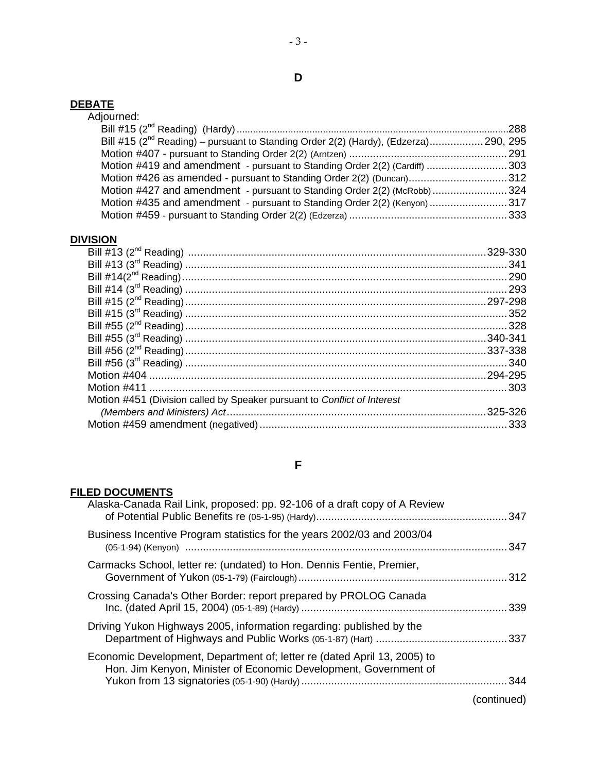#### **DEBATE**

| Adjourned:                                                                                 |  |
|--------------------------------------------------------------------------------------------|--|
|                                                                                            |  |
| Bill #15 ( $2^{nd}$ Reading) – pursuant to Standing Order 2(2) (Hardy), (Edzerza) 290, 295 |  |
|                                                                                            |  |
| Motion #419 and amendment - pursuant to Standing Order 2(2) (Cardiff) 303                  |  |
| Motion #426 as amended - pursuant to Standing Order 2(2) (Duncan)312                       |  |
| Motion #427 and amendment - pursuant to Standing Order 2(2) (McRobb) 324                   |  |
| Motion #435 and amendment - pursuant to Standing Order 2(2) (Kenyon) 317                   |  |
|                                                                                            |  |
|                                                                                            |  |

# **DIVISION**

| Motion #451 (Division called by Speaker pursuant to Conflict of Interest |          |
|--------------------------------------------------------------------------|----------|
|                                                                          | .325-326 |
|                                                                          |          |
|                                                                          |          |

## **F**

## **FILED DOCUMENTS**

|             | Alaska-Canada Rail Link, proposed: pp. 92-106 of a draft copy of A Review                                                                    |
|-------------|----------------------------------------------------------------------------------------------------------------------------------------------|
| . 347       | Business Incentive Program statistics for the years 2002/03 and 2003/04                                                                      |
|             | Carmacks School, letter re: (undated) to Hon. Dennis Fentie, Premier,                                                                        |
|             | Crossing Canada's Other Border: report prepared by PROLOG Canada                                                                             |
|             | Driving Yukon Highways 2005, information regarding: published by the                                                                         |
|             | Economic Development, Department of; letter re (dated April 13, 2005) to<br>Hon. Jim Kenyon, Minister of Economic Development, Government of |
| (continued) |                                                                                                                                              |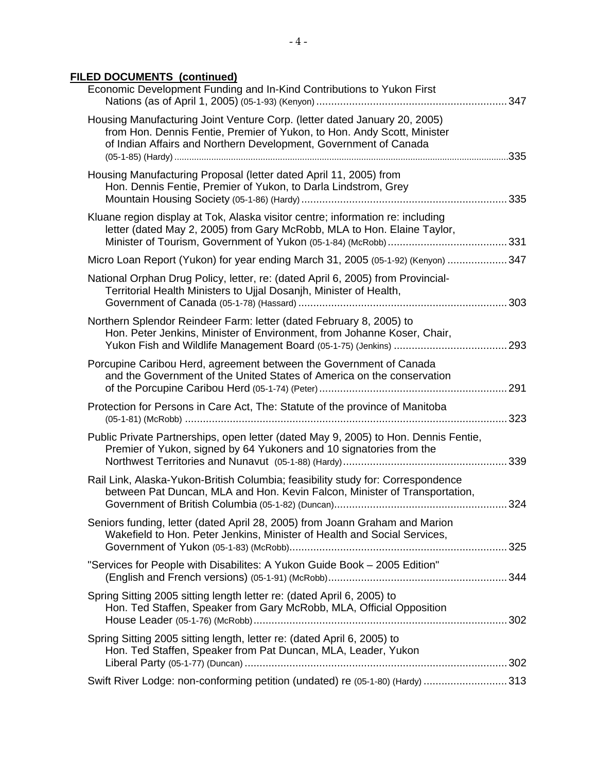## **FILED DOCUMENTS (continued)**

| Economic Development Funding and In-Kind Contributions to Yukon First                                                                                                                                                    | 347 |
|--------------------------------------------------------------------------------------------------------------------------------------------------------------------------------------------------------------------------|-----|
| Housing Manufacturing Joint Venture Corp. (letter dated January 20, 2005)<br>from Hon. Dennis Fentie, Premier of Yukon, to Hon. Andy Scott, Minister<br>of Indian Affairs and Northern Development, Government of Canada |     |
| Housing Manufacturing Proposal (letter dated April 11, 2005) from<br>Hon. Dennis Fentie, Premier of Yukon, to Darla Lindstrom, Grey                                                                                      |     |
| Kluane region display at Tok, Alaska visitor centre; information re: including<br>letter (dated May 2, 2005) from Gary McRobb, MLA to Hon. Elaine Taylor,                                                                |     |
| Micro Loan Report (Yukon) for year ending March 31, 2005 (05-1-92) (Kenyon)  347                                                                                                                                         |     |
| National Orphan Drug Policy, letter, re: (dated April 6, 2005) from Provincial-<br>Territorial Health Ministers to Ujjal Dosanjh, Minister of Health,                                                                    |     |
| Northern Splendor Reindeer Farm: letter (dated February 8, 2005) to<br>Hon. Peter Jenkins, Minister of Environment, from Johanne Koser, Chair,                                                                           |     |
| Porcupine Caribou Herd, agreement between the Government of Canada<br>and the Government of the United States of America on the conservation                                                                             |     |
| Protection for Persons in Care Act, The: Statute of the province of Manitoba                                                                                                                                             |     |
| Public Private Partnerships, open letter (dated May 9, 2005) to Hon. Dennis Fentie,<br>Premier of Yukon, signed by 64 Yukoners and 10 signatories from the                                                               |     |
| Rail Link, Alaska-Yukon-British Columbia; feasibility study for: Correspondence<br>between Pat Duncan, MLA and Hon. Kevin Falcon, Minister of Transportation,                                                            |     |
| Seniors funding, letter (dated April 28, 2005) from Joann Graham and Marion<br>Wakefield to Hon. Peter Jenkins, Minister of Health and Social Services,                                                                  |     |
| "Services for People with Disabilites: A Yukon Guide Book - 2005 Edition"                                                                                                                                                |     |
| Spring Sitting 2005 sitting length letter re: (dated April 6, 2005) to<br>Hon. Ted Staffen, Speaker from Gary McRobb, MLA, Official Opposition                                                                           |     |
| Spring Sitting 2005 sitting length, letter re: (dated April 6, 2005) to<br>Hon. Ted Staffen, Speaker from Pat Duncan, MLA, Leader, Yukon                                                                                 |     |
| Swift River Lodge: non-conforming petition (undated) re (05-1-80) (Hardy)  313                                                                                                                                           |     |
|                                                                                                                                                                                                                          |     |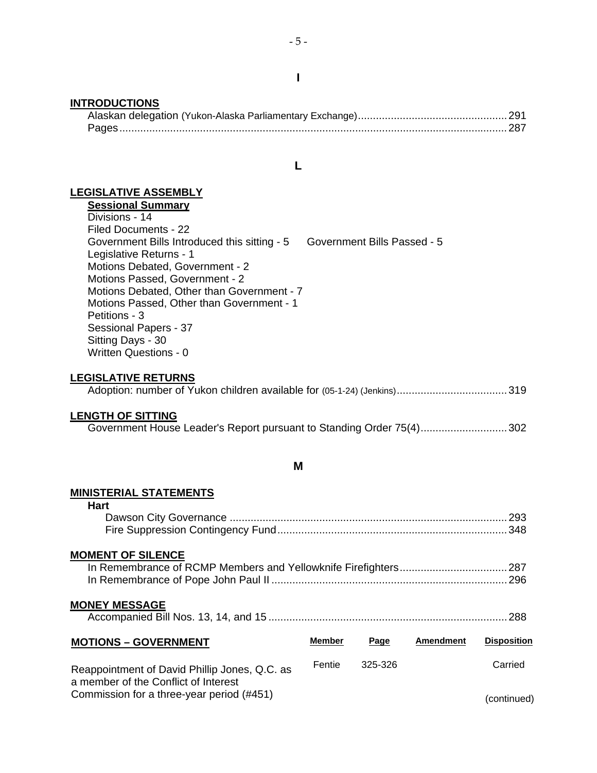#### **INTRODUCTIONS**

**L** 

## **LEGISLATIVE ASSEMBLY**

**Sessional Summary** Divisions - 14 Filed Documents - 22 Government Bills Introduced this sitting - 5 Government Bills Passed - 5 Legislative Returns - 1 Motions Debated, Government - 2 Motions Passed, Government - 2 Motions Debated, Other than Government - 7 Motions Passed, Other than Government - 1 Petitions - 3 Sessional Papers - 37 Sitting Days - 30 Written Questions - 0

## **LEGISLATIVE RETURNS**

|--|--|--|--|--|

#### **LENGTH OF SITTING**

#### **M**

#### **MINISTERIAL STATEMENTS**

| <b>Hart</b>                                                                                                                        |        |         |                  |                    |  |  |  |
|------------------------------------------------------------------------------------------------------------------------------------|--------|---------|------------------|--------------------|--|--|--|
| <b>MOMENT OF SILENCE</b>                                                                                                           |        |         |                  |                    |  |  |  |
| <b>MONEY MESSAGE</b>                                                                                                               |        |         |                  |                    |  |  |  |
| <b>MOTIONS - GOVERNMENT</b>                                                                                                        | Member | Page    | <b>Amendment</b> | <b>Disposition</b> |  |  |  |
| Reappointment of David Phillip Jones, Q.C. as<br>a member of the Conflict of Interest<br>Commission for a three-year period (#451) | Fentie | 325-326 |                  | Carried            |  |  |  |
|                                                                                                                                    |        |         |                  | (continued)        |  |  |  |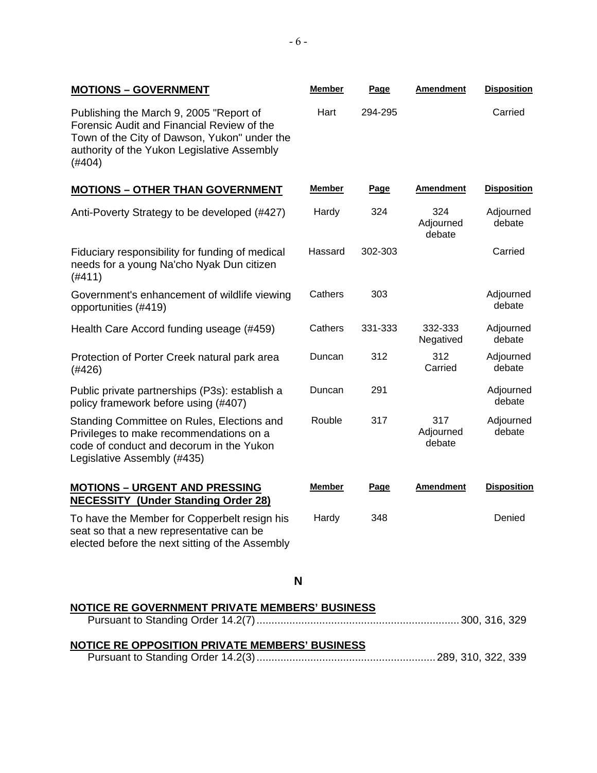| <b>MOTIONS - GOVERNMENT</b>                                                                                                                                                                    | <b>Member</b> | Page    | <b>Amendment</b>           | <b>Disposition</b>  |
|------------------------------------------------------------------------------------------------------------------------------------------------------------------------------------------------|---------------|---------|----------------------------|---------------------|
| Publishing the March 9, 2005 "Report of<br>Forensic Audit and Financial Review of the<br>Town of the City of Dawson, Yukon" under the<br>authority of the Yukon Legislative Assembly<br>(#404) | Hart          | 294-295 |                            | Carried             |
| <b>MOTIONS - OTHER THAN GOVERNMENT</b>                                                                                                                                                         | Member        | Page    | Amendment                  | <b>Disposition</b>  |
| Anti-Poverty Strategy to be developed (#427)                                                                                                                                                   | Hardy         | 324     | 324<br>Adjourned<br>debate | Adjourned<br>debate |
| Fiduciary responsibility for funding of medical<br>needs for a young Na'cho Nyak Dun citizen<br>(#411)                                                                                         | Hassard       | 302-303 |                            | Carried             |
| Government's enhancement of wildlife viewing<br>opportunities (#419)                                                                                                                           | Cathers       | 303     |                            | Adjourned<br>debate |
| Health Care Accord funding useage (#459)                                                                                                                                                       | Cathers       | 331-333 | 332-333<br>Negatived       | Adjourned<br>debate |
| Protection of Porter Creek natural park area<br>(#426)                                                                                                                                         | Duncan        | 312     | 312<br>Carried             | Adjourned<br>debate |
| Public private partnerships (P3s): establish a<br>policy framework before using (#407)                                                                                                         | Duncan        | 291     |                            | Adjourned<br>debate |
| Standing Committee on Rules, Elections and<br>Privileges to make recommendations on a<br>code of conduct and decorum in the Yukon<br>Legislative Assembly (#435)                               | Rouble        | 317     | 317<br>Adjourned<br>debate | Adjourned<br>debate |
| <b>MOTIONS - URGENT AND PRESSING</b><br><b>NECESSITY (Under Standing Order 28)</b>                                                                                                             | Member        | Page    | <b>Amendment</b>           | <b>Disposition</b>  |
| To have the Member for Copperbelt resign his<br>seat so that a new representative can be<br>elected before the next sitting of the Assembly                                                    | Hardy         | 348     |                            | Denied              |

### **N**

# **NOTICE RE GOVERNMENT PRIVATE MEMBERS' BUSINESS**

# **NOTICE RE OPPOSITION PRIVATE MEMBERS' BUSINESS**

|--|--|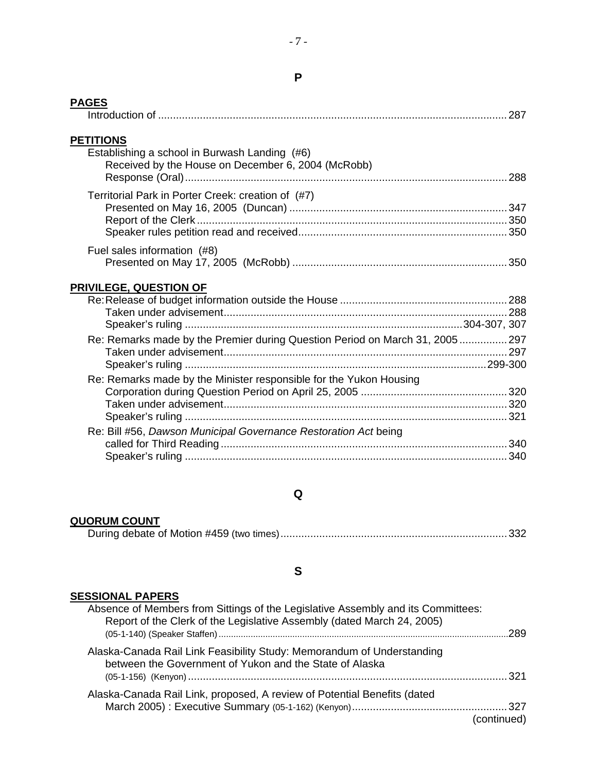| <b>PAGES</b>                                                                                                            | 287 |
|-------------------------------------------------------------------------------------------------------------------------|-----|
| <b>PETITIONS</b><br>Establishing a school in Burwash Landing (#6)<br>Received by the House on December 6, 2004 (McRobb) |     |
| Territorial Park in Porter Creek: creation of (#7)                                                                      |     |
| Fuel sales information (#8)                                                                                             |     |
| <b>PRIVILEGE, QUESTION OF</b>                                                                                           |     |
| Re: Remarks made by the Premier during Question Period on March 31, 2005 297                                            |     |
| Re: Remarks made by the Minister responsible for the Yukon Housing                                                      |     |
| Re: Bill #56, Dawson Municipal Governance Restoration Act being                                                         |     |

# **Q**

# **QUORUM COUNT**

|--|--|

# **S**

## **SESSIONAL PAPERS**

| 289         | Absence of Members from Sittings of the Legislative Assembly and its Committees:<br>Report of the Clerk of the Legislative Assembly (dated March 24, 2005) |
|-------------|------------------------------------------------------------------------------------------------------------------------------------------------------------|
|             | Alaska-Canada Rail Link Feasibility Study: Memorandum of Understanding<br>between the Government of Yukon and the State of Alaska                          |
| (continued) | Alaska-Canada Rail Link, proposed, A review of Potential Benefits (dated                                                                                   |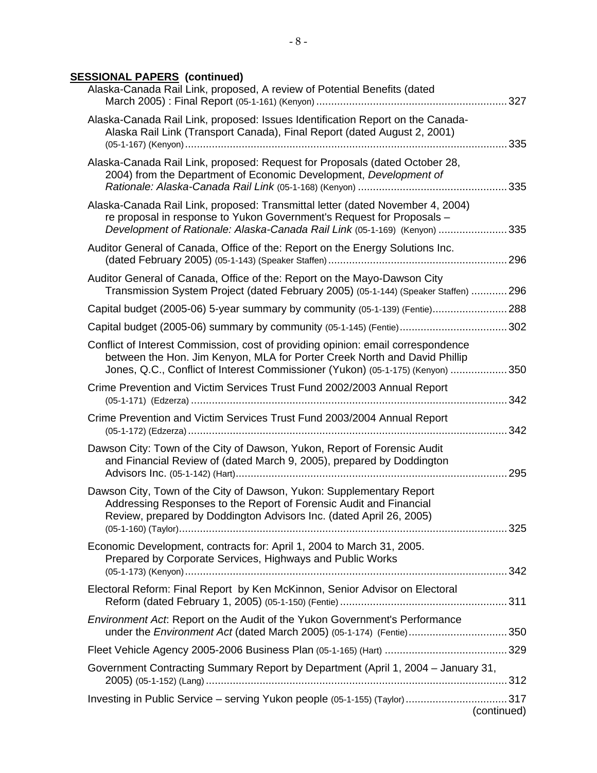# **SESSIONAL PAPERS (continued)**

| Alaska-Canada Rail Link, proposed, A review of Potential Benefits (dated                                                                                                                                                                         |             |
|--------------------------------------------------------------------------------------------------------------------------------------------------------------------------------------------------------------------------------------------------|-------------|
| Alaska-Canada Rail Link, proposed: Issues Identification Report on the Canada-<br>Alaska Rail Link (Transport Canada), Final Report (dated August 2, 2001)                                                                                       |             |
| Alaska-Canada Rail Link, proposed: Request for Proposals (dated October 28,<br>2004) from the Department of Economic Development, Development of                                                                                                 |             |
| Alaska-Canada Rail Link, proposed: Transmittal letter (dated November 4, 2004)<br>re proposal in response to Yukon Government's Request for Proposals -<br>Development of Rationale: Alaska-Canada Rail Link (05-1-169) (Kenyon) 335             |             |
| Auditor General of Canada, Office of the: Report on the Energy Solutions Inc.                                                                                                                                                                    |             |
| Auditor General of Canada, Office of the: Report on the Mayo-Dawson City<br>Transmission System Project (dated February 2005) (05-1-144) (Speaker Staffen)  296                                                                                  |             |
| Capital budget (2005-06) 5-year summary by community (05-1-139) (Fentie)288                                                                                                                                                                      |             |
|                                                                                                                                                                                                                                                  |             |
| Conflict of Interest Commission, cost of providing opinion: email correspondence<br>between the Hon. Jim Kenyon, MLA for Porter Creek North and David Phillip<br>Jones, Q.C., Conflict of Interest Commissioner (Yukon) (05-1-175) (Kenyon)  350 |             |
| Crime Prevention and Victim Services Trust Fund 2002/2003 Annual Report                                                                                                                                                                          |             |
| Crime Prevention and Victim Services Trust Fund 2003/2004 Annual Report                                                                                                                                                                          | 342         |
| Dawson City: Town of the City of Dawson, Yukon, Report of Forensic Audit<br>and Financial Review of (dated March 9, 2005), prepared by Doddington                                                                                                | 295         |
| Dawson City, Town of the City of Dawson, Yukon: Supplementary Report<br>Addressing Responses to the Report of Forensic Audit and Financial<br>Review, prepared by Doddington Advisors Inc. (dated April 26, 2005)                                |             |
| Economic Development, contracts for: April 1, 2004 to March 31, 2005.<br>Prepared by Corporate Services, Highways and Public Works                                                                                                               |             |
| Electoral Reform: Final Report by Ken McKinnon, Senior Advisor on Electoral                                                                                                                                                                      |             |
| Environment Act: Report on the Audit of the Yukon Government's Performance<br>under the <i>Environment Act</i> (dated March 2005) (05-1-174) (Fentie)350                                                                                         |             |
|                                                                                                                                                                                                                                                  |             |
| Government Contracting Summary Report by Department (April 1, 2004 – January 31,                                                                                                                                                                 |             |
| Investing in Public Service - serving Yukon people (05-1-155) (Taylor) 317                                                                                                                                                                       | (continued) |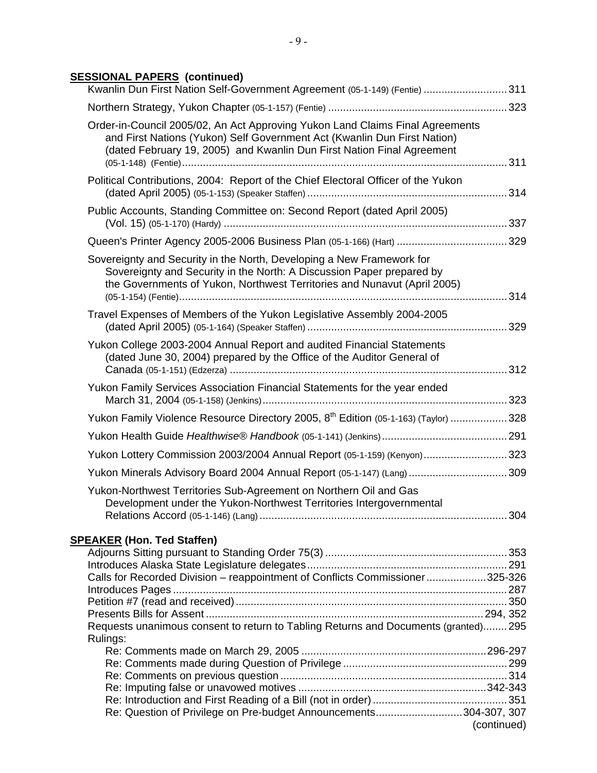### **SESSIONAL PAPERS (continued)**

| Kwanlin Dun First Nation Self-Government Agreement (05-1-149) (Fentie) 311                                                                                                                                                          |             |
|-------------------------------------------------------------------------------------------------------------------------------------------------------------------------------------------------------------------------------------|-------------|
|                                                                                                                                                                                                                                     |             |
| Order-in-Council 2005/02, An Act Approving Yukon Land Claims Final Agreements<br>and First Nations (Yukon) Self Government Act (Kwanlin Dun First Nation)<br>(dated February 19, 2005) and Kwanlin Dun First Nation Final Agreement |             |
| Political Contributions, 2004: Report of the Chief Electoral Officer of the Yukon                                                                                                                                                   |             |
| Public Accounts, Standing Committee on: Second Report (dated April 2005)                                                                                                                                                            |             |
|                                                                                                                                                                                                                                     |             |
| Sovereignty and Security in the North, Developing a New Framework for<br>Sovereignty and Security in the North: A Discussion Paper prepared by<br>the Governments of Yukon, Northwest Territories and Nunavut (April 2005)          |             |
| Travel Expenses of Members of the Yukon Legislative Assembly 2004-2005                                                                                                                                                              |             |
| Yukon College 2003-2004 Annual Report and audited Financial Statements<br>(dated June 30, 2004) prepared by the Office of the Auditor General of                                                                                    |             |
| Yukon Family Services Association Financial Statements for the year ended                                                                                                                                                           |             |
| Yukon Family Violence Resource Directory 2005, 8 <sup>th</sup> Edition (05-1-163) (Taylor)  328                                                                                                                                     |             |
|                                                                                                                                                                                                                                     |             |
| Yukon Lottery Commission 2003/2004 Annual Report (05-1-159) (Kenyon)323                                                                                                                                                             |             |
| Yukon Minerals Advisory Board 2004 Annual Report (05-1-147) (Lang)  309                                                                                                                                                             |             |
| Yukon-Northwest Territories Sub-Agreement on Northern Oil and Gas<br>Development under the Yukon-Northwest Territories Intergovernmental                                                                                            |             |
|                                                                                                                                                                                                                                     |             |
| <b>SPEAKER (Hon. Ted Staffen)</b>                                                                                                                                                                                                   |             |
|                                                                                                                                                                                                                                     |             |
| Calls for Recorded Division - reappointment of Conflicts Commissioner325-326                                                                                                                                                        |             |
|                                                                                                                                                                                                                                     |             |
|                                                                                                                                                                                                                                     |             |
| Requests unanimous consent to return to Tabling Returns and Documents (granted) 295<br>Rulings:                                                                                                                                     |             |
|                                                                                                                                                                                                                                     |             |
|                                                                                                                                                                                                                                     |             |
|                                                                                                                                                                                                                                     |             |
|                                                                                                                                                                                                                                     |             |
| Re: Question of Privilege on Pre-budget Announcements304-307, 307                                                                                                                                                                   | (continued) |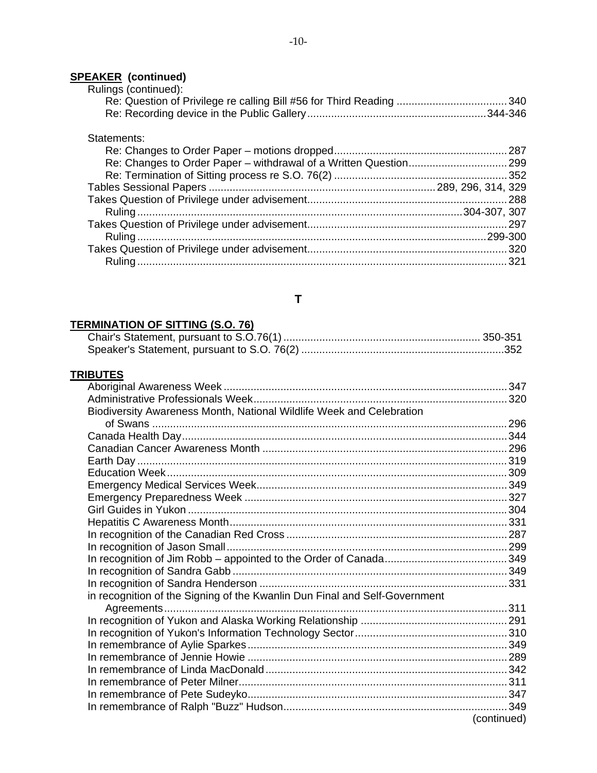#### **SPEAKER (continued)**

| Rulings (continued): |  |
|----------------------|--|
|                      |  |
|                      |  |

#### Statements:

# **T**

## **TERMINATION OF SITTING (S.O. 76)**

## **TRIBUTES**

| Biodiversity Awareness Month, National Wildlife Week and Celebration       |             |
|----------------------------------------------------------------------------|-------------|
|                                                                            |             |
|                                                                            |             |
|                                                                            |             |
|                                                                            |             |
|                                                                            |             |
|                                                                            |             |
|                                                                            |             |
|                                                                            |             |
|                                                                            |             |
|                                                                            |             |
|                                                                            |             |
|                                                                            |             |
|                                                                            |             |
|                                                                            |             |
| in recognition of the Signing of the Kwanlin Dun Final and Self-Government |             |
|                                                                            |             |
|                                                                            |             |
|                                                                            |             |
|                                                                            |             |
|                                                                            |             |
|                                                                            |             |
|                                                                            |             |
|                                                                            |             |
|                                                                            |             |
|                                                                            | (continued) |
|                                                                            |             |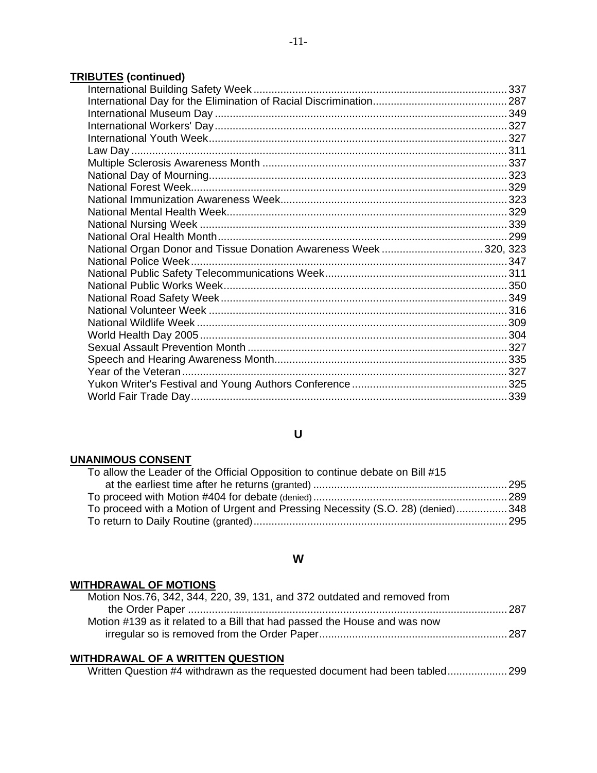# **TRIBUTES (continued)**

| National Organ Donor and Tissue Donation Awareness Week320, 323 |  |
|-----------------------------------------------------------------|--|
|                                                                 |  |
|                                                                 |  |
|                                                                 |  |
|                                                                 |  |
|                                                                 |  |
|                                                                 |  |
|                                                                 |  |
|                                                                 |  |
|                                                                 |  |
|                                                                 |  |
|                                                                 |  |
|                                                                 |  |
|                                                                 |  |

## **U**

### **UNANIMOUS CONSENT**

| To allow the Leader of the Official Opposition to continue debate on Bill #15    |  |
|----------------------------------------------------------------------------------|--|
|                                                                                  |  |
|                                                                                  |  |
| To proceed with a Motion of Urgent and Pressing Necessity (S.O. 28) (denied) 348 |  |
|                                                                                  |  |
|                                                                                  |  |

### **W**

## **WITHDRAWAL OF MOTIONS**

| Motion Nos.76, 342, 344, 220, 39, 131, and 372 outdated and removed from  |
|---------------------------------------------------------------------------|
|                                                                           |
| Motion #139 as it related to a Bill that had passed the House and was now |
|                                                                           |
|                                                                           |

## **WITHDRAWAL OF A WRITTEN QUESTION**

Written Question #4 withdrawn as the requested document had been tabled....................299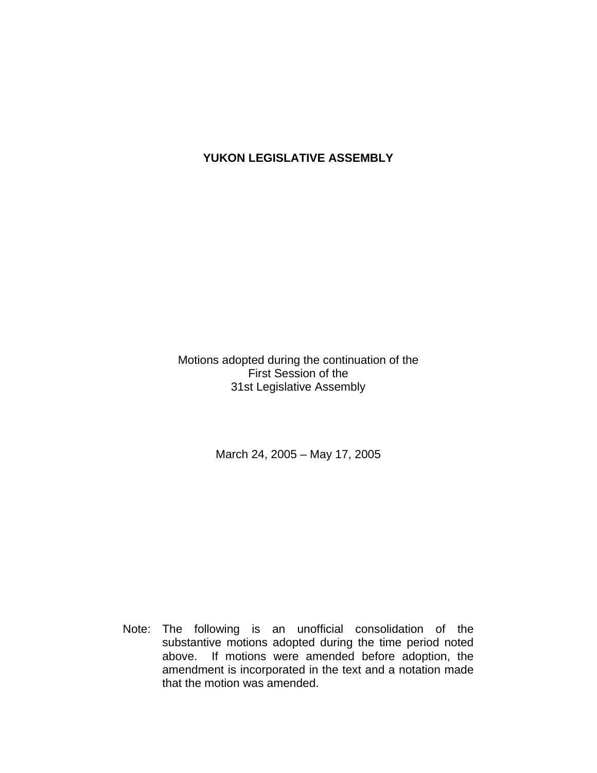# **YUKON LEGISLATIVE ASSEMBLY**

Motions adopted during the continuation of the First Session of the 31st Legislative Assembly

March 24, 2005 – May 17, 2005

 Note: The following is an unofficial consolidation of the substantive motions adopted during the time period noted above. If motions were amended before adoption, the amendment is incorporated in the text and a notation made that the motion was amended.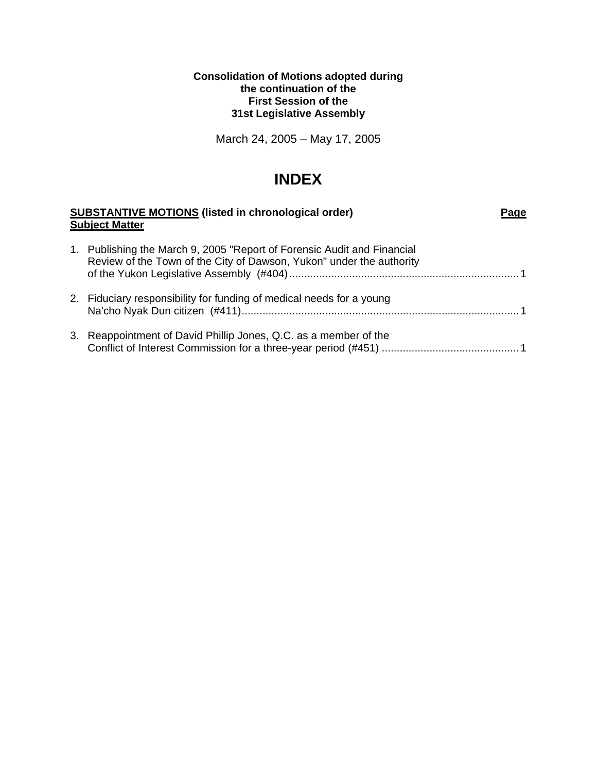### **Consolidation of Motions adopted during the continuation of the First Session of the 31st Legislative Assembly**

March 24, 2005 – May 17, 2005

# **INDEX**

| <b>SUBSTANTIVE MOTIONS (listed in chronological order)</b><br>Page<br><b>Subject Matter</b> |                                                                                                                                                 |  |
|---------------------------------------------------------------------------------------------|-------------------------------------------------------------------------------------------------------------------------------------------------|--|
|                                                                                             | 1. Publishing the March 9, 2005 "Report of Forensic Audit and Financial<br>Review of the Town of the City of Dawson, Yukon" under the authority |  |
|                                                                                             | 2. Fiduciary responsibility for funding of medical needs for a young                                                                            |  |
|                                                                                             | 3. Reappointment of David Phillip Jones, Q.C. as a member of the                                                                                |  |